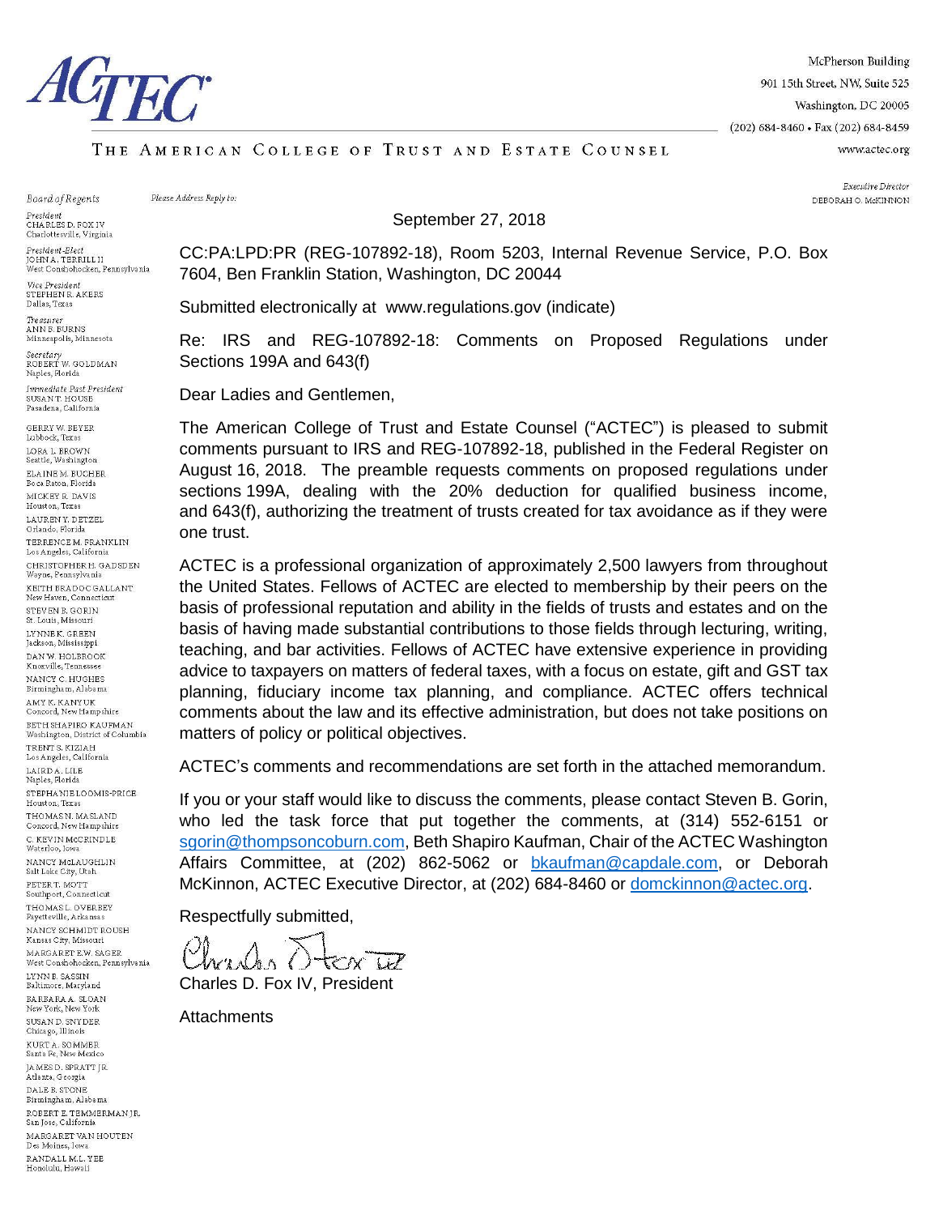

McPherson Building 901 15th Street, NW, Suite 525 Washington, DC 20005 (202) 684-8460 · Fax (202) 684-8459 www.actec.org

#### THE AMERICAN COLLEGE OF TRUST AND ESTATE COUNSEL

Board of Regents

President<br>CHARLES D. FOX IV Charlottesville, Virginia

President-Elect OHN A. TERRILL II 

Vice President STEPHEN R AKERS Dallas, Texas

Treasurer<br>ANN B. BURNS Minneapolis, Minnesota

Secretary<br>ROBERT W. GOLDMAN Naples, Florida

Immediate Past President SUSAN T. HOUSE Pasadena, California

GERRY W. BEYER Lubbock, Texas LORA L. BROWN Seattle, Washington ELAINE M. BUCHER Boca Raton, Florida MICKEY R. DAVIS Houston, Texas LAUREN Y. DETZEL Orlando, Florida TERRENCE M. FRANKLIN<br>Los Angeles, California CHRISTOPHER H. GADSDEN Wayne, Pennsylvania KEITH BRADOC GALLANT New Haven, Connecticut STEVEN R GORIN St. Louis, Missouri LYNNEK, GREEN Jackson, Mississippi DAN W. HOLBROOK Knoxville, Tennessee NANCY C. HUGHES Birmingham, Alabama .<br>AMY K. KANY UK<br>Concord, New Hampshire BETH SHAPIRO KAUFMAN Washington, District of Columbia TRENT S. KIZIAH Los Angeles, California LAIRD A. LILE<br>Naples, Florida STEPHANIE LOOMIS-PRICE Houston, Texas THOMAS N. MASLAND Concord, New Hampshire C. KEVIN MCCRINDLE Waterloo, Iowa NANCY McLAUGHLIN Salt Lake City, Utah PETER T. MOTT Southport, Connecticut THOMAS L. OVERBEY Favetteville, Arkansas NANCY SCHMIDT ROUSH Kansas City, Missouri MARGARET E.W. SAGER West Conshohocken, Pennsylvania  $L{\tt YNN}$ B. SASSIN Baltimore, Maryland BARBARA A. SLOAN New York, New York SUSAN D. SNYDER Chicago, Illinois KURT A. SOMMER Santa Fe, New Mexico **JAMES D. SPRATT JR.** Atlanta, Georgia DALE B. STONE Birmingham, Alabama ROBERT E. TEMMERMAN JR.<br>San Jose, California MARGARET VAN HOUTEN Des Moines, Iowa RANDALL M.L. YEE Honolulu, Hawaii

Please Address Reply to:

#### September 27, 2018

CC:PA:LPD:PR (REG-107892-18), Room 5203, Internal Revenue Service, P.O. Box 7604, Ben Franklin Station, Washington, DC 20044

Submitted electronically at www.regulations.gov (indicate)

Re: IRS and REG-107892-18: Comments on Proposed Regulations under Sections 199A and 643(f)

Dear Ladies and Gentlemen,

The American College of Trust and Estate Counsel ("ACTEC") is pleased to submit comments pursuant to IRS and REG-107892-18, published in the Federal Register on August 16, 2018. The preamble requests comments on proposed regulations under sections 199A, dealing with the 20% deduction for qualified business income, and 643(f), authorizing the treatment of trusts created for tax avoidance as if they were one trust.

ACTEC is a professional organization of approximately 2,500 lawyers from throughout the United States. Fellows of ACTEC are elected to membership by their peers on the basis of professional reputation and ability in the fields of trusts and estates and on the basis of having made substantial contributions to those fields through lecturing, writing, teaching, and bar activities. Fellows of ACTEC have extensive experience in providing advice to taxpayers on matters of federal taxes, with a focus on estate, gift and GST tax planning, fiduciary income tax planning, and compliance. ACTEC offers technical comments about the law and its effective administration, but does not take positions on matters of policy or political objectives.

ACTEC's comments and recommendations are set forth in the attached memorandum.

If you or your staff would like to discuss the comments, please contact Steven B. Gorin, who led the task force that put together the comments, at (314) 552-6151 or [sgorin@thompsoncoburn.com,](mailto:sgorin@thompsoncoburn.com) Beth Shapiro Kaufman, Chair of the ACTEC Washington Affairs Committee, at (202) 862-5062 or [bkaufman@capdale.com,](mailto:bkaufman@capdale.com) or Deborah McKinnon, ACTEC Executive Director, at (202) 684-8460 or [domckinnon@actec.org.](mailto:domckinnon@actec.org)

Respectfully submitted,

Charles D. Fox IV, President

**Attachments** 

Executive Director DEBORAH O. McKINNON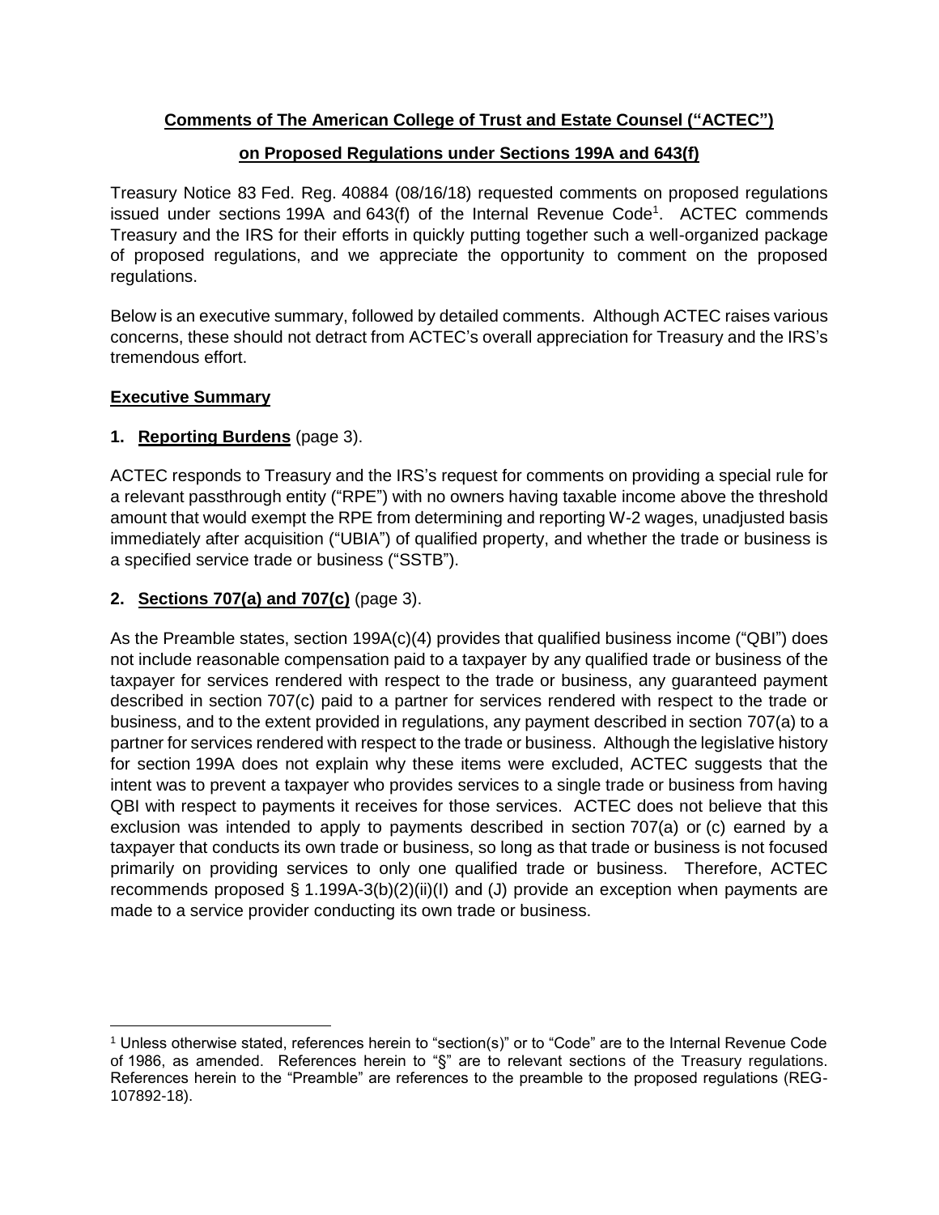## **Comments of The American College of Trust and Estate Counsel ("ACTEC")**

#### **on Proposed Regulations under Sections 199A and 643(f)**

Treasury Notice 83 Fed. Reg. 40884 (08/16/18) requested comments on proposed regulations issued under sections 199A and 643(f) of the Internal Revenue Code<sup>1</sup>. ACTEC commends Treasury and the IRS for their efforts in quickly putting together such a well-organized package of proposed regulations, and we appreciate the opportunity to comment on the proposed regulations.

Below is an executive summary, followed by detailed comments. Although ACTEC raises various concerns, these should not detract from ACTEC's overall appreciation for Treasury and the IRS's tremendous effort.

#### **Executive Summary**

### **[1.](#page-3-0) [Reporting Burdens](#page-3-0)** (page [3\)](#page-3-0).

ACTEC responds to Treasury and the IRS's request for comments on providing a special rule for a relevant passthrough entity ("RPE") with no owners having taxable income above the threshold amount that would exempt the RPE from determining and reporting W-2 wages, unadjusted basis immediately after acquisition ("UBIA") of qualified property, and whether the trade or business is a specified service trade or business ("SSTB").

#### **[2.](#page-3-1) Sections [707\(a\) and](#page-3-1) 707(c)** (page [3\)](#page-3-1).

As the Preamble states, section 199A(c)(4) provides that qualified business income ("QBI") does not include reasonable compensation paid to a taxpayer by any qualified trade or business of the taxpayer for services rendered with respect to the trade or business, any guaranteed payment described in section 707(c) paid to a partner for services rendered with respect to the trade or business, and to the extent provided in regulations, any payment described in section 707(a) to a partner for services rendered with respect to the trade or business. Although the legislative history for section 199A does not explain why these items were excluded, ACTEC suggests that the intent was to prevent a taxpayer who provides services to a single trade or business from having QBI with respect to payments it receives for those services. ACTEC does not believe that this exclusion was intended to apply to payments described in section 707(a) or (c) earned by a taxpayer that conducts its own trade or business, so long as that trade or business is not focused primarily on providing services to only one qualified trade or business. Therefore, ACTEC recommends proposed § 1.199A-3(b)(2)(ii)(I) and (J) provide an exception when payments are made to a service provider conducting its own trade or business.

 $\overline{\phantom{a}}$ <sup>1</sup> Unless otherwise stated, references herein to "section(s)" or to "Code" are to the Internal Revenue Code of 1986, as amended. References herein to "§" are to relevant sections of the Treasury regulations. References herein to the "Preamble" are references to the preamble to the proposed regulations (REG-107892-18).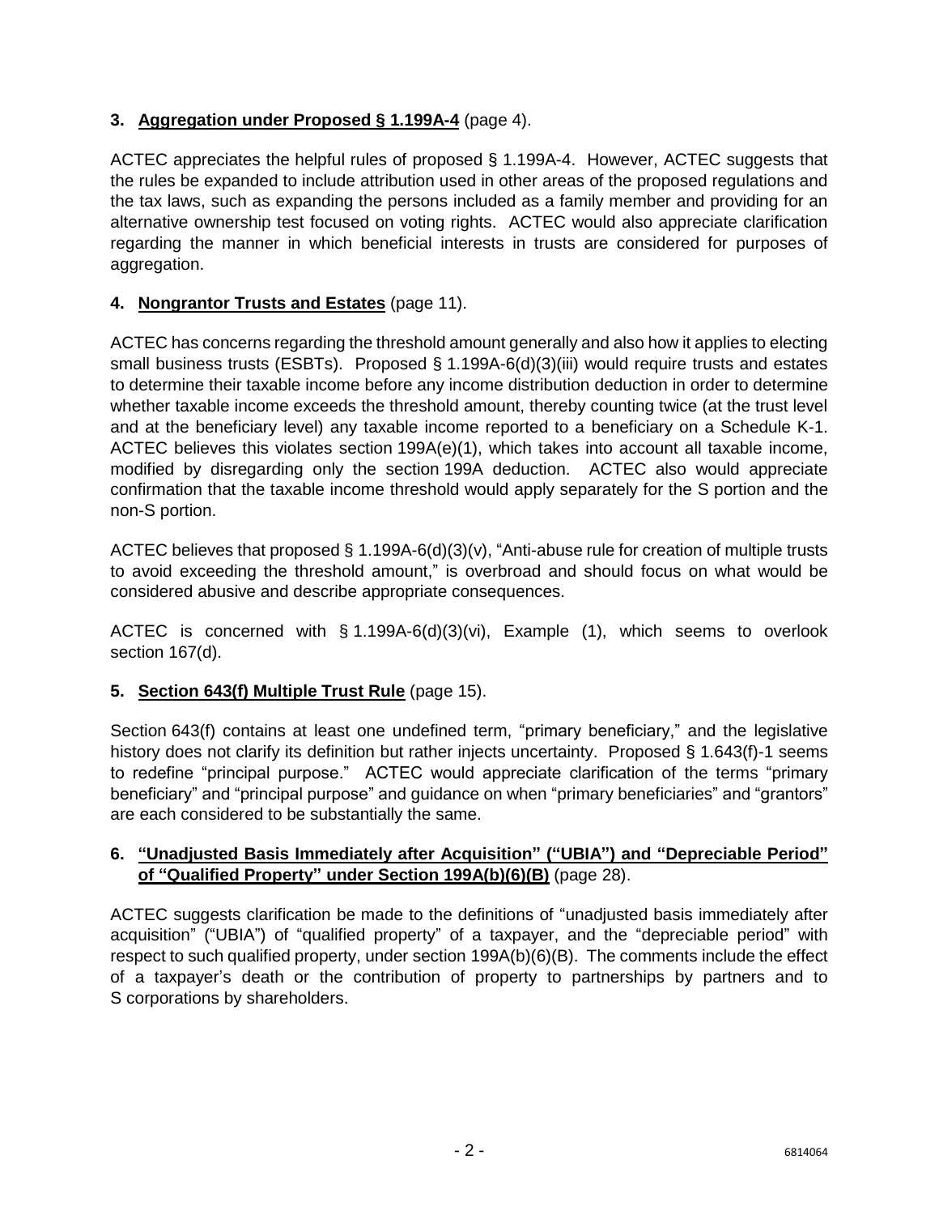# **[3.](#page-4-0) [Aggregation under Proposed §](#page-4-0) 1.199A-4** (page [4\)](#page-4-0).

ACTEC appreciates the helpful rules of proposed § 1.199A-4. However, ACTEC suggests that the rules be expanded to include attribution used in other areas of the proposed regulations and the tax laws, such as expanding the persons included as a family member and providing for an alternative ownership test focused on voting rights. ACTEC would also appreciate clarification regarding the manner in which beneficial interests in trusts are considered for purposes of aggregation.

### **[4.](#page-11-0) [Nongrantor Trusts](#page-11-0) and Estates** (page [11\)](#page-11-0).

ACTEC has concerns regarding the threshold amount generally and also how it applies to electing small business trusts (ESBTs). Proposed § 1.199A-6(d)(3)(iii) would require trusts and estates to determine their taxable income before any income distribution deduction in order to determine whether taxable income exceeds the threshold amount, thereby counting twice (at the trust level and at the beneficiary level) any taxable income reported to a beneficiary on a Schedule K-1. ACTEC believes this violates section 199A(e)(1), which takes into account all taxable income, modified by disregarding only the section 199A deduction. ACTEC also would appreciate confirmation that the taxable income threshold would apply separately for the S portion and the non-S portion.

ACTEC believes that proposed § 1.199A-6(d)(3)(v), "Anti-abuse rule for creation of multiple trusts to avoid exceeding the threshold amount," is overbroad and should focus on what would be considered abusive and describe appropriate consequences.

ACTEC is concerned with § 1.199A-6(d)(3)(vi), Example (1), which seems to overlook section 167(d).

# **[5.](#page-15-0) Section [643\(f\) Multiple Trust Rule](#page-15-0)** (page [15\)](#page-15-0).

Section 643(f) contains at least one undefined term, "primary beneficiary," and the legislative history does not clarify its definition but rather injects uncertainty. Proposed § 1.643(f)-1 seems to redefine "principal purpose." ACTEC would appreciate clarification of the terms "primary beneficiary" and "principal purpose" and guidance on when "primary beneficiaries" and "grantors" are each considered to be substantially the same.

#### **[6.](#page-28-0) ["Unadjusted Basis Immediately after Acquisition"](#page-28-0) ("UBIA") and "Depreciable Period" [of "Qualified Property"](#page-28-0) under Section 199A(b)(6)(B)** (page [28\)](#page-28-0).

ACTEC suggests clarification be made to the definitions of "unadjusted basis immediately after acquisition" ("UBIA") of "qualified property" of a taxpayer, and the "depreciable period" with respect to such qualified property, under section 199A(b)(6)(B). The comments include the effect of a taxpayer's death or the contribution of property to partnerships by partners and to S corporations by shareholders.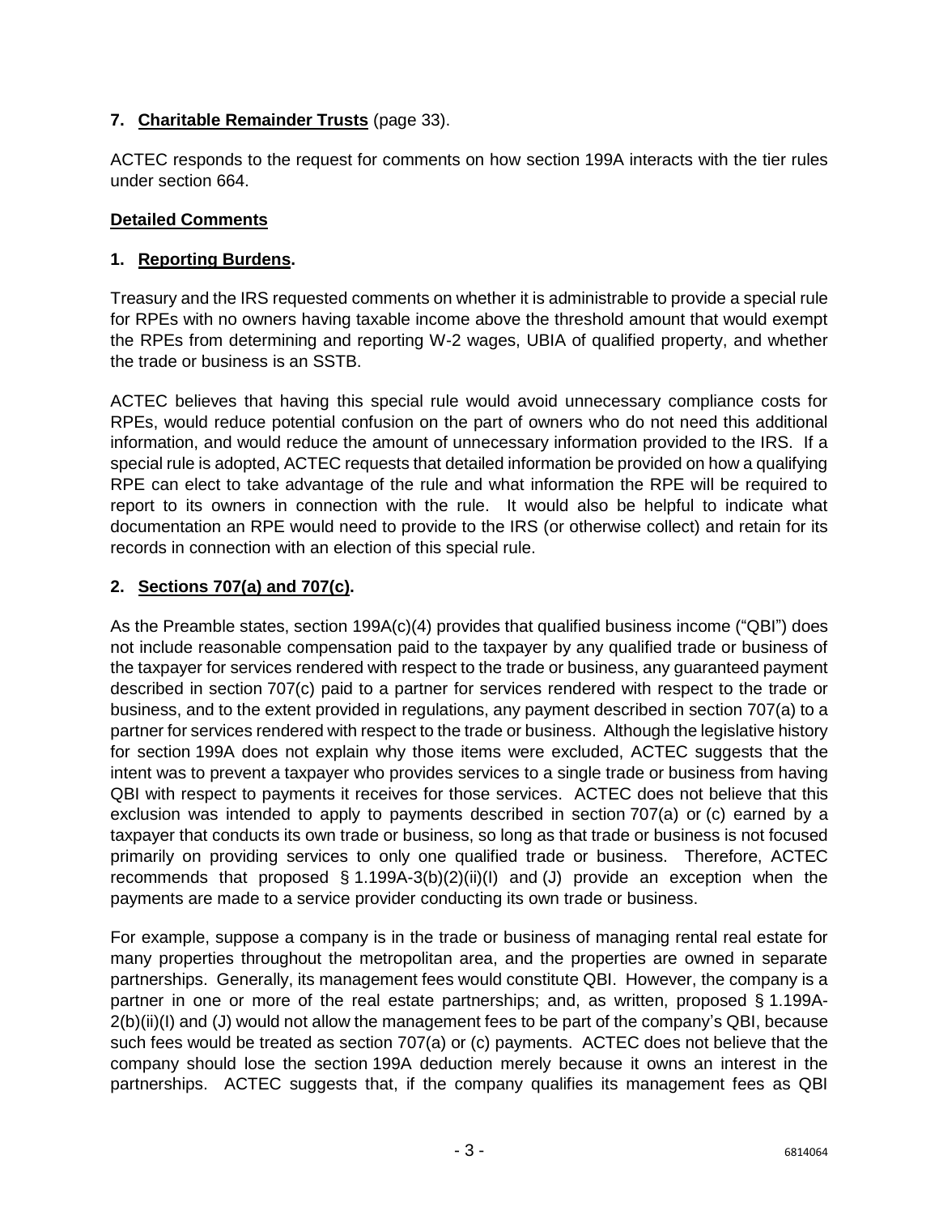## **[7.](#page-33-0) [Charitable Remainder Trusts](#page-33-0)** (page [33\)](#page-33-0).

ACTEC responds to the request for comments on how section 199A interacts with the tier rules under section 664.

### **Detailed Comments**

### <span id="page-3-0"></span>**1. Reporting Burdens.**

Treasury and the IRS requested comments on whether it is administrable to provide a special rule for RPEs with no owners having taxable income above the threshold amount that would exempt the RPEs from determining and reporting W-2 wages, UBIA of qualified property, and whether the trade or business is an SSTB.

ACTEC believes that having this special rule would avoid unnecessary compliance costs for RPEs, would reduce potential confusion on the part of owners who do not need this additional information, and would reduce the amount of unnecessary information provided to the IRS. If a special rule is adopted, ACTEC requests that detailed information be provided on how a qualifying RPE can elect to take advantage of the rule and what information the RPE will be required to report to its owners in connection with the rule. It would also be helpful to indicate what documentation an RPE would need to provide to the IRS (or otherwise collect) and retain for its records in connection with an election of this special rule.

## <span id="page-3-1"></span>**2. Sections 707(a) and 707(c).**

As the Preamble states, section 199A(c)(4) provides that qualified business income ("QBI") does not include reasonable compensation paid to the taxpayer by any qualified trade or business of the taxpayer for services rendered with respect to the trade or business, any guaranteed payment described in section 707(c) paid to a partner for services rendered with respect to the trade or business, and to the extent provided in regulations, any payment described in section 707(a) to a partner for services rendered with respect to the trade or business. Although the legislative history for section 199A does not explain why those items were excluded, ACTEC suggests that the intent was to prevent a taxpayer who provides services to a single trade or business from having QBI with respect to payments it receives for those services. ACTEC does not believe that this exclusion was intended to apply to payments described in section 707(a) or (c) earned by a taxpayer that conducts its own trade or business, so long as that trade or business is not focused primarily on providing services to only one qualified trade or business. Therefore, ACTEC recommends that proposed § 1.199A-3(b)(2)(ii)(I) and (J) provide an exception when the payments are made to a service provider conducting its own trade or business.

For example, suppose a company is in the trade or business of managing rental real estate for many properties throughout the metropolitan area, and the properties are owned in separate partnerships. Generally, its management fees would constitute QBI. However, the company is a partner in one or more of the real estate partnerships; and, as written, proposed § 1.199A-2(b)(ii)(I) and (J) would not allow the management fees to be part of the company's QBI, because such fees would be treated as section 707(a) or (c) payments. ACTEC does not believe that the company should lose the section 199A deduction merely because it owns an interest in the partnerships. ACTEC suggests that, if the company qualifies its management fees as QBI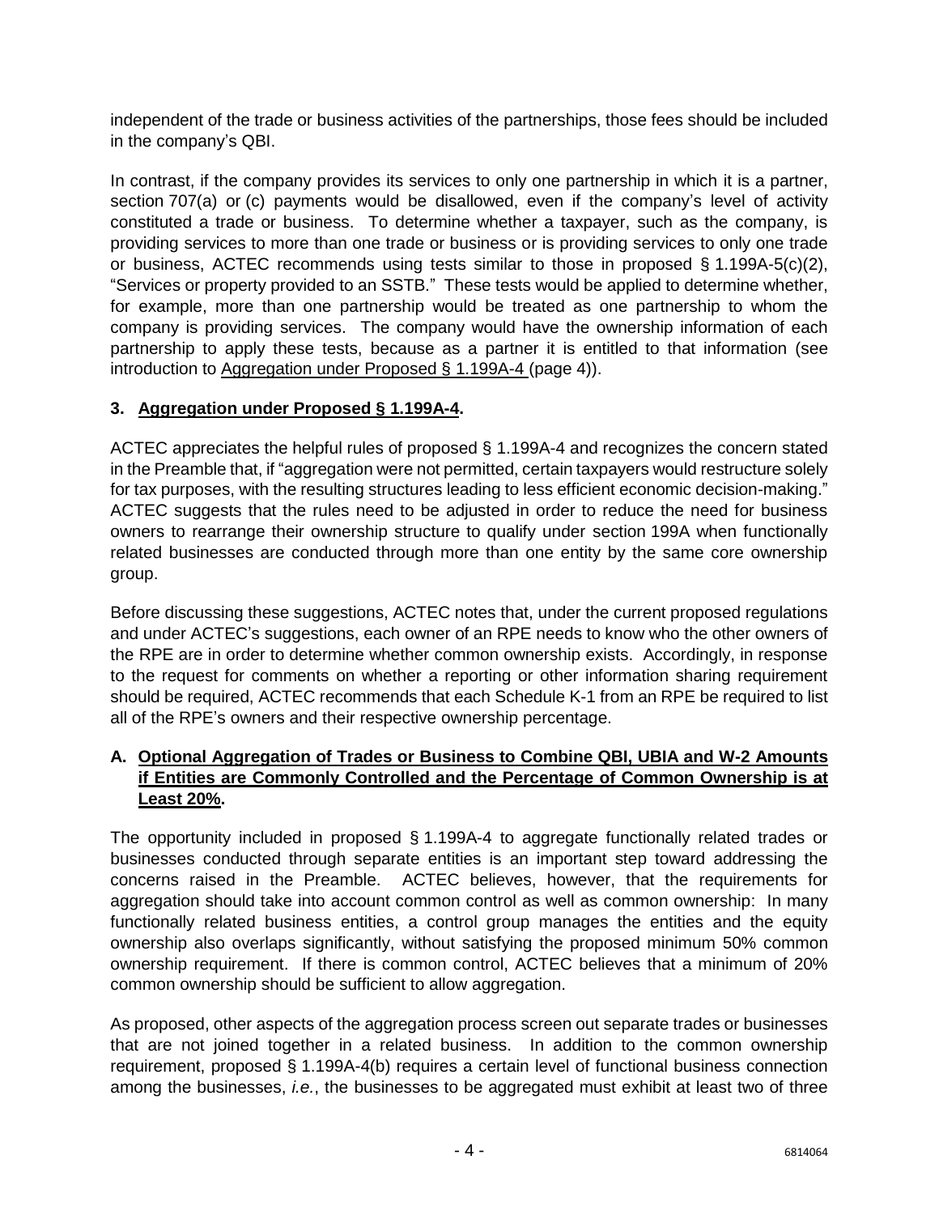independent of the trade or business activities of the partnerships, those fees should be included in the company's QBI.

In contrast, if the company provides its services to only one partnership in which it is a partner, section 707(a) or (c) payments would be disallowed, even if the company's level of activity constituted a trade or business. To determine whether a taxpayer, such as the company, is providing services to more than one trade or business or is providing services to only one trade or business, ACTEC recommends using tests similar to those in proposed  $\S$  1.199A-5(c)(2), "Services or property provided to an SSTB." These tests would be applied to determine whether, for example, more than one partnership would be treated as one partnership to whom the company is providing services. The company would have the ownership information of each partnership to apply these tests, because as a partner it is entitled to that information (see introduction to [Aggregation under Proposed §](#page-4-0) 1.199A-4 (page [4\)](#page-4-0)).

## <span id="page-4-0"></span>**3. Aggregation under Proposed § 1.199A-4.**

ACTEC appreciates the helpful rules of proposed § 1.199A-4 and recognizes the concern stated in the Preamble that, if "aggregation were not permitted, certain taxpayers would restructure solely for tax purposes, with the resulting structures leading to less efficient economic decision-making." ACTEC suggests that the rules need to be adjusted in order to reduce the need for business owners to rearrange their ownership structure to qualify under section 199A when functionally related businesses are conducted through more than one entity by the same core ownership group.

Before discussing these suggestions, ACTEC notes that, under the current proposed regulations and under ACTEC's suggestions, each owner of an RPE needs to know who the other owners of the RPE are in order to determine whether common ownership exists. Accordingly, in response to the request for comments on whether a reporting or other information sharing requirement should be required, ACTEC recommends that each Schedule K-1 from an RPE be required to list all of the RPE's owners and their respective ownership percentage.

#### **A. Optional Aggregation of Trades or Business to Combine QBI, UBIA and W-2 Amounts if Entities are Commonly Controlled and the Percentage of Common Ownership is at Least 20%.**

The opportunity included in proposed § 1.199A-4 to aggregate functionally related trades or businesses conducted through separate entities is an important step toward addressing the concerns raised in the Preamble. ACTEC believes, however, that the requirements for aggregation should take into account common control as well as common ownership: In many functionally related business entities, a control group manages the entities and the equity ownership also overlaps significantly, without satisfying the proposed minimum 50% common ownership requirement. If there is common control, ACTEC believes that a minimum of 20% common ownership should be sufficient to allow aggregation.

As proposed, other aspects of the aggregation process screen out separate trades or businesses that are not joined together in a related business. In addition to the common ownership requirement, proposed § 1.199A-4(b) requires a certain level of functional business connection among the businesses, *i.e.*, the businesses to be aggregated must exhibit at least two of three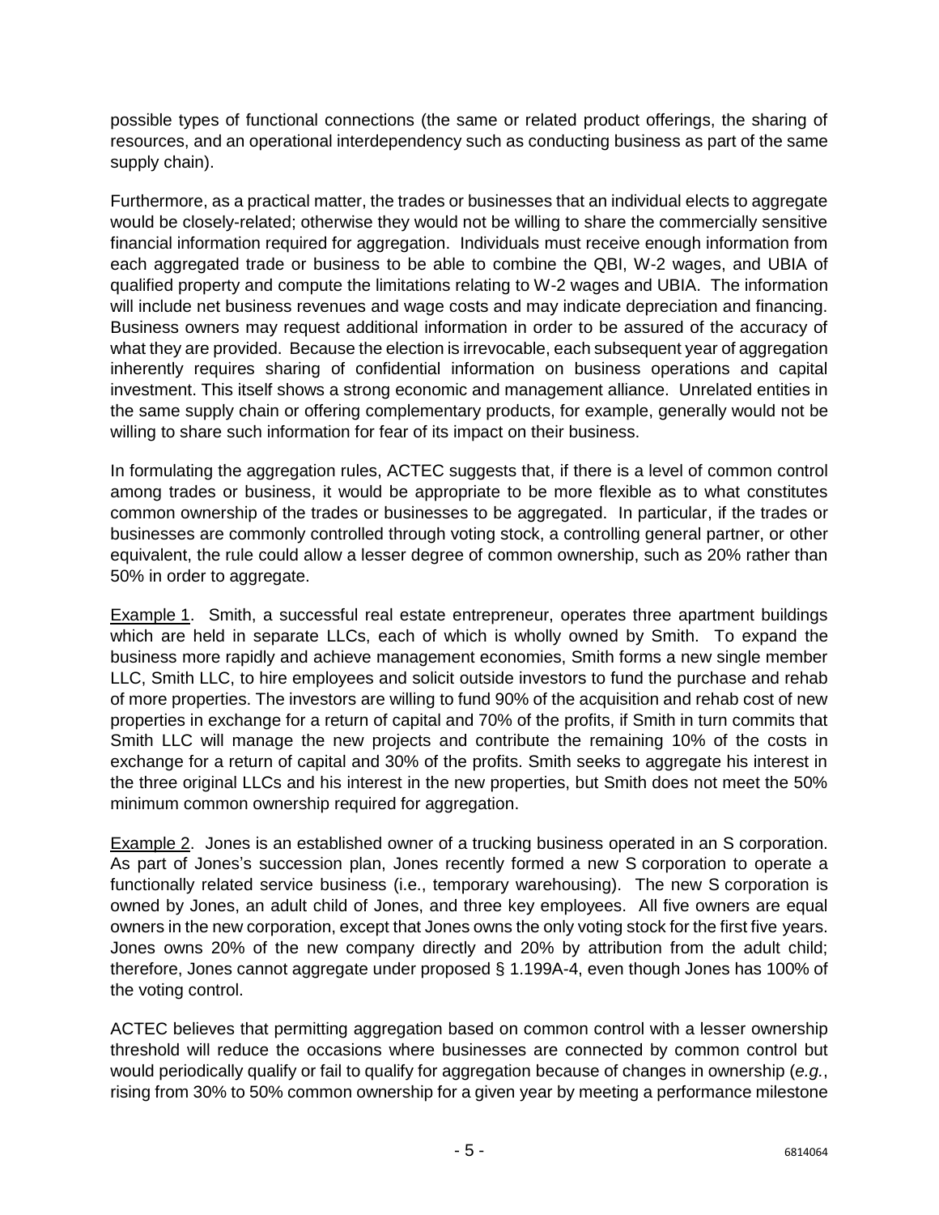possible types of functional connections (the same or related product offerings, the sharing of resources, and an operational interdependency such as conducting business as part of the same supply chain).

Furthermore, as a practical matter, the trades or businesses that an individual elects to aggregate would be closely-related; otherwise they would not be willing to share the commercially sensitive financial information required for aggregation. Individuals must receive enough information from each aggregated trade or business to be able to combine the QBI, W-2 wages, and UBIA of qualified property and compute the limitations relating to W-2 wages and UBIA. The information will include net business revenues and wage costs and may indicate depreciation and financing. Business owners may request additional information in order to be assured of the accuracy of what they are provided. Because the election is irrevocable, each subsequent year of aggregation inherently requires sharing of confidential information on business operations and capital investment. This itself shows a strong economic and management alliance. Unrelated entities in the same supply chain or offering complementary products, for example, generally would not be willing to share such information for fear of its impact on their business.

In formulating the aggregation rules, ACTEC suggests that, if there is a level of common control among trades or business, it would be appropriate to be more flexible as to what constitutes common ownership of the trades or businesses to be aggregated. In particular, if the trades or businesses are commonly controlled through voting stock, a controlling general partner, or other equivalent, the rule could allow a lesser degree of common ownership, such as 20% rather than 50% in order to aggregate.

Example 1. Smith, a successful real estate entrepreneur, operates three apartment buildings which are held in separate LLCs, each of which is wholly owned by Smith. To expand the business more rapidly and achieve management economies, Smith forms a new single member LLC, Smith LLC, to hire employees and solicit outside investors to fund the purchase and rehab of more properties. The investors are willing to fund 90% of the acquisition and rehab cost of new properties in exchange for a return of capital and 70% of the profits, if Smith in turn commits that Smith LLC will manage the new projects and contribute the remaining 10% of the costs in exchange for a return of capital and 30% of the profits. Smith seeks to aggregate his interest in the three original LLCs and his interest in the new properties, but Smith does not meet the 50% minimum common ownership required for aggregation.

Example 2. Jones is an established owner of a trucking business operated in an S corporation. As part of Jones's succession plan, Jones recently formed a new S corporation to operate a functionally related service business (i.e., temporary warehousing). The new S corporation is owned by Jones, an adult child of Jones, and three key employees. All five owners are equal owners in the new corporation, except that Jones owns the only voting stock for the first five years. Jones owns 20% of the new company directly and 20% by attribution from the adult child; therefore, Jones cannot aggregate under proposed § 1.199A-4, even though Jones has 100% of the voting control.

ACTEC believes that permitting aggregation based on common control with a lesser ownership threshold will reduce the occasions where businesses are connected by common control but would periodically qualify or fail to qualify for aggregation because of changes in ownership (*e.g.*, rising from 30% to 50% common ownership for a given year by meeting a performance milestone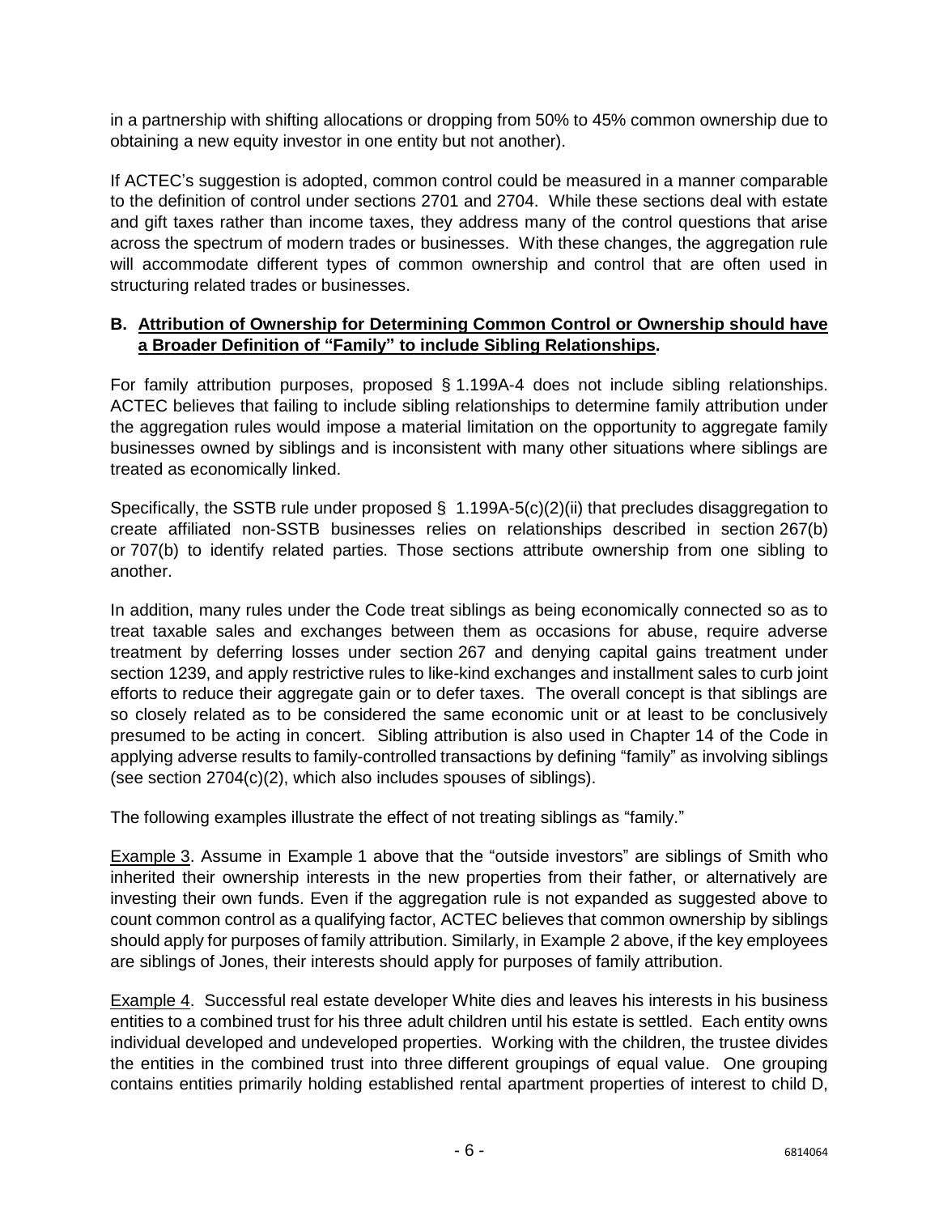in a partnership with shifting allocations or dropping from 50% to 45% common ownership due to obtaining a new equity investor in one entity but not another).

If ACTEC's suggestion is adopted, common control could be measured in a manner comparable to the definition of control under sections 2701 and 2704. While these sections deal with estate and gift taxes rather than income taxes, they address many of the control questions that arise across the spectrum of modern trades or businesses. With these changes, the aggregation rule will accommodate different types of common ownership and control that are often used in structuring related trades or businesses.

### **B. Attribution of Ownership for Determining Common Control or Ownership should have a Broader Definition of "Family" to include Sibling Relationships.**

For family attribution purposes, proposed § 1.199A-4 does not include sibling relationships. ACTEC believes that failing to include sibling relationships to determine family attribution under the aggregation rules would impose a material limitation on the opportunity to aggregate family businesses owned by siblings and is inconsistent with many other situations where siblings are treated as economically linked.

Specifically, the SSTB rule under proposed  $\S$  1.199A-5(c)(2)(ii) that precludes disaggregation to create affiliated non-SSTB businesses relies on relationships described in section 267(b) or 707(b) to identify related parties. Those sections attribute ownership from one sibling to another.

In addition, many rules under the Code treat siblings as being economically connected so as to treat taxable sales and exchanges between them as occasions for abuse, require adverse treatment by deferring losses under section 267 and denying capital gains treatment under section 1239, and apply restrictive rules to like-kind exchanges and installment sales to curb joint efforts to reduce their aggregate gain or to defer taxes. The overall concept is that siblings are so closely related as to be considered the same economic unit or at least to be conclusively presumed to be acting in concert. Sibling attribution is also used in Chapter 14 of the Code in applying adverse results to family-controlled transactions by defining "family" as involving siblings (see section 2704(c)(2), which also includes spouses of siblings).

The following examples illustrate the effect of not treating siblings as "family."

Example 3. Assume in Example 1 above that the "outside investors" are siblings of Smith who inherited their ownership interests in the new properties from their father, or alternatively are investing their own funds. Even if the aggregation rule is not expanded as suggested above to count common control as a qualifying factor, ACTEC believes that common ownership by siblings should apply for purposes of family attribution. Similarly, in Example 2 above, if the key employees are siblings of Jones, their interests should apply for purposes of family attribution.

Example 4. Successful real estate developer White dies and leaves his interests in his business entities to a combined trust for his three adult children until his estate is settled. Each entity owns individual developed and undeveloped properties. Working with the children, the trustee divides the entities in the combined trust into three different groupings of equal value. One grouping contains entities primarily holding established rental apartment properties of interest to child D,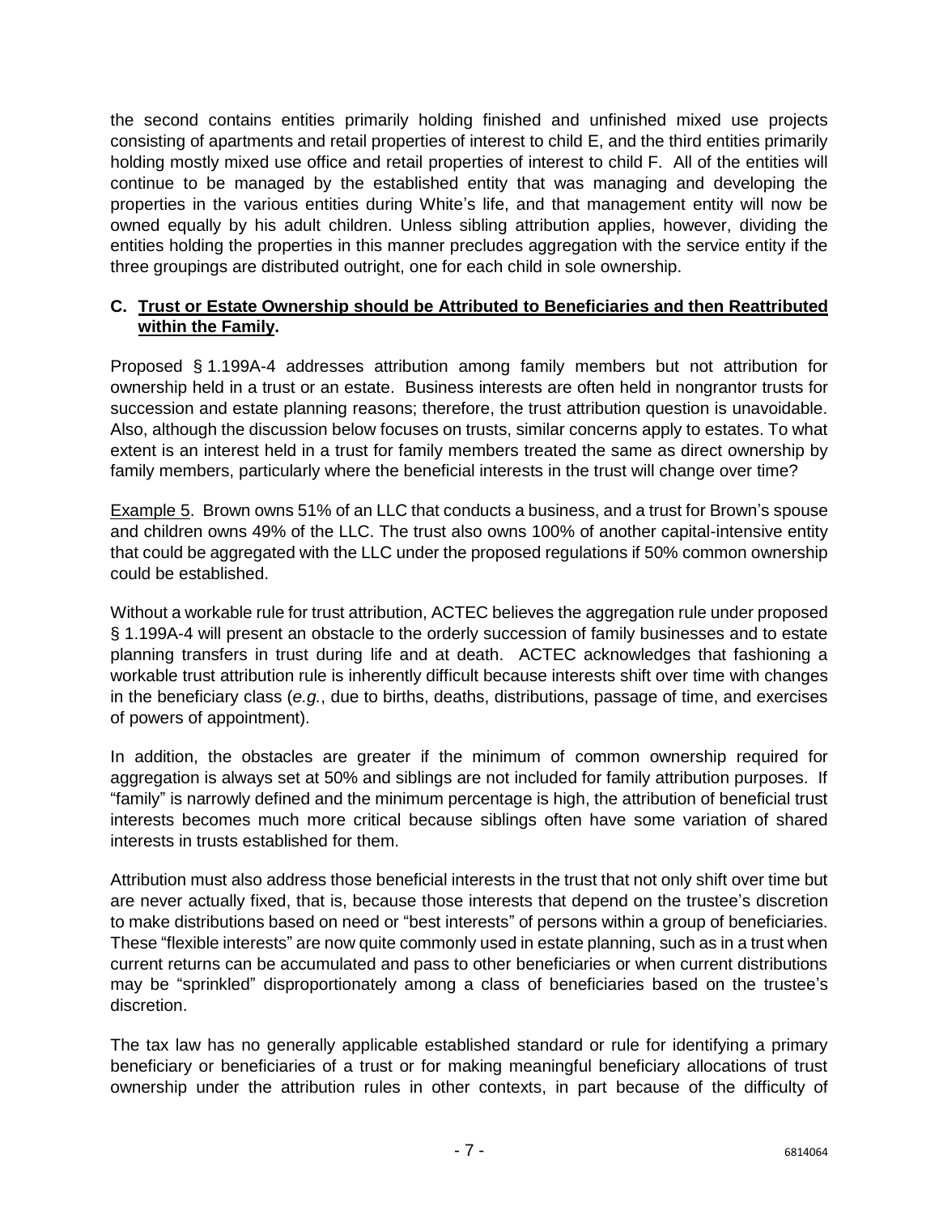the second contains entities primarily holding finished and unfinished mixed use projects consisting of apartments and retail properties of interest to child E, and the third entities primarily holding mostly mixed use office and retail properties of interest to child F. All of the entities will continue to be managed by the established entity that was managing and developing the properties in the various entities during White's life, and that management entity will now be owned equally by his adult children. Unless sibling attribution applies, however, dividing the entities holding the properties in this manner precludes aggregation with the service entity if the three groupings are distributed outright, one for each child in sole ownership.

### **C. Trust or Estate Ownership should be Attributed to Beneficiaries and then Reattributed within the Family.**

Proposed § 1.199A-4 addresses attribution among family members but not attribution for ownership held in a trust or an estate. Business interests are often held in nongrantor trusts for succession and estate planning reasons; therefore, the trust attribution question is unavoidable. Also, although the discussion below focuses on trusts, similar concerns apply to estates. To what extent is an interest held in a trust for family members treated the same as direct ownership by family members, particularly where the beneficial interests in the trust will change over time?

Example 5. Brown owns 51% of an LLC that conducts a business, and a trust for Brown's spouse and children owns 49% of the LLC. The trust also owns 100% of another capital-intensive entity that could be aggregated with the LLC under the proposed regulations if 50% common ownership could be established.

Without a workable rule for trust attribution, ACTEC believes the aggregation rule under proposed § 1.199A-4 will present an obstacle to the orderly succession of family businesses and to estate planning transfers in trust during life and at death. ACTEC acknowledges that fashioning a workable trust attribution rule is inherently difficult because interests shift over time with changes in the beneficiary class (*e.g.*, due to births, deaths, distributions, passage of time, and exercises of powers of appointment).

In addition, the obstacles are greater if the minimum of common ownership required for aggregation is always set at 50% and siblings are not included for family attribution purposes. If "family" is narrowly defined and the minimum percentage is high, the attribution of beneficial trust interests becomes much more critical because siblings often have some variation of shared interests in trusts established for them.

Attribution must also address those beneficial interests in the trust that not only shift over time but are never actually fixed, that is, because those interests that depend on the trustee's discretion to make distributions based on need or "best interests" of persons within a group of beneficiaries. These "flexible interests" are now quite commonly used in estate planning, such as in a trust when current returns can be accumulated and pass to other beneficiaries or when current distributions may be "sprinkled" disproportionately among a class of beneficiaries based on the trustee's discretion.

The tax law has no generally applicable established standard or rule for identifying a primary beneficiary or beneficiaries of a trust or for making meaningful beneficiary allocations of trust ownership under the attribution rules in other contexts, in part because of the difficulty of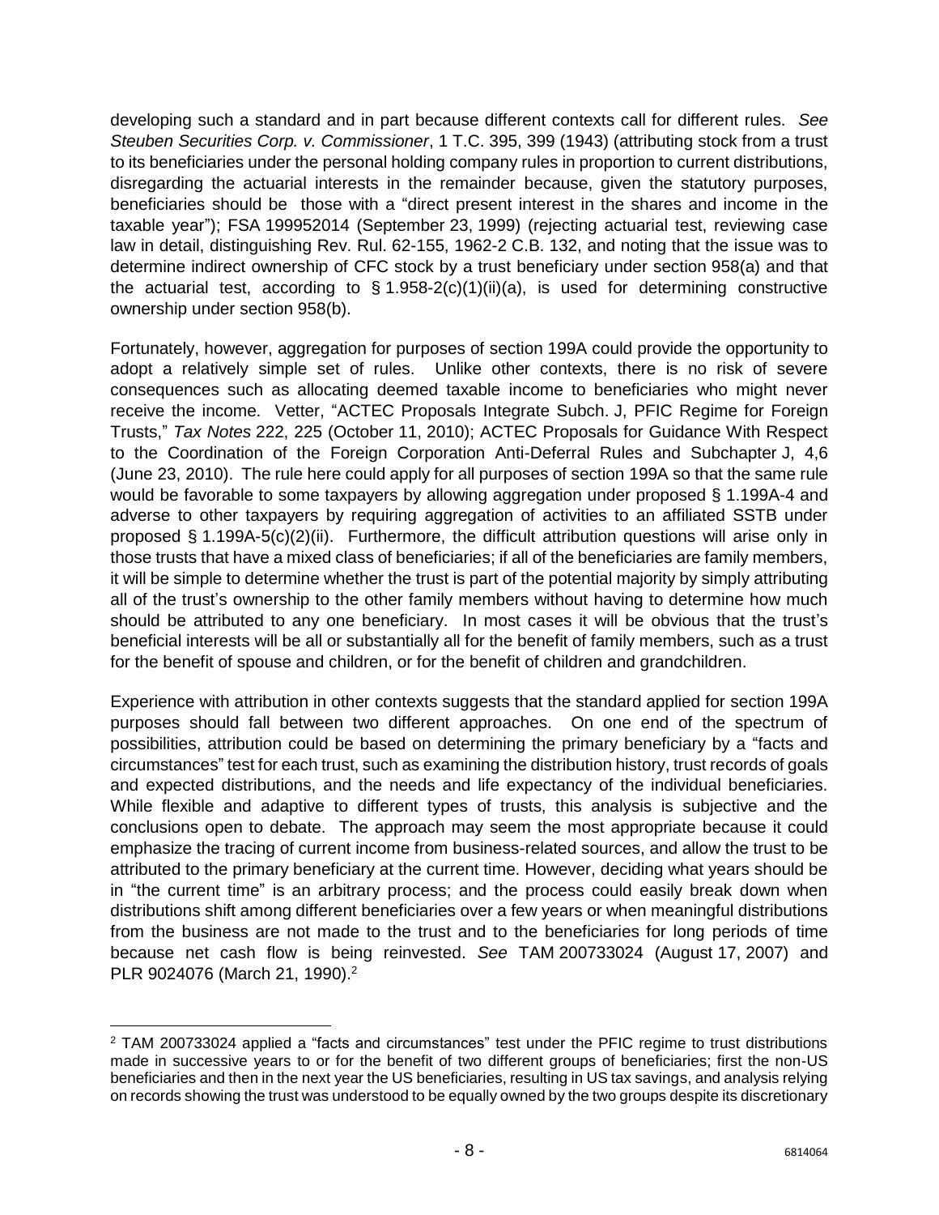developing such a standard and in part because different contexts call for different rules. *See Steuben Securities Corp. v. Commissioner*, 1 T.C. 395, 399 (1943) (attributing stock from a trust to its beneficiaries under the personal holding company rules in proportion to current distributions, disregarding the actuarial interests in the remainder because, given the statutory purposes, beneficiaries should be those with a "direct present interest in the shares and income in the taxable year"); FSA 199952014 (September 23, 1999) (rejecting actuarial test, reviewing case law in detail, distinguishing Rev. Rul. 62-155, 1962-2 C.B. 132, and noting that the issue was to determine indirect ownership of CFC stock by a trust beneficiary under section 958(a) and that the actuarial test, according to  $\S 1.958-2(c)(1)(ii)(a)$ , is used for determining constructive ownership under section 958(b).

Fortunately, however, aggregation for purposes of section 199A could provide the opportunity to adopt a relatively simple set of rules. Unlike other contexts, there is no risk of severe consequences such as allocating deemed taxable income to beneficiaries who might never receive the income. Vetter, "ACTEC Proposals Integrate Subch. J, PFIC Regime for Foreign Trusts," *Tax Notes* 222, 225 (October 11, 2010); ACTEC Proposals for Guidance With Respect to the Coordination of the Foreign Corporation Anti-Deferral Rules and Subchapter J, 4,6 (June 23, 2010). The rule here could apply for all purposes of section 199A so that the same rule would be favorable to some taxpayers by allowing aggregation under proposed § 1.199A-4 and adverse to other taxpayers by requiring aggregation of activities to an affiliated SSTB under proposed § 1.199A-5(c)(2)(ii). Furthermore, the difficult attribution questions will arise only in those trusts that have a mixed class of beneficiaries; if all of the beneficiaries are family members, it will be simple to determine whether the trust is part of the potential majority by simply attributing all of the trust's ownership to the other family members without having to determine how much should be attributed to any one beneficiary. In most cases it will be obvious that the trust's beneficial interests will be all or substantially all for the benefit of family members, such as a trust for the benefit of spouse and children, or for the benefit of children and grandchildren.

Experience with attribution in other contexts suggests that the standard applied for section 199A purposes should fall between two different approaches. On one end of the spectrum of possibilities, attribution could be based on determining the primary beneficiary by a "facts and circumstances" test for each trust, such as examining the distribution history, trust records of goals and expected distributions, and the needs and life expectancy of the individual beneficiaries. While flexible and adaptive to different types of trusts, this analysis is subjective and the conclusions open to debate. The approach may seem the most appropriate because it could emphasize the tracing of current income from business-related sources, and allow the trust to be attributed to the primary beneficiary at the current time. However, deciding what years should be in "the current time" is an arbitrary process; and the process could easily break down when distributions shift among different beneficiaries over a few years or when meaningful distributions from the business are not made to the trust and to the beneficiaries for long periods of time because net cash flow is being reinvested. *See* TAM 200733024 (August 17, 2007) and PLR 9024076 (March 21, 1990).<sup>2</sup>

 $\overline{\phantom{a}}$ 

<sup>2</sup> TAM 200733024 applied a "facts and circumstances" test under the PFIC regime to trust distributions made in successive years to or for the benefit of two different groups of beneficiaries; first the non-US beneficiaries and then in the next year the US beneficiaries, resulting in US tax savings, and analysis relying on records showing the trust was understood to be equally owned by the two groups despite its discretionary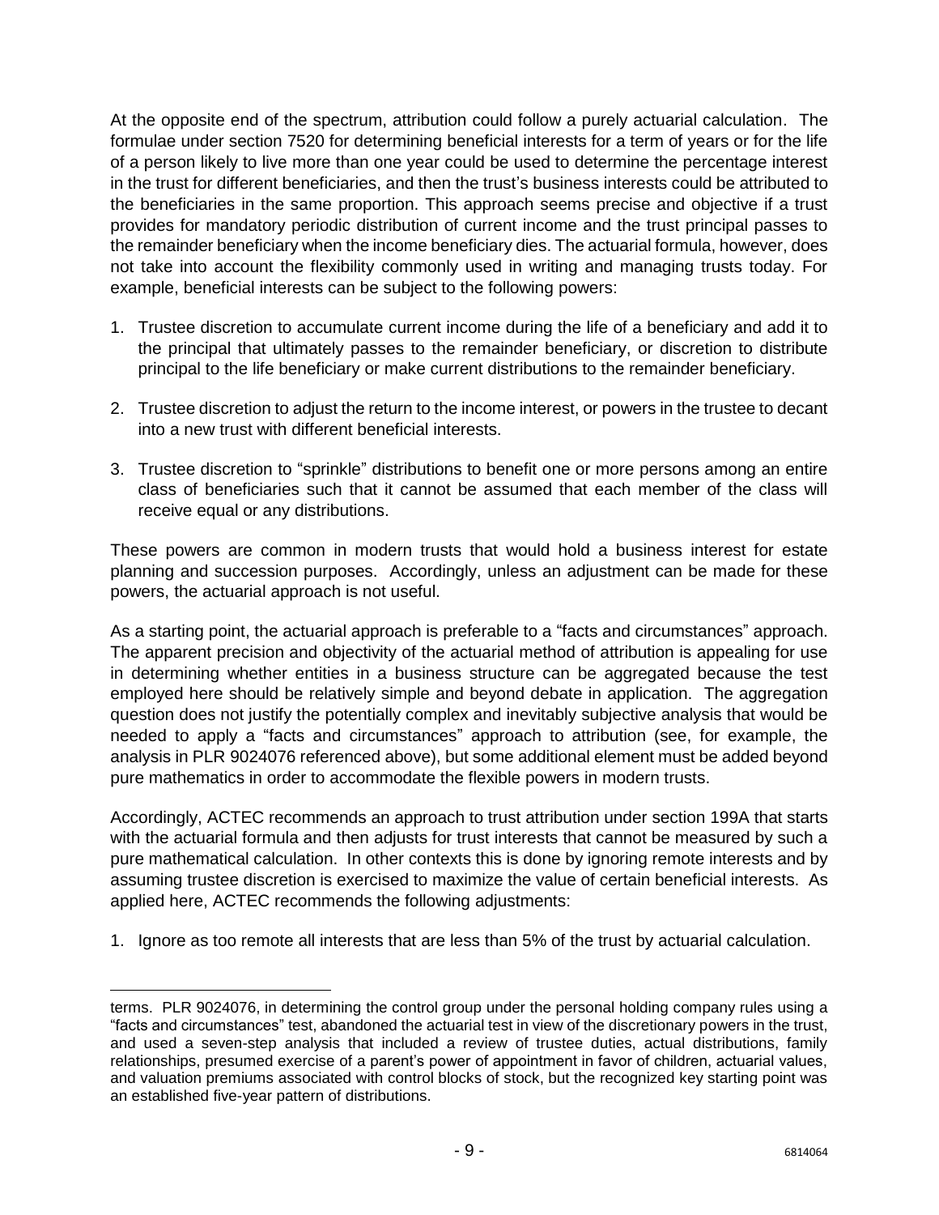At the opposite end of the spectrum, attribution could follow a purely actuarial calculation. The formulae under section 7520 for determining beneficial interests for a term of years or for the life of a person likely to live more than one year could be used to determine the percentage interest in the trust for different beneficiaries, and then the trust's business interests could be attributed to the beneficiaries in the same proportion. This approach seems precise and objective if a trust provides for mandatory periodic distribution of current income and the trust principal passes to the remainder beneficiary when the income beneficiary dies. The actuarial formula, however, does not take into account the flexibility commonly used in writing and managing trusts today. For example, beneficial interests can be subject to the following powers:

- 1. Trustee discretion to accumulate current income during the life of a beneficiary and add it to the principal that ultimately passes to the remainder beneficiary, or discretion to distribute principal to the life beneficiary or make current distributions to the remainder beneficiary.
- 2. Trustee discretion to adjust the return to the income interest, or powers in the trustee to decant into a new trust with different beneficial interests.
- 3. Trustee discretion to "sprinkle" distributions to benefit one or more persons among an entire class of beneficiaries such that it cannot be assumed that each member of the class will receive equal or any distributions.

These powers are common in modern trusts that would hold a business interest for estate planning and succession purposes. Accordingly, unless an adjustment can be made for these powers, the actuarial approach is not useful.

As a starting point, the actuarial approach is preferable to a "facts and circumstances" approach. The apparent precision and objectivity of the actuarial method of attribution is appealing for use in determining whether entities in a business structure can be aggregated because the test employed here should be relatively simple and beyond debate in application. The aggregation question does not justify the potentially complex and inevitably subjective analysis that would be needed to apply a "facts and circumstances" approach to attribution (see, for example, the analysis in PLR 9024076 referenced above), but some additional element must be added beyond pure mathematics in order to accommodate the flexible powers in modern trusts.

Accordingly, ACTEC recommends an approach to trust attribution under section 199A that starts with the actuarial formula and then adjusts for trust interests that cannot be measured by such a pure mathematical calculation. In other contexts this is done by ignoring remote interests and by assuming trustee discretion is exercised to maximize the value of certain beneficial interests. As applied here, ACTEC recommends the following adjustments:

1. Ignore as too remote all interests that are less than 5% of the trust by actuarial calculation.

l terms. PLR 9024076, in determining the control group under the personal holding company rules using a "facts and circumstances" test, abandoned the actuarial test in view of the discretionary powers in the trust, and used a seven-step analysis that included a review of trustee duties, actual distributions, family relationships, presumed exercise of a parent's power of appointment in favor of children, actuarial values, and valuation premiums associated with control blocks of stock, but the recognized key starting point was an established five-year pattern of distributions.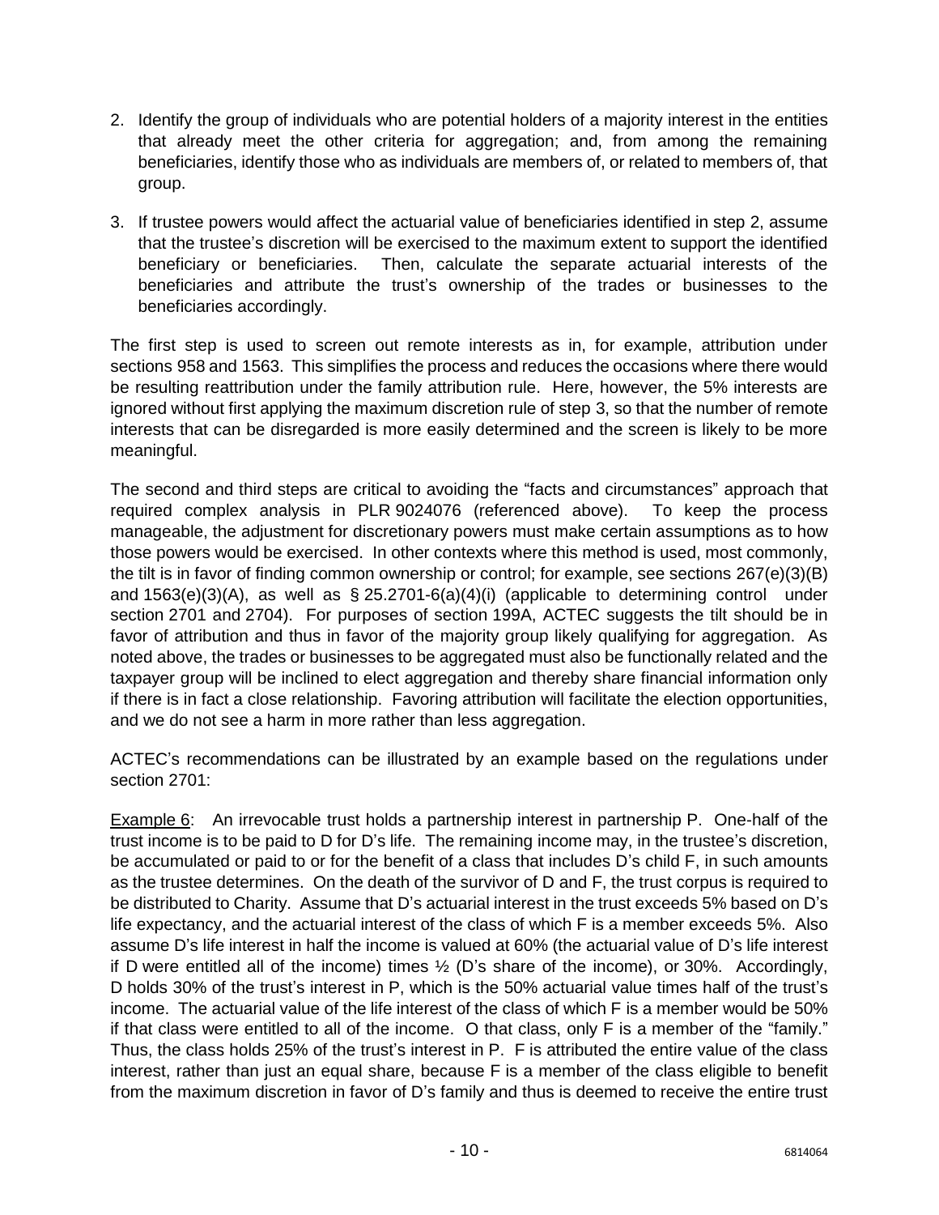- 2. Identify the group of individuals who are potential holders of a majority interest in the entities that already meet the other criteria for aggregation; and, from among the remaining beneficiaries, identify those who as individuals are members of, or related to members of, that group.
- 3. If trustee powers would affect the actuarial value of beneficiaries identified in step 2, assume that the trustee's discretion will be exercised to the maximum extent to support the identified beneficiary or beneficiaries. Then, calculate the separate actuarial interests of the beneficiaries and attribute the trust's ownership of the trades or businesses to the beneficiaries accordingly.

The first step is used to screen out remote interests as in, for example, attribution under sections 958 and 1563. This simplifies the process and reduces the occasions where there would be resulting reattribution under the family attribution rule. Here, however, the 5% interests are ignored without first applying the maximum discretion rule of step 3, so that the number of remote interests that can be disregarded is more easily determined and the screen is likely to be more meaningful.

The second and third steps are critical to avoiding the "facts and circumstances" approach that required complex analysis in PLR 9024076 (referenced above). To keep the process manageable, the adjustment for discretionary powers must make certain assumptions as to how those powers would be exercised. In other contexts where this method is used, most commonly, the tilt is in favor of finding common ownership or control; for example, see sections 267(e)(3)(B) and  $1563(e)(3)(A)$ , as well as § 25.2701-6(a)(4)(i) (applicable to determining control under section 2701 and 2704). For purposes of section 199A, ACTEC suggests the tilt should be in favor of attribution and thus in favor of the majority group likely qualifying for aggregation. As noted above, the trades or businesses to be aggregated must also be functionally related and the taxpayer group will be inclined to elect aggregation and thereby share financial information only if there is in fact a close relationship. Favoring attribution will facilitate the election opportunities, and we do not see a harm in more rather than less aggregation.

ACTEC's recommendations can be illustrated by an example based on the regulations under section 2701:

Example 6: An irrevocable trust holds a partnership interest in partnership P. One-half of the trust income is to be paid to D for D's life. The remaining income may, in the trustee's discretion, be accumulated or paid to or for the benefit of a class that includes D's child F, in such amounts as the trustee determines. On the death of the survivor of D and F, the trust corpus is required to be distributed to Charity. Assume that D's actuarial interest in the trust exceeds 5% based on D's life expectancy, and the actuarial interest of the class of which F is a member exceeds 5%. Also assume D's life interest in half the income is valued at 60% (the actuarial value of D's life interest if D were entitled all of the income) times  $\frac{1}{2}$  (D's share of the income), or 30%. Accordingly, D holds 30% of the trust's interest in P, which is the 50% actuarial value times half of the trust's income. The actuarial value of the life interest of the class of which F is a member would be 50% if that class were entitled to all of the income. O that class, only F is a member of the "family." Thus, the class holds 25% of the trust's interest in P. F is attributed the entire value of the class interest, rather than just an equal share, because F is a member of the class eligible to benefit from the maximum discretion in favor of D's family and thus is deemed to receive the entire trust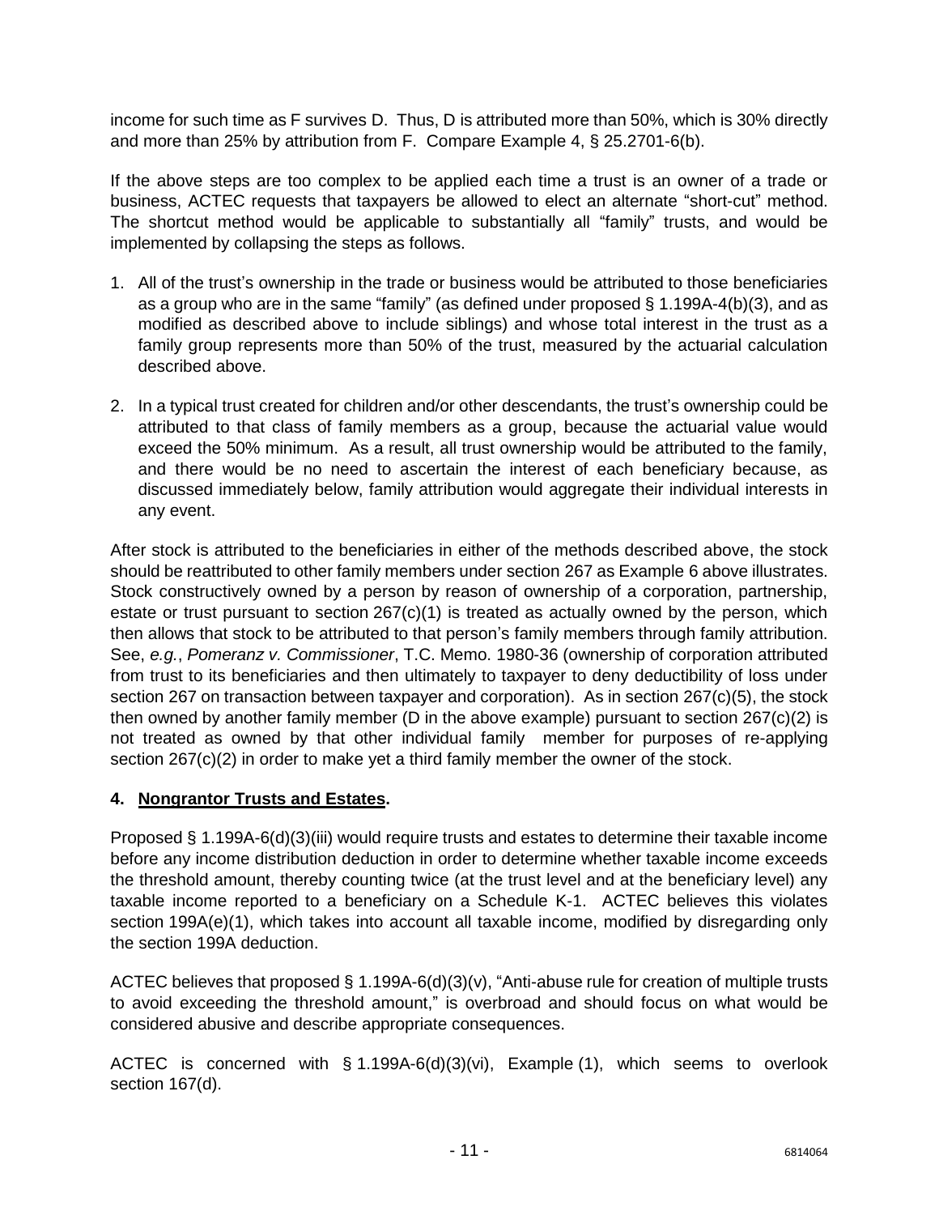income for such time as F survives D. Thus, D is attributed more than 50%, which is 30% directly and more than 25% by attribution from F. Compare Example 4, § 25.2701-6(b).

If the above steps are too complex to be applied each time a trust is an owner of a trade or business, ACTEC requests that taxpayers be allowed to elect an alternate "short-cut" method. The shortcut method would be applicable to substantially all "family" trusts, and would be implemented by collapsing the steps as follows.

- 1. All of the trust's ownership in the trade or business would be attributed to those beneficiaries as a group who are in the same "family" (as defined under proposed § 1.199A-4(b)(3), and as modified as described above to include siblings) and whose total interest in the trust as a family group represents more than 50% of the trust, measured by the actuarial calculation described above.
- 2. In a typical trust created for children and/or other descendants, the trust's ownership could be attributed to that class of family members as a group, because the actuarial value would exceed the 50% minimum. As a result, all trust ownership would be attributed to the family, and there would be no need to ascertain the interest of each beneficiary because, as discussed immediately below, family attribution would aggregate their individual interests in any event.

After stock is attributed to the beneficiaries in either of the methods described above, the stock should be reattributed to other family members under section 267 as Example 6 above illustrates. Stock constructively owned by a person by reason of ownership of a corporation, partnership, estate or trust pursuant to section  $267(c)(1)$  is treated as actually owned by the person, which then allows that stock to be attributed to that person's family members through family attribution. See, *e.g.*, *Pomeranz v. Commissioner*, T.C. Memo. 1980-36 (ownership of corporation attributed from trust to its beneficiaries and then ultimately to taxpayer to deny deductibility of loss under section 267 on transaction between taxpayer and corporation). As in section 267(c)(5), the stock then owned by another family member (D in the above example) pursuant to section 267(c)(2) is not treated as owned by that other individual family member for purposes of re-applying section 267(c)(2) in order to make yet a third family member the owner of the stock.

### <span id="page-11-0"></span>**4. Nongrantor Trusts and Estates.**

Proposed § 1.199A-6(d)(3)(iii) would require trusts and estates to determine their taxable income before any income distribution deduction in order to determine whether taxable income exceeds the threshold amount, thereby counting twice (at the trust level and at the beneficiary level) any taxable income reported to a beneficiary on a Schedule K-1. ACTEC believes this violates section 199A(e)(1), which takes into account all taxable income, modified by disregarding only the section 199A deduction.

ACTEC believes that proposed § 1.199A-6(d)(3)(v), "Anti-abuse rule for creation of multiple trusts to avoid exceeding the threshold amount," is overbroad and should focus on what would be considered abusive and describe appropriate consequences.

ACTEC is concerned with § 1.199A-6(d)(3)(vi), Example (1), which seems to overlook section 167(d).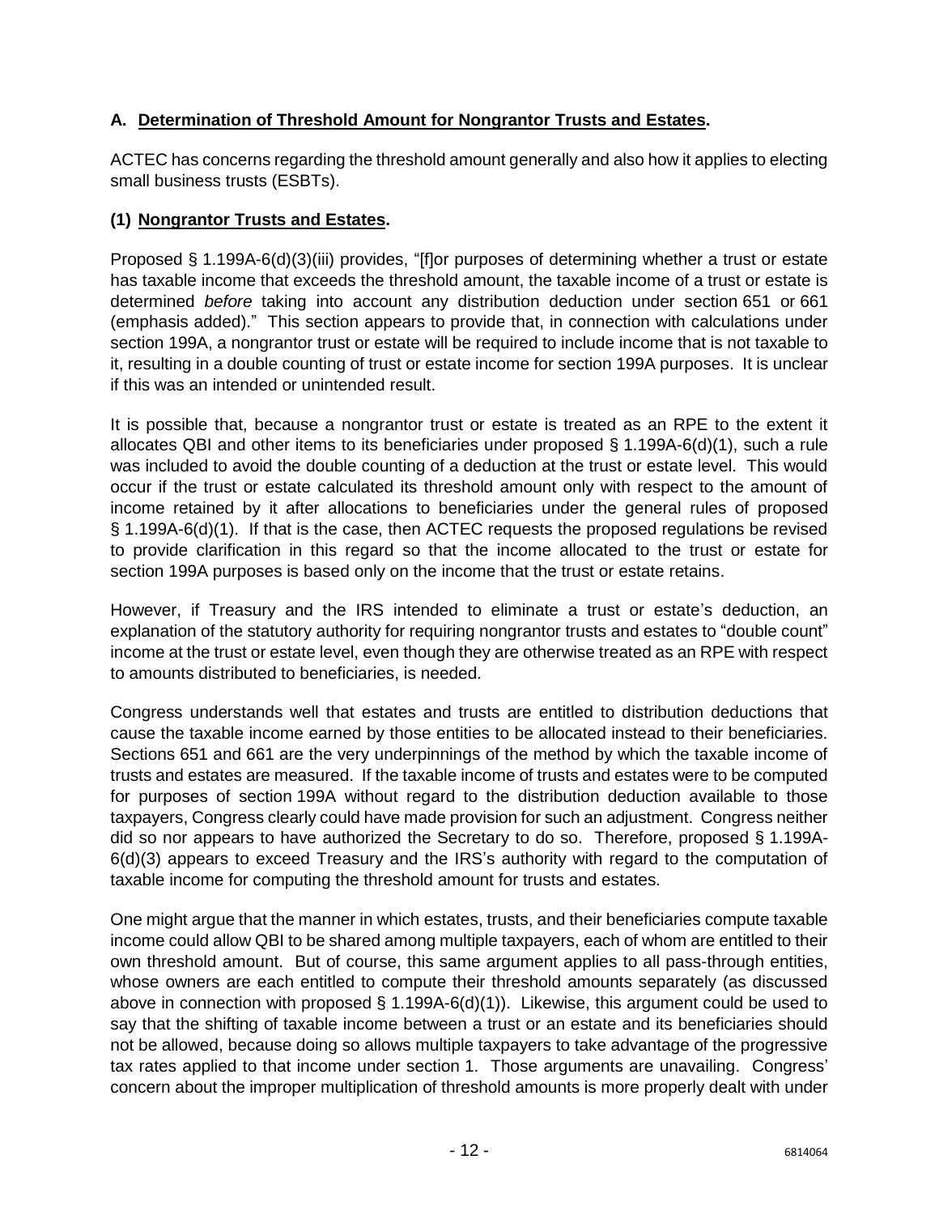# **A. Determination of Threshold Amount for Nongrantor Trusts and Estates.**

ACTEC has concerns regarding the threshold amount generally and also how it applies to electing small business trusts (ESBTs).

#### **(1) Nongrantor Trusts and Estates.**

Proposed § 1.199A-6(d)(3)(iii) provides, "[f]or purposes of determining whether a trust or estate has taxable income that exceeds the threshold amount, the taxable income of a trust or estate is determined *before* taking into account any distribution deduction under section 651 or 661 (emphasis added)." This section appears to provide that, in connection with calculations under section 199A, a nongrantor trust or estate will be required to include income that is not taxable to it, resulting in a double counting of trust or estate income for section 199A purposes. It is unclear if this was an intended or unintended result.

It is possible that, because a nongrantor trust or estate is treated as an RPE to the extent it allocates QBI and other items to its beneficiaries under proposed § 1.199A-6(d)(1), such a rule was included to avoid the double counting of a deduction at the trust or estate level. This would occur if the trust or estate calculated its threshold amount only with respect to the amount of income retained by it after allocations to beneficiaries under the general rules of proposed § 1.199A-6(d)(1). If that is the case, then ACTEC requests the proposed regulations be revised to provide clarification in this regard so that the income allocated to the trust or estate for section 199A purposes is based only on the income that the trust or estate retains.

However, if Treasury and the IRS intended to eliminate a trust or estate's deduction, an explanation of the statutory authority for requiring nongrantor trusts and estates to "double count" income at the trust or estate level, even though they are otherwise treated as an RPE with respect to amounts distributed to beneficiaries, is needed.

Congress understands well that estates and trusts are entitled to distribution deductions that cause the taxable income earned by those entities to be allocated instead to their beneficiaries. Sections 651 and 661 are the very underpinnings of the method by which the taxable income of trusts and estates are measured. If the taxable income of trusts and estates were to be computed for purposes of section 199A without regard to the distribution deduction available to those taxpayers, Congress clearly could have made provision for such an adjustment. Congress neither did so nor appears to have authorized the Secretary to do so. Therefore, proposed § 1.199A-6(d)(3) appears to exceed Treasury and the IRS's authority with regard to the computation of taxable income for computing the threshold amount for trusts and estates.

One might argue that the manner in which estates, trusts, and their beneficiaries compute taxable income could allow QBI to be shared among multiple taxpayers, each of whom are entitled to their own threshold amount. But of course, this same argument applies to all pass-through entities, whose owners are each entitled to compute their threshold amounts separately (as discussed above in connection with proposed  $\S$  1.199A-6(d)(1)). Likewise, this argument could be used to say that the shifting of taxable income between a trust or an estate and its beneficiaries should not be allowed, because doing so allows multiple taxpayers to take advantage of the progressive tax rates applied to that income under section 1. Those arguments are unavailing. Congress' concern about the improper multiplication of threshold amounts is more properly dealt with under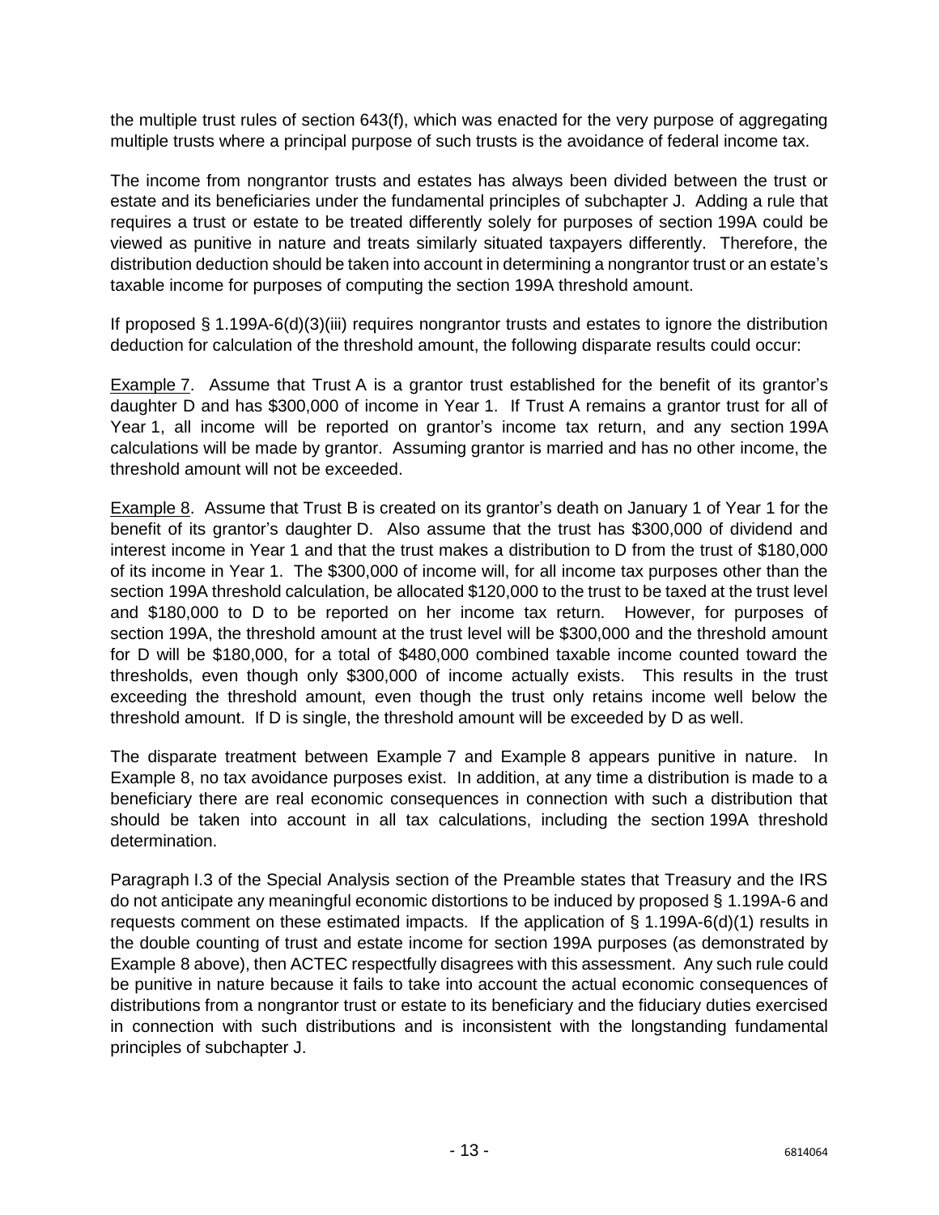the multiple trust rules of section 643(f), which was enacted for the very purpose of aggregating multiple trusts where a principal purpose of such trusts is the avoidance of federal income tax.

The income from nongrantor trusts and estates has always been divided between the trust or estate and its beneficiaries under the fundamental principles of subchapter J. Adding a rule that requires a trust or estate to be treated differently solely for purposes of section 199A could be viewed as punitive in nature and treats similarly situated taxpayers differently. Therefore, the distribution deduction should be taken into account in determining a nongrantor trust or an estate's taxable income for purposes of computing the section 199A threshold amount.

If proposed § 1.199A-6(d)(3)(iii) requires nongrantor trusts and estates to ignore the distribution deduction for calculation of the threshold amount, the following disparate results could occur:

Example 7. Assume that Trust A is a grantor trust established for the benefit of its grantor's daughter D and has \$300,000 of income in Year 1. If Trust A remains a grantor trust for all of Year 1, all income will be reported on grantor's income tax return, and any section 199A calculations will be made by grantor. Assuming grantor is married and has no other income, the threshold amount will not be exceeded.

Example 8. Assume that Trust B is created on its grantor's death on January 1 of Year 1 for the benefit of its grantor's daughter D. Also assume that the trust has \$300,000 of dividend and interest income in Year 1 and that the trust makes a distribution to D from the trust of \$180,000 of its income in Year 1. The \$300,000 of income will, for all income tax purposes other than the section 199A threshold calculation, be allocated \$120,000 to the trust to be taxed at the trust level and \$180,000 to D to be reported on her income tax return. However, for purposes of section 199A, the threshold amount at the trust level will be \$300,000 and the threshold amount for D will be \$180,000, for a total of \$480,000 combined taxable income counted toward the thresholds, even though only \$300,000 of income actually exists. This results in the trust exceeding the threshold amount, even though the trust only retains income well below the threshold amount. If D is single, the threshold amount will be exceeded by D as well.

The disparate treatment between Example 7 and Example 8 appears punitive in nature. In Example 8, no tax avoidance purposes exist. In addition, at any time a distribution is made to a beneficiary there are real economic consequences in connection with such a distribution that should be taken into account in all tax calculations, including the section 199A threshold determination.

Paragraph I.3 of the Special Analysis section of the Preamble states that Treasury and the IRS do not anticipate any meaningful economic distortions to be induced by proposed § 1.199A-6 and requests comment on these estimated impacts. If the application of § 1.199A-6(d)(1) results in the double counting of trust and estate income for section 199A purposes (as demonstrated by Example 8 above), then ACTEC respectfully disagrees with this assessment. Any such rule could be punitive in nature because it fails to take into account the actual economic consequences of distributions from a nongrantor trust or estate to its beneficiary and the fiduciary duties exercised in connection with such distributions and is inconsistent with the longstanding fundamental principles of subchapter J.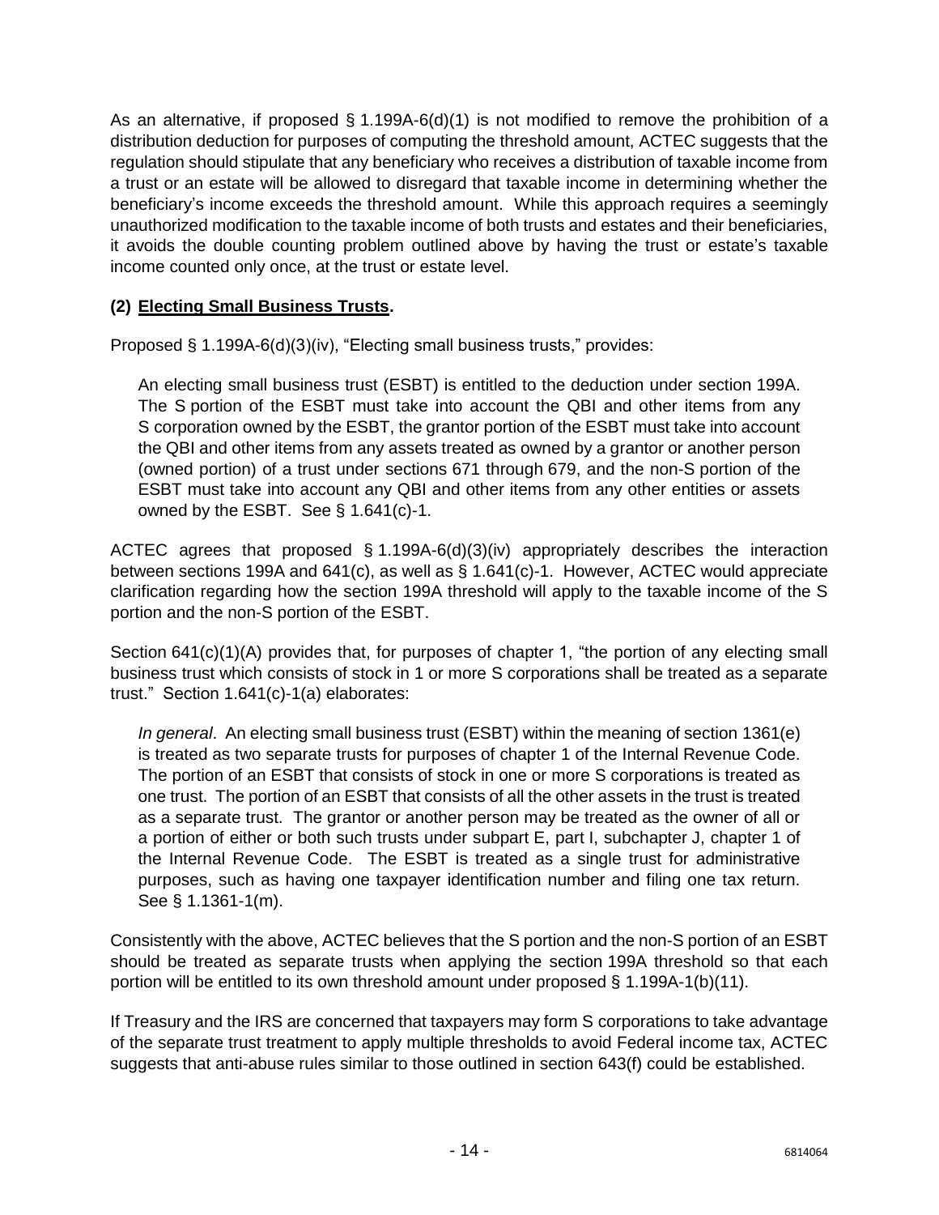As an alternative, if proposed  $\S$  1.199A-6(d)(1) is not modified to remove the prohibition of a distribution deduction for purposes of computing the threshold amount, ACTEC suggests that the regulation should stipulate that any beneficiary who receives a distribution of taxable income from a trust or an estate will be allowed to disregard that taxable income in determining whether the beneficiary's income exceeds the threshold amount. While this approach requires a seemingly unauthorized modification to the taxable income of both trusts and estates and their beneficiaries, it avoids the double counting problem outlined above by having the trust or estate's taxable income counted only once, at the trust or estate level.

### **(2) Electing Small Business Trusts.**

Proposed § 1.199A-6(d)(3)(iv), "Electing small business trusts," provides:

An electing small business trust (ESBT) is entitled to the deduction under section 199A. The S portion of the ESBT must take into account the QBI and other items from any S corporation owned by the ESBT, the grantor portion of the ESBT must take into account the QBI and other items from any assets treated as owned by a grantor or another person (owned portion) of a trust under sections 671 through 679, and the non-S portion of the ESBT must take into account any QBI and other items from any other entities or assets owned by the ESBT. See § 1.641(c)-1.

ACTEC agrees that proposed § 1.199A-6(d)(3)(iv) appropriately describes the interaction between sections 199A and 641(c), as well as § 1.641(c)-1. However, ACTEC would appreciate clarification regarding how the section 199A threshold will apply to the taxable income of the S portion and the non-S portion of the ESBT.

Section 641(c)(1)(A) provides that, for purposes of chapter 1, "the portion of any electing small business trust which consists of stock in 1 or more S corporations shall be treated as a separate trust." Section 1.641(c)-1(a) elaborates:

*In general*. An electing small business trust (ESBT) within the meaning of section 1361(e) is treated as two separate trusts for purposes of chapter 1 of the Internal Revenue Code. The portion of an ESBT that consists of stock in one or more S corporations is treated as one trust. The portion of an ESBT that consists of all the other assets in the trust is treated as a separate trust. The grantor or another person may be treated as the owner of all or a portion of either or both such trusts under subpart E, part I, subchapter J, chapter 1 of the Internal Revenue Code. The ESBT is treated as a single trust for administrative purposes, such as having one taxpayer identification number and filing one tax return. See § 1.1361-1(m).

Consistently with the above, ACTEC believes that the S portion and the non-S portion of an ESBT should be treated as separate trusts when applying the section 199A threshold so that each portion will be entitled to its own threshold amount under proposed  $\S$  1.199A-1(b)(11).

If Treasury and the IRS are concerned that taxpayers may form S corporations to take advantage of the separate trust treatment to apply multiple thresholds to avoid Federal income tax, ACTEC suggests that anti-abuse rules similar to those outlined in section 643(f) could be established.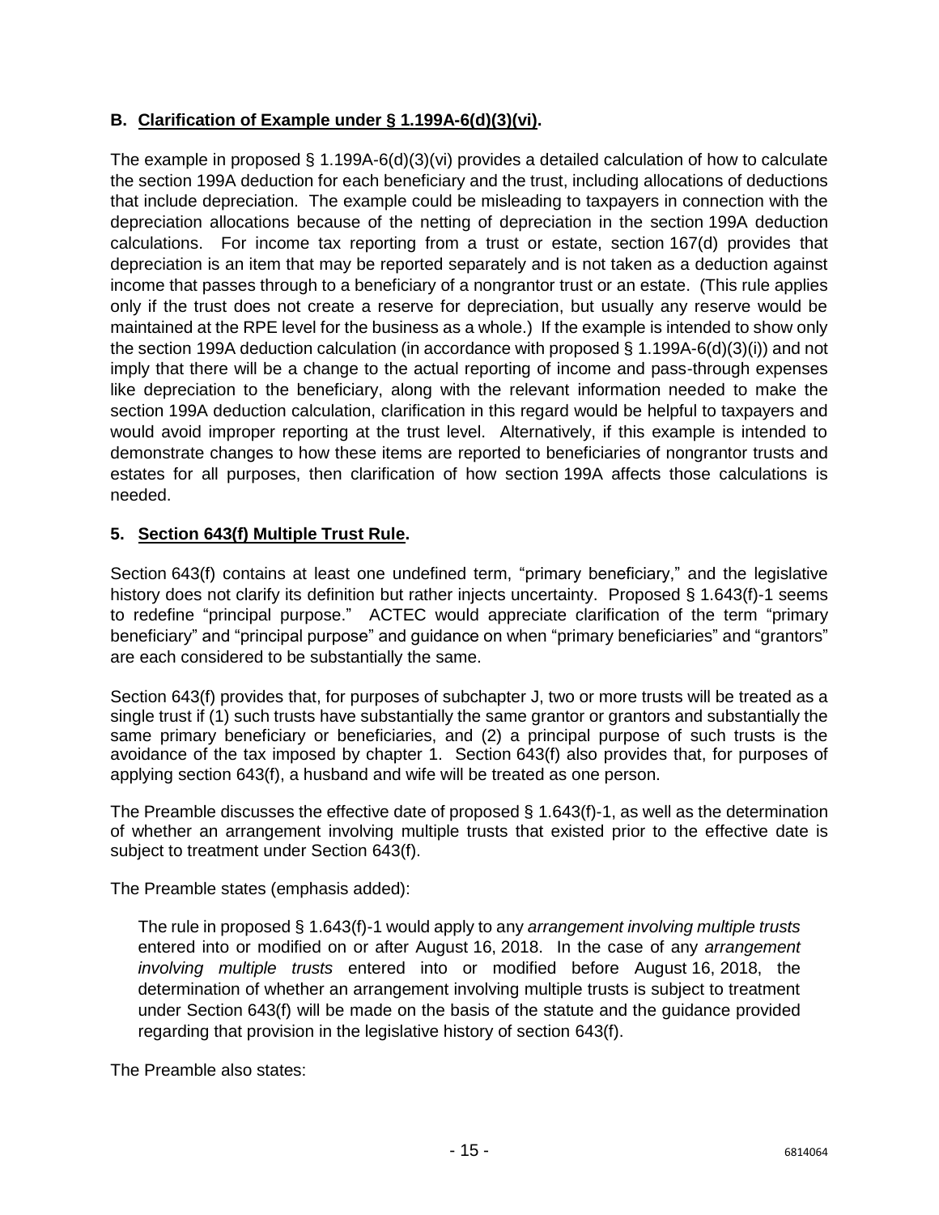# **B. Clarification of Example under § 1.199A-6(d)(3)(vi).**

The example in proposed § 1.199A-6(d)(3)(vi) provides a detailed calculation of how to calculate the section 199A deduction for each beneficiary and the trust, including allocations of deductions that include depreciation. The example could be misleading to taxpayers in connection with the depreciation allocations because of the netting of depreciation in the section 199A deduction calculations. For income tax reporting from a trust or estate, section 167(d) provides that depreciation is an item that may be reported separately and is not taken as a deduction against income that passes through to a beneficiary of a nongrantor trust or an estate. (This rule applies only if the trust does not create a reserve for depreciation, but usually any reserve would be maintained at the RPE level for the business as a whole.) If the example is intended to show only the section 199A deduction calculation (in accordance with proposed § 1.199A-6(d)(3)(i)) and not imply that there will be a change to the actual reporting of income and pass-through expenses like depreciation to the beneficiary, along with the relevant information needed to make the section 199A deduction calculation, clarification in this regard would be helpful to taxpayers and would avoid improper reporting at the trust level. Alternatively, if this example is intended to demonstrate changes to how these items are reported to beneficiaries of nongrantor trusts and estates for all purposes, then clarification of how section 199A affects those calculations is needed.

## <span id="page-15-0"></span>**5. Section 643(f) Multiple Trust Rule.**

Section 643(f) contains at least one undefined term, "primary beneficiary," and the legislative history does not clarify its definition but rather injects uncertainty. Proposed § 1.643(f)-1 seems to redefine "principal purpose." ACTEC would appreciate clarification of the term "primary beneficiary" and "principal purpose" and guidance on when "primary beneficiaries" and "grantors" are each considered to be substantially the same.

Section 643(f) provides that, for purposes of subchapter J, two or more trusts will be treated as a single trust if (1) such trusts have substantially the same grantor or grantors and substantially the same primary beneficiary or beneficiaries, and (2) a principal purpose of such trusts is the avoidance of the tax imposed by chapter 1. Section 643(f) also provides that, for purposes of applying section 643(f), a husband and wife will be treated as one person.

The Preamble discusses the effective date of proposed  $\S$  1.643(f)-1, as well as the determination of whether an arrangement involving multiple trusts that existed prior to the effective date is subject to treatment under Section 643(f).

The Preamble states (emphasis added):

The rule in proposed § 1.643(f)-1 would apply to any *arrangement involving multiple trusts* entered into or modified on or after August 16, 2018. In the case of any *arrangement involving multiple trusts* entered into or modified before August 16, 2018, the determination of whether an arrangement involving multiple trusts is subject to treatment under Section 643(f) will be made on the basis of the statute and the guidance provided regarding that provision in the legislative history of section 643(f).

The Preamble also states: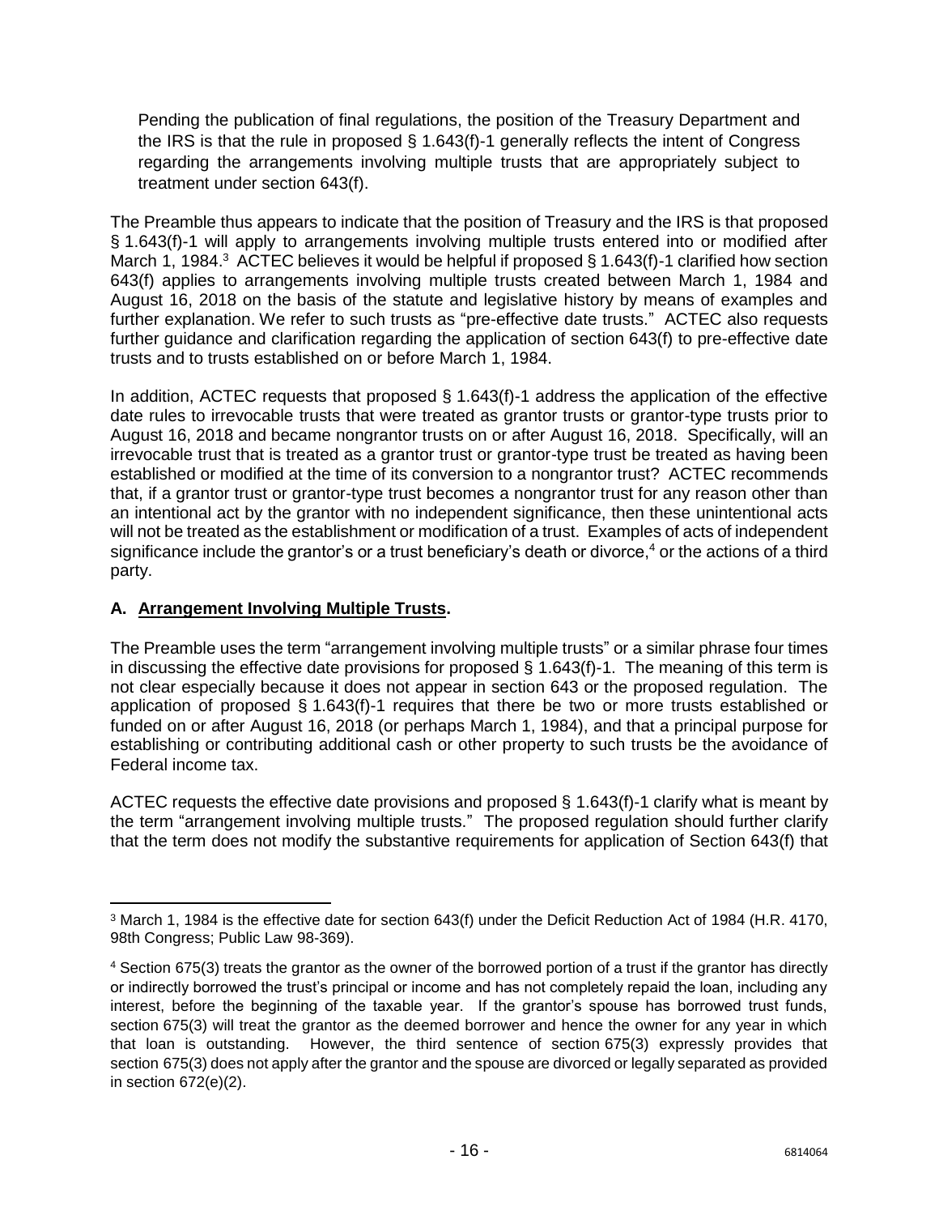Pending the publication of final regulations, the position of the Treasury Department and the IRS is that the rule in proposed § 1.643(f)-1 generally reflects the intent of Congress regarding the arrangements involving multiple trusts that are appropriately subject to treatment under section 643(f).

The Preamble thus appears to indicate that the position of Treasury and the IRS is that proposed § 1.643(f)-1 will apply to arrangements involving multiple trusts entered into or modified after March 1, 1984.<sup>3</sup> ACTEC believes it would be helpful if proposed § 1.643(f)-1 clarified how section 643(f) applies to arrangements involving multiple trusts created between March 1, 1984 and August 16, 2018 on the basis of the statute and legislative history by means of examples and further explanation. We refer to such trusts as "pre-effective date trusts." ACTEC also requests further guidance and clarification regarding the application of section 643(f) to pre-effective date trusts and to trusts established on or before March 1, 1984.

In addition, ACTEC requests that proposed § 1.643(f)-1 address the application of the effective date rules to irrevocable trusts that were treated as grantor trusts or grantor-type trusts prior to August 16, 2018 and became nongrantor trusts on or after August 16, 2018. Specifically, will an irrevocable trust that is treated as a grantor trust or grantor-type trust be treated as having been established or modified at the time of its conversion to a nongrantor trust? ACTEC recommends that, if a grantor trust or grantor-type trust becomes a nongrantor trust for any reason other than an intentional act by the grantor with no independent significance, then these unintentional acts will not be treated as the establishment or modification of a trust. Examples of acts of independent significance include the grantor's or a trust beneficiary's death or divorce,<sup>4</sup> or the actions of a third party.

### **A. Arrangement Involving Multiple Trusts.**

The Preamble uses the term "arrangement involving multiple trusts" or a similar phrase four times in discussing the effective date provisions for proposed § 1.643(f)-1. The meaning of this term is not clear especially because it does not appear in section 643 or the proposed regulation. The application of proposed § 1.643(f)-1 requires that there be two or more trusts established or funded on or after August 16, 2018 (or perhaps March 1, 1984), and that a principal purpose for establishing or contributing additional cash or other property to such [trusts](https://www.law.cornell.edu/definitions/uscode.php?width=840&height=800&iframe=true&def_id=26-USC-110640728-1321873484&term_occur=254&term_src=title:26:subtitle:A:chapter:1:subchapter:J:part:I:subpart:A:section:643) be the avoidance of Federal income tax.

ACTEC requests the effective date provisions and proposed § 1.643(f)-1 clarify what is meant by the term "arrangement involving multiple trusts." The proposed regulation should further clarify that the term does not modify the substantive requirements for application of Section 643(f) that

 $\overline{\phantom{a}}$ <sup>3</sup> March 1, 1984 is the effective date for section 643(f) under the Deficit Reduction Act of 1984 (H.R. 4170, 98th Congress; Public Law 98-369).

<sup>4</sup> Section 675(3) treats the grantor as the owner of the borrowed portion of a trust if the grantor has directly or indirectly borrowed the trust's principal or income and has not completely repaid the loan, including any interest, before the beginning of the taxable year. If the grantor's spouse has borrowed trust funds, section 675(3) will treat the grantor as the deemed borrower and hence the owner for any year in which that loan is outstanding. However, the third sentence of section 675(3) expressly provides that section 675(3) does not apply after the grantor and the spouse are divorced or legally separated as provided in section 672(e)(2).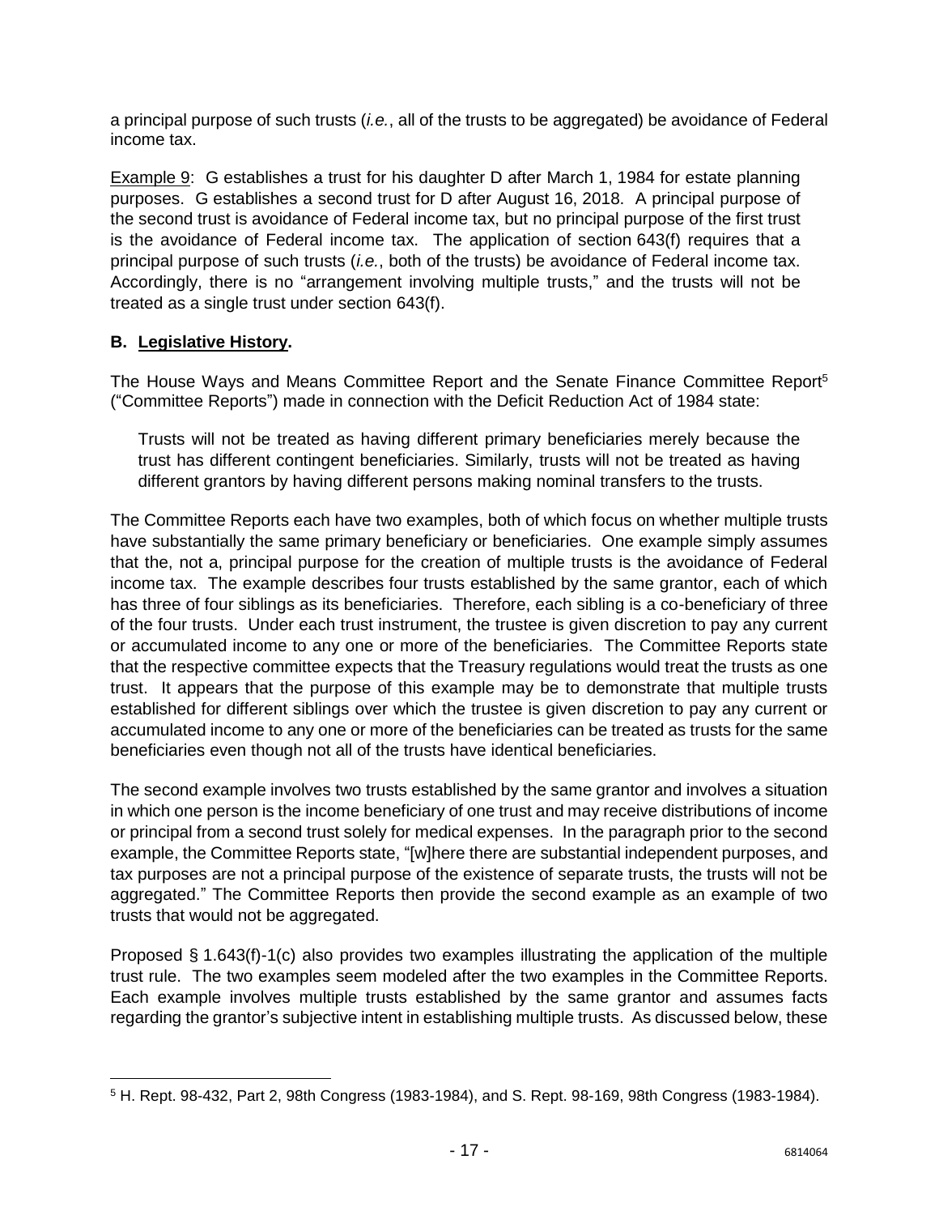a principal purpose of such trusts (*i.e.*, all of the trusts to be aggregated) be avoidance of Federal income tax.

Example 9:G establishes a trust for his daughter D after March 1, 1984 for estate planning purposes. G establishes a second trust for D after August 16, 2018. A principal purpose of the second trust is avoidance of Federal income tax, but no principal purpose of the first trust is the avoidance of Federal income tax. The application of section 643(f) requires that a principal purpose of such trusts (*i.e.*, both of the trusts) be avoidance of Federal income tax. Accordingly, there is no "arrangement involving multiple trusts," and the trusts will not be treated as a single trust under section 643(f).

### **B. Legislative History.**

The House Ways and Means Committee Report and the Senate Finance Committee Report<sup>5</sup> ("Committee Reports") made in connection with the Deficit Reduction Act of 1984 state:

Trusts will not be treated as having different primary beneficiaries merely because the trust has different contingent beneficiaries. Similarly, trusts will not be treated as having different grantors by having different persons making nominal transfers to the trusts.

The Committee Reports each have two examples, both of which focus on whether multiple trusts have substantially the same primary beneficiary or beneficiaries. One example simply assumes that the, not a, principal purpose for the creation of multiple trusts is the avoidance of Federal income tax. The example describes four trusts established by the same grantor, each of which has three of four siblings as its beneficiaries. Therefore, each sibling is a co-beneficiary of three of the four trusts. Under each trust instrument, the trustee is given discretion to pay any current or accumulated income to any one or more of the beneficiaries. The Committee Reports state that the respective committee expects that the Treasury regulations would treat the trusts as one trust. It appears that the purpose of this example may be to demonstrate that multiple trusts established for different siblings over which the trustee is given discretion to pay any current or accumulated income to any one or more of the beneficiaries can be treated as trusts for the same beneficiaries even though not all of the trusts have identical beneficiaries.

The second example involves two trusts established by the same grantor and involves a situation in which one person is the income beneficiary of one trust and may receive distributions of income or principal from a second trust solely for medical expenses. In the paragraph prior to the second example, the Committee Reports state, "[w]here there are substantial independent purposes, and tax purposes are not a principal purpose of the existence of separate trusts, the trusts will not be aggregated." The Committee Reports then provide the second example as an example of two trusts that would not be aggregated.

Proposed § 1.643(f)-1(c) also provides two examples illustrating the application of the multiple trust rule. The two examples seem modeled after the two examples in the Committee Reports. Each example involves multiple trusts established by the same grantor and assumes facts regarding the grantor's subjective intent in establishing multiple trusts. As discussed below, these

 $\overline{\phantom{a}}$ <sup>5</sup> H. Rept. 98-432, Part 2, 98th Congress (1983-1984), and S. Rept. 98-169, 98th Congress (1983-1984).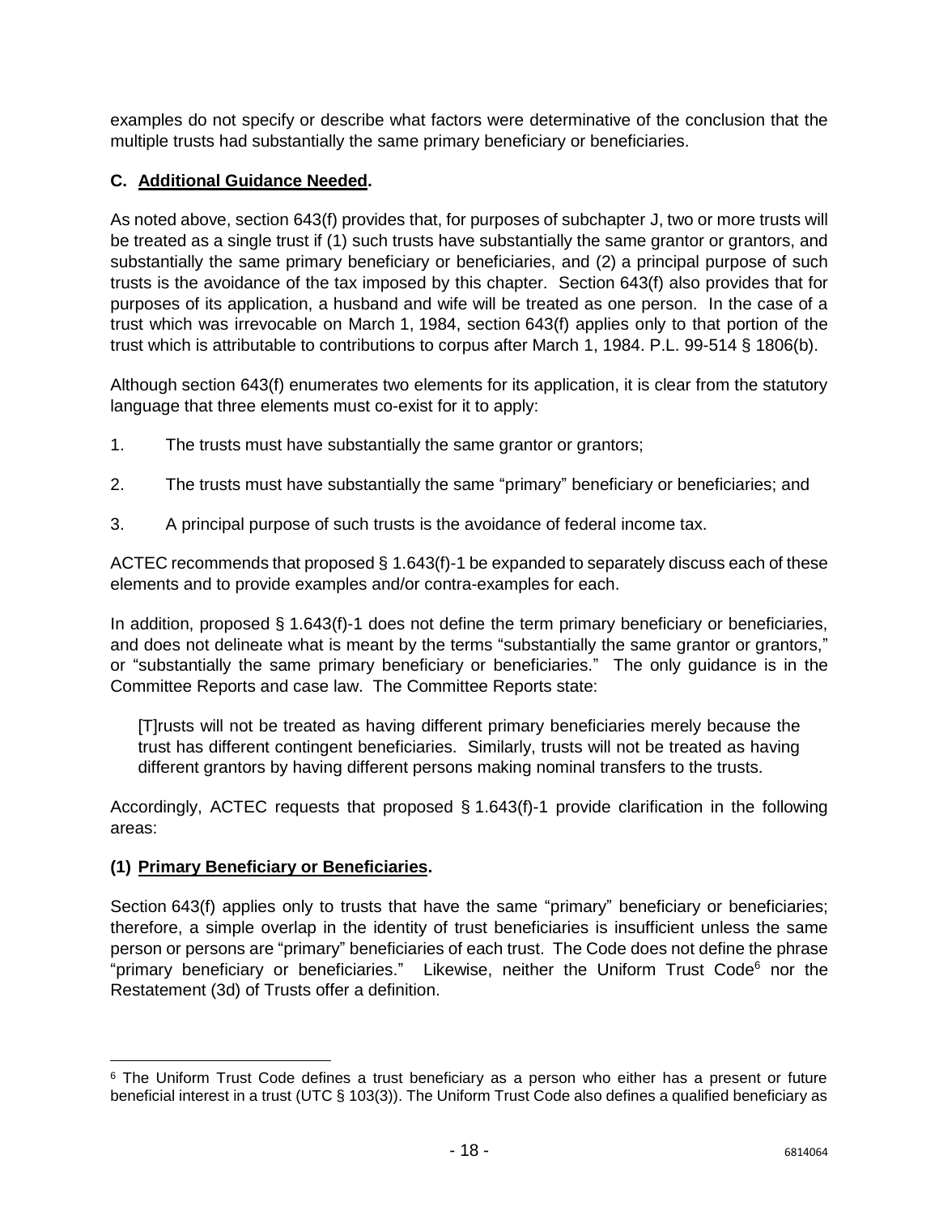examples do not specify or describe what factors were determinative of the conclusion that the multiple trusts had substantially the same primary beneficiary or beneficiaries.

### **C. Additional Guidance Needed.**

As noted above, section 643(f) provides that, for purposes of subchapter J, two or more trusts will be treated as a single trust if (1) such trusts have substantially the same grantor or grantors, and substantially the same primary beneficiary or beneficiaries, and (2) a principal purpose of such trusts is the avoidance of the tax imposed by this chapter. Section 643(f) also provides that for purposes of its application, a husband and wife will be treated as one person. In the case of a trust which was irrevocable on March 1, 1984, section 643(f) applies only to that portion of the trust which is attributable to contributions to corpus after March 1, 1984. P.L. 99-514 § 1806(b).

Although section 643(f) enumerates two elements for its application, it is clear from the statutory language that three elements must co-exist for it to apply:

- 1. The trusts must have substantially the same grantor or grantors;
- 2. The trusts must have substantially the same "primary" beneficiary or beneficiaries; and
- 3. A principal purpose of such trusts is the avoidance of federal income tax.

ACTEC recommends that proposed § 1.643(f)-1 be expanded to separately discuss each of these elements and to provide examples and/or contra-examples for each.

In addition, proposed  $\S$  1.643(f)-1 does not define the term primary beneficiary or beneficiaries, and does not delineate what is meant by the terms "substantially the same grantor or grantors," or "substantially the same primary beneficiary or beneficiaries." The only guidance is in the Committee Reports and case law. The Committee Reports state:

[T]rusts will not be treated as having different primary beneficiaries merely because the trust has different contingent beneficiaries. Similarly, trusts will not be treated as having different grantors by having different persons making nominal transfers to the trusts.

Accordingly, ACTEC requests that proposed § 1.643(f)-1 provide clarification in the following areas:

### **(1) Primary Beneficiary or Beneficiaries.**

 $\overline{\phantom{a}}$ 

Section 643(f) applies only to trusts that have the same "primary" beneficiary or beneficiaries; therefore, a simple overlap in the identity of trust beneficiaries is insufficient unless the same person or persons are "primary" beneficiaries of each trust. The Code does not define the phrase "primary beneficiary or beneficiaries." Likewise, neither the Uniform Trust Code<sup>6</sup> nor the Restatement (3d) of Trusts offer a definition.

<sup>&</sup>lt;sup>6</sup> The Uniform Trust Code defines a trust beneficiary as a person who either has a present or future beneficial interest in a trust (UTC § 103(3)). The Uniform Trust Code also defines a qualified beneficiary as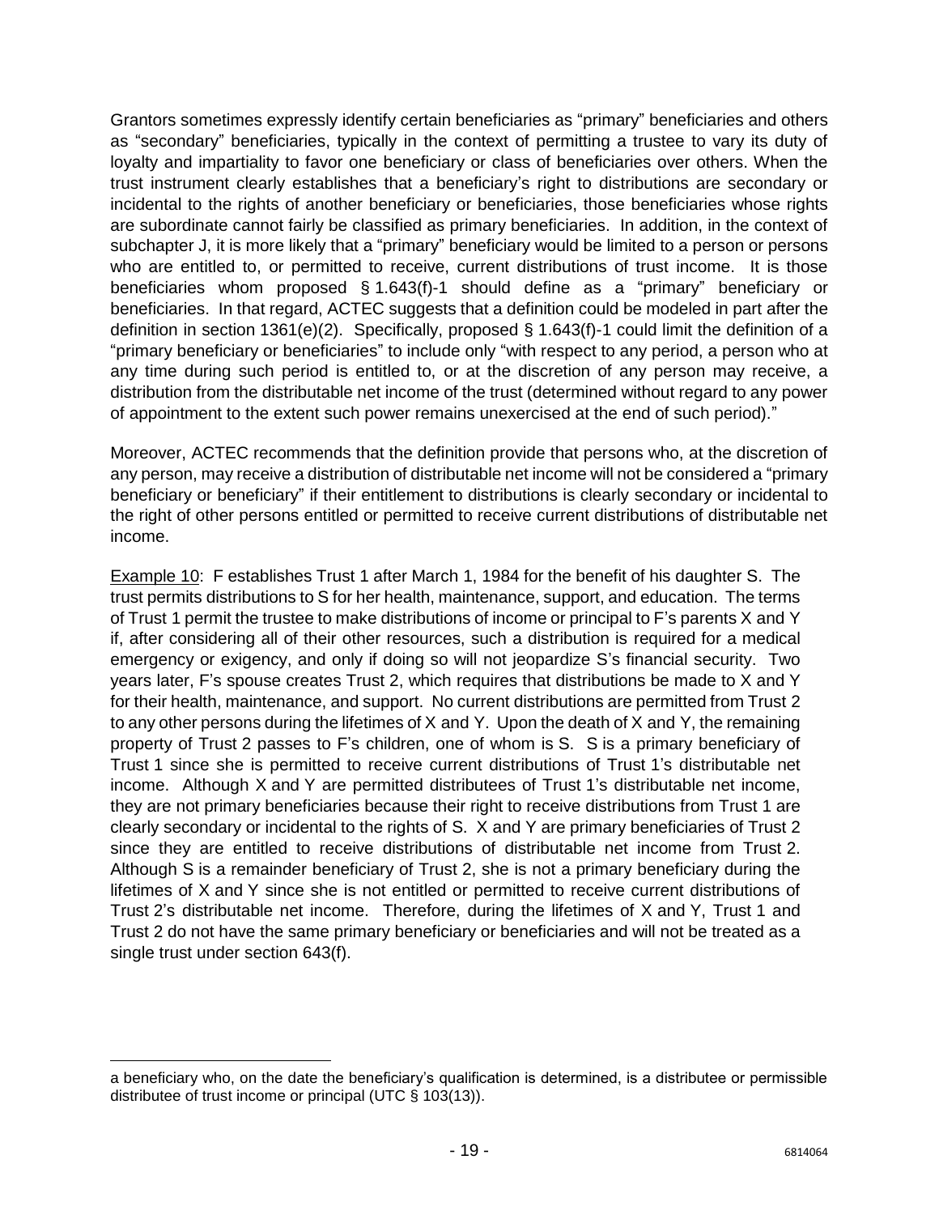Grantors sometimes expressly identify certain beneficiaries as "primary" beneficiaries and others as "secondary" beneficiaries, typically in the context of permitting a trustee to vary its duty of loyalty and impartiality to favor one beneficiary or class of beneficiaries over others. When the trust instrument clearly establishes that a beneficiary's right to distributions are secondary or incidental to the rights of another beneficiary or beneficiaries, those beneficiaries whose rights are subordinate cannot fairly be classified as primary beneficiaries. In addition, in the context of subchapter J, it is more likely that a "primary" beneficiary would be limited to a person or persons who are entitled to, or permitted to receive, current distributions of trust income. It is those beneficiaries whom proposed § 1.643(f)-1 should define as a "primary" beneficiary or beneficiaries. In that regard, ACTEC suggests that a definition could be modeled in part after the definition in section 1361(e)(2). Specifically, proposed § 1.643(f)-1 could limit the definition of a "primary beneficiary or beneficiaries" to include only "with respect to any period, a person who at any time during such period is entitled to, or at the discretion of any person may receive, a distribution from the distributable net income of the trust (determined without regard to any power of appointment to the extent such power remains unexercised at the end of such period)."

Moreover, ACTEC recommends that the definition provide that persons who, at the discretion of any person, may receive a distribution of distributable net income will not be considered a "primary beneficiary or beneficiary" if their entitlement to distributions is clearly secondary or incidental to the right of other persons entitled or permitted to receive current distributions of distributable net income.

Example 10: F establishes Trust 1 after March 1, 1984 for the benefit of his daughter S. The trust permits distributions to S for her health, maintenance, support, and education. The terms of Trust 1 permit the trustee to make distributions of income or principal to F's parents X and Y if, after considering all of their other resources, such a distribution is required for a medical emergency or exigency, and only if doing so will not jeopardize S's financial security. Two years later, F's spouse creates Trust 2, which requires that distributions be made to X and Y for their health, maintenance, and support. No current distributions are permitted from Trust 2 to any other persons during the lifetimes of X and Y. Upon the death of X and Y, the remaining property of Trust 2 passes to F's children, one of whom is S. S is a primary beneficiary of Trust 1 since she is permitted to receive current distributions of Trust 1's distributable net income. Although X and Y are permitted distributees of Trust 1's distributable net income, they are not primary beneficiaries because their right to receive distributions from Trust 1 are clearly secondary or incidental to the rights of S. X and Y are primary beneficiaries of Trust 2 since they are entitled to receive distributions of distributable net income from Trust 2. Although S is a remainder beneficiary of Trust 2, she is not a primary beneficiary during the lifetimes of X and Y since she is not entitled or permitted to receive current distributions of Trust 2's distributable net income. Therefore, during the lifetimes of X and Y, Trust 1 and Trust 2 do not have the same primary beneficiary or beneficiaries and will not be treated as a single trust under section 643(f).

 $\overline{\phantom{a}}$ 

a beneficiary who, on the date the beneficiary's qualification is determined, is a distributee or permissible distributee of trust income or principal (UTC § 103(13)).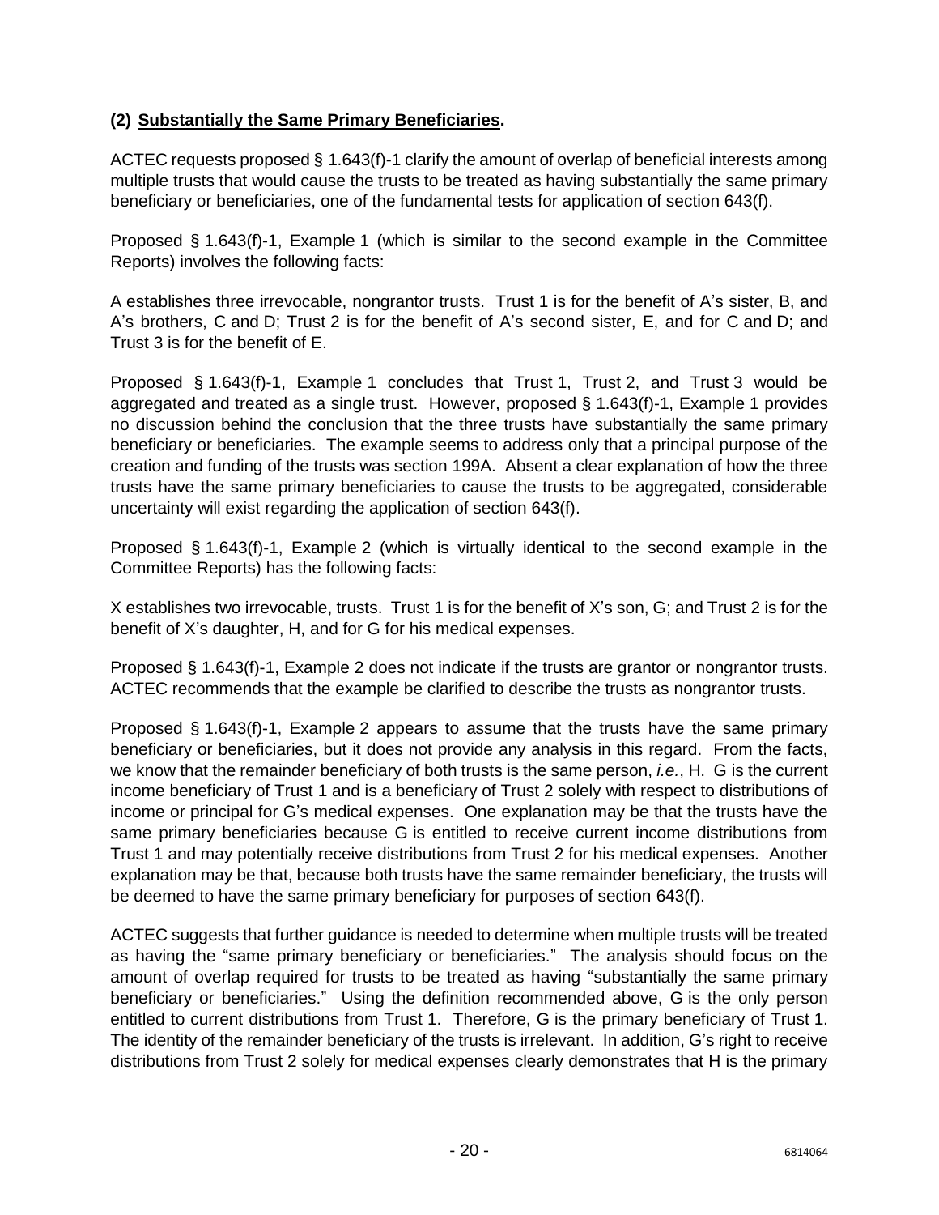## **(2) Substantially the Same Primary Beneficiaries.**

ACTEC requests proposed § 1.643(f)-1 clarify the amount of overlap of beneficial interests among multiple trusts that would cause the trusts to be treated as having substantially the same primary beneficiary or beneficiaries, one of the fundamental tests for application of section 643(f).

Proposed § 1.643(f)-1, Example 1 (which is similar to the second example in the Committee Reports) involves the following facts:

A establishes three irrevocable, nongrantor trusts. Trust 1 is for the benefit of A's sister, B, and A's brothers, C and D; Trust 2 is for the benefit of A's second sister, E, and for C and D; and Trust 3 is for the benefit of E.

Proposed § 1.643(f)-1, Example 1 concludes that Trust 1, Trust 2, and Trust 3 would be aggregated and treated as a single trust. However, proposed § 1.643(f)-1, Example 1 provides no discussion behind the conclusion that the three trusts have substantially the same primary beneficiary or beneficiaries. The example seems to address only that a principal purpose of the creation and funding of the trusts was section 199A. Absent a clear explanation of how the three trusts have the same primary beneficiaries to cause the trusts to be aggregated, considerable uncertainty will exist regarding the application of section 643(f).

Proposed § 1.643(f)-1, Example 2 (which is virtually identical to the second example in the Committee Reports) has the following facts:

X establishes two irrevocable, trusts. Trust 1 is for the benefit of X's son, G; and Trust 2 is for the benefit of X's daughter, H, and for G for his medical expenses.

Proposed § 1.643(f)-1, Example 2 does not indicate if the trusts are grantor or nongrantor trusts. ACTEC recommends that the example be clarified to describe the trusts as nongrantor trusts.

Proposed § 1.643(f)-1, Example 2 appears to assume that the trusts have the same primary beneficiary or beneficiaries, but it does not provide any analysis in this regard. From the facts, we know that the remainder beneficiary of both trusts is the same person, *i.e.*, H. G is the current income beneficiary of Trust 1 and is a beneficiary of Trust 2 solely with respect to distributions of income or principal for G's medical expenses. One explanation may be that the trusts have the same primary beneficiaries because G is entitled to receive current income distributions from Trust 1 and may potentially receive distributions from Trust 2 for his medical expenses. Another explanation may be that, because both trusts have the same remainder beneficiary, the trusts will be deemed to have the same primary beneficiary for purposes of section 643(f).

ACTEC suggests that further guidance is needed to determine when multiple trusts will be treated as having the "same primary beneficiary or beneficiaries." The analysis should focus on the amount of overlap required for trusts to be treated as having "substantially the same primary beneficiary or beneficiaries." Using the definition recommended above, G is the only person entitled to current distributions from Trust 1. Therefore, G is the primary beneficiary of Trust 1. The identity of the remainder beneficiary of the trusts is irrelevant. In addition, G's right to receive distributions from Trust 2 solely for medical expenses clearly demonstrates that H is the primary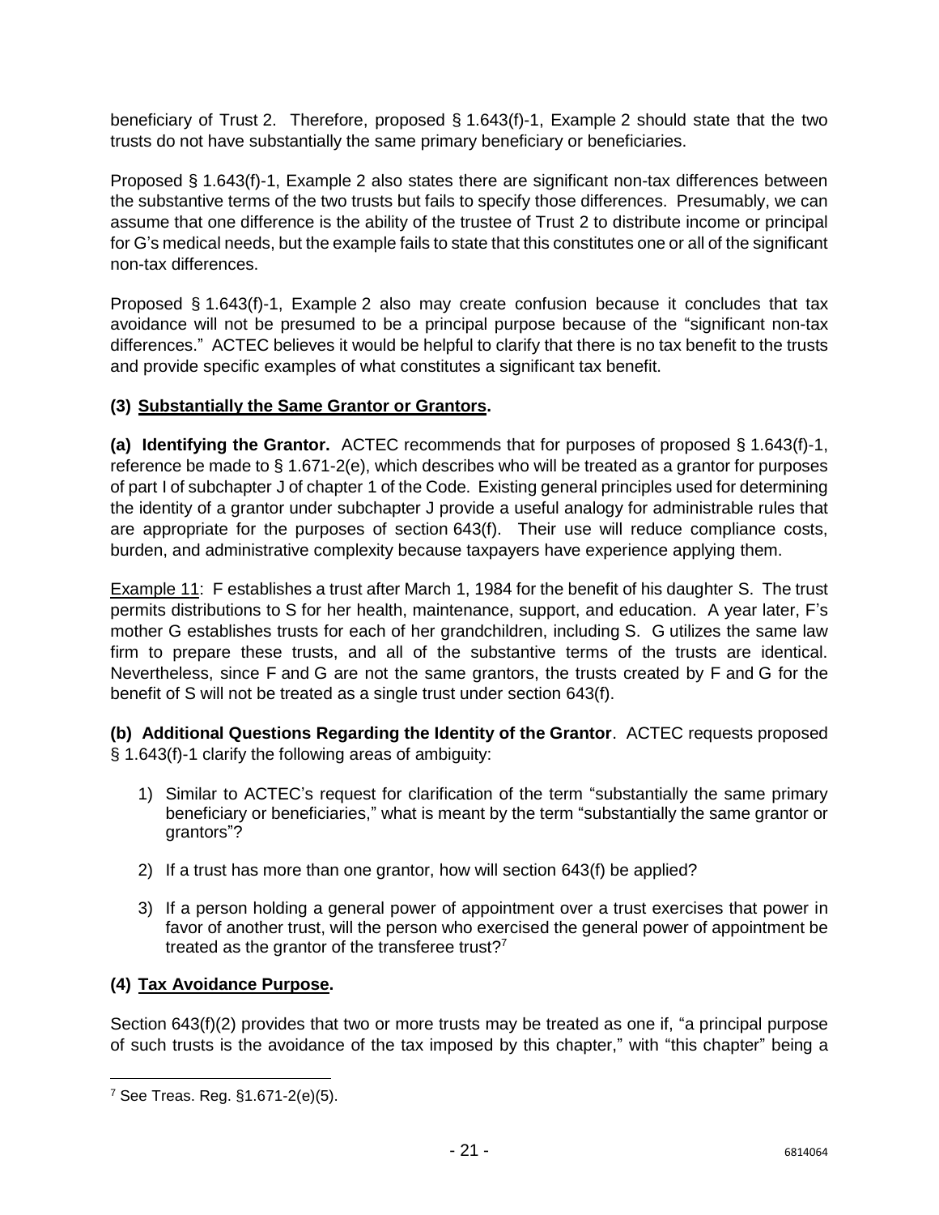beneficiary of Trust 2. Therefore, proposed § 1.643(f)-1, Example 2 should state that the two trusts do not have substantially the same primary beneficiary or beneficiaries.

Proposed § 1.643(f)-1, Example 2 also states there are significant non-tax differences between the substantive terms of the two trusts but fails to specify those differences. Presumably, we can assume that one difference is the ability of the trustee of Trust 2 to distribute income or principal for G's medical needs, but the example fails to state that this constitutes one or all of the significant non-tax differences.

Proposed § 1.643(f)-1, Example 2 also may create confusion because it concludes that tax avoidance will not be presumed to be a principal purpose because of the "significant non-tax differences." ACTEC believes it would be helpful to clarify that there is no tax benefit to the trusts and provide specific examples of what constitutes a significant tax benefit.

#### **(3) Substantially the Same Grantor or Grantors.**

**(a) Identifying the Grantor.** ACTEC recommends that for purposes of proposed § 1.643(f)-1, reference be made to § 1.671-2(e), which describes who will be treated as a grantor for purposes of part I of subchapter J of chapter 1 of the Code. Existing general principles used for determining the identity of a grantor under subchapter J provide a useful analogy for administrable rules that are appropriate for the purposes of section 643(f). Their use will reduce compliance costs, burden, and administrative complexity because taxpayers have experience applying them.

Example 11: F establishes a trust after March 1, 1984 for the benefit of his daughter S. The trust permits distributions to S for her health, maintenance, support, and education. A year later, F's mother G establishes trusts for each of her grandchildren, including S. G utilizes the same law firm to prepare these trusts, and all of the substantive terms of the trusts are identical. Nevertheless, since F and G are not the same grantors, the trusts created by F and G for the benefit of S will not be treated as a single trust under section 643(f).

**(b) Additional Questions Regarding the Identity of the Grantor**. ACTEC requests proposed § 1.643(f)-1 clarify the following areas of ambiguity:

- 1) Similar to ACTEC's request for clarification of the term "substantially the same primary beneficiary or beneficiaries," what is meant by the term "substantially the same grantor or grantors"?
- 2) If a trust has more than one grantor, how will section 643(f) be applied?
- 3) If a person holding a general power of appointment over a trust exercises that power in favor of another trust, will the person who exercised the general power of appointment be treated as the grantor of the transferee trust? $7$

#### **(4) Tax Avoidance Purpose.**

Section 643(f)(2) provides that two or more trusts may be treated as one if, "a principal purpose of such trusts is the avoidance of the tax imposed by this chapter," with "this chapter" being a

 $\overline{\phantom{a}}$ 

<sup>7</sup> See Treas. Reg. §1.671-2(e)(5).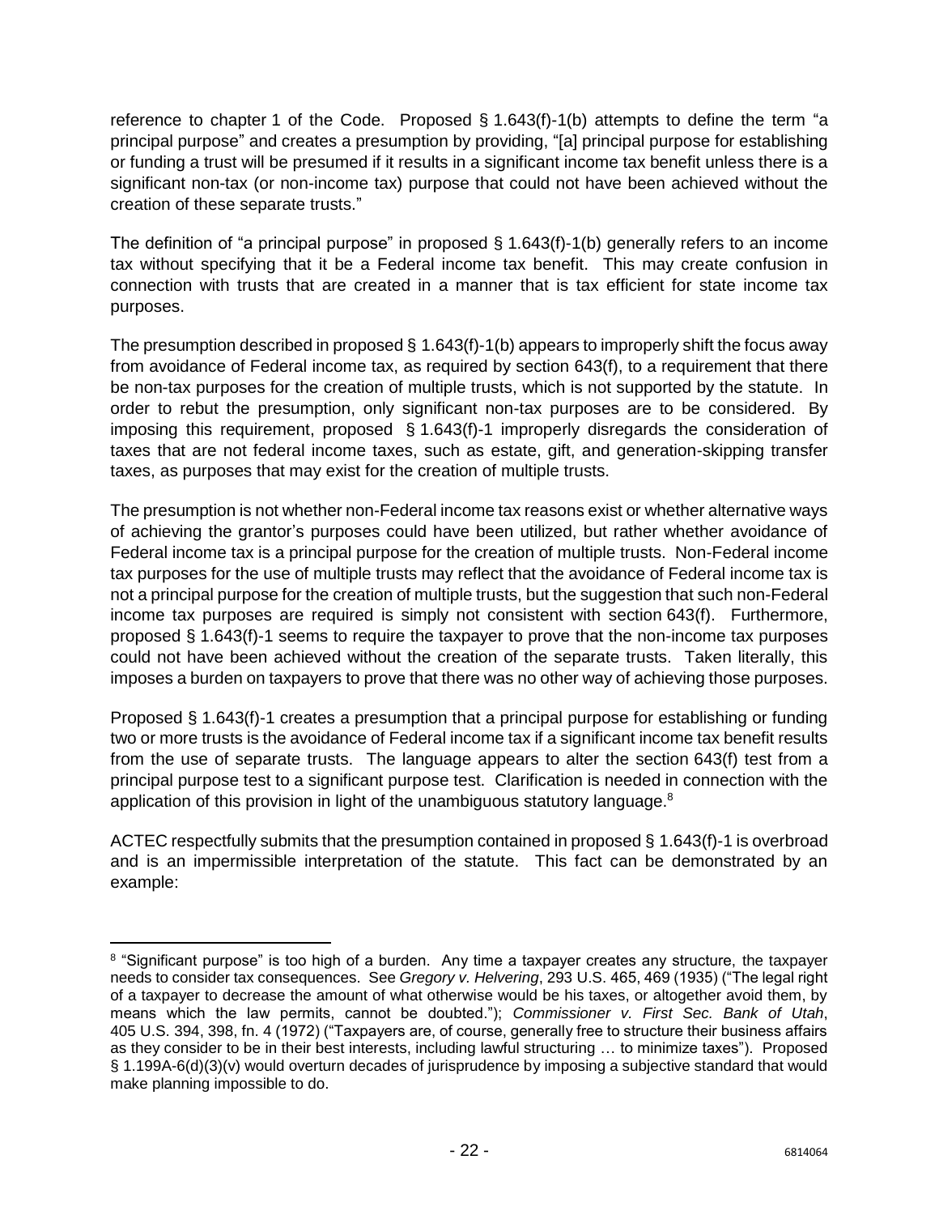reference to chapter 1 of the Code. Proposed § 1.643(f)-1(b) attempts to define the term "a principal purpose" and creates a presumption by providing, "[a] principal purpose for establishing or funding a trust will be presumed if it results in a significant income tax benefit unless there is a significant non-tax (or non-income tax) purpose that could not have been achieved without the creation of these separate trusts."

The definition of "a principal purpose" in proposed § 1.643(f)-1(b) generally refers to an income tax without specifying that it be a Federal income tax benefit. This may create confusion in connection with trusts that are created in a manner that is tax efficient for state income tax purposes.

The presumption described in proposed  $\S$  1.643(f)-1(b) appears to improperly shift the focus away from avoidance of Federal income tax, as required by section 643(f), to a requirement that there be non-tax purposes for the creation of multiple trusts, which is not supported by the statute. In order to rebut the presumption, only significant non-tax purposes are to be considered. By imposing this requirement, proposed § 1.643(f)-1 improperly disregards the consideration of taxes that are not federal income taxes, such as estate, gift, and generation-skipping transfer taxes, as purposes that may exist for the creation of multiple trusts.

The presumption is not whether non-Federal income tax reasons exist or whether alternative ways of achieving the grantor's purposes could have been utilized, but rather whether avoidance of Federal income tax is a principal purpose for the creation of multiple trusts. Non-Federal income tax purposes for the use of multiple trusts may reflect that the avoidance of Federal income tax is not a principal purpose for the creation of multiple trusts, but the suggestion that such non-Federal income tax purposes are required is simply not consistent with section 643(f). Furthermore, proposed § 1.643(f)-1 seems to require the taxpayer to prove that the non-income tax purposes could not have been achieved without the creation of the separate trusts. Taken literally, this imposes a burden on taxpayers to prove that there was no other way of achieving those purposes.

Proposed § 1.643(f)-1 creates a presumption that a principal purpose for establishing or funding two or more trusts is the avoidance of Federal income tax if a significant income tax benefit results from the use of separate trusts. The language appears to alter the section 643(f) test from a principal purpose test to a significant purpose test. Clarification is needed in connection with the application of this provision in light of the unambiguous statutory language.<sup>8</sup>

ACTEC respectfully submits that the presumption contained in proposed § 1.643(f)-1 is overbroad and is an impermissible interpretation of the statute. This fact can be demonstrated by an example:

 $\overline{\phantom{a}}$ 

<sup>8</sup> "Significant purpose" is too high of a burden. Any time a taxpayer creates any structure, the taxpayer needs to consider tax consequences. See *Gregory v. Helvering*, 293 U.S. 465, 469 (1935) ("The legal right of a taxpayer to decrease the amount of what otherwise would be his taxes, or altogether avoid them, by means which the law permits, cannot be doubted."); *Commissioner v. First Sec. Bank of Utah*, 405 U.S. 394, 398, fn. 4 (1972) ("Taxpayers are, of course, generally free to structure their business affairs as they consider to be in their best interests, including lawful structuring … to minimize taxes"). Proposed § 1.199A-6(d)(3)(v) would overturn decades of jurisprudence by imposing a subjective standard that would make planning impossible to do.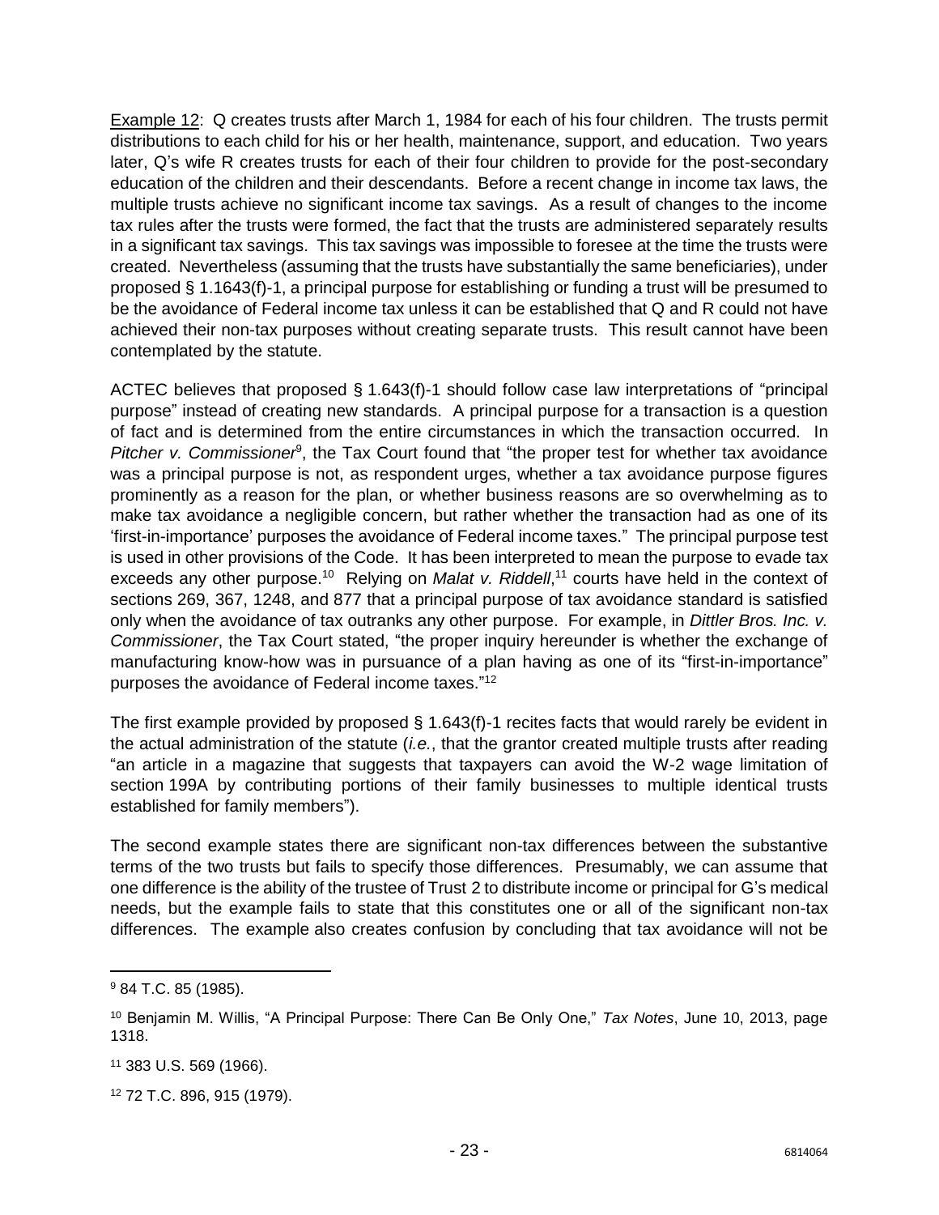Example 12: Q creates trusts after March 1, 1984 for each of his four children. The trusts permit distributions to each child for his or her health, maintenance, support, and education. Two years later, Q's wife R creates trusts for each of their four children to provide for the post-secondary education of the children and their descendants. Before a recent change in income tax laws, the multiple trusts achieve no significant income tax savings. As a result of changes to the income tax rules after the trusts were formed, the fact that the trusts are administered separately results in a significant tax savings. This tax savings was impossible to foresee at the time the trusts were created. Nevertheless (assuming that the trusts have substantially the same beneficiaries), under proposed § 1.1643(f)-1, a principal purpose for establishing or funding a trust will be presumed to be the avoidance of Federal income tax unless it can be established that Q and R could not have achieved their non-tax purposes without creating separate trusts. This result cannot have been contemplated by the statute.

ACTEC believes that proposed § 1.643(f)-1 should follow case law interpretations of "principal purpose" instead of creating new standards. A principal purpose for a transaction is a question of fact and is determined from the entire circumstances in which the transaction occurred. In Pitcher v. Commissioner<sup>9</sup>, the Tax Court found that "the proper test for whether tax avoidance was a principal purpose is not, as respondent urges, whether a tax avoidance purpose figures prominently as a reason for the plan, or whether business reasons are so overwhelming as to make tax avoidance a negligible concern, but rather whether the transaction had as one of its 'first-in-importance' purposes the avoidance of Federal income taxes." The principal purpose test is used in other provisions of the Code. It has been interpreted to mean the purpose to evade tax exceeds any other purpose.<sup>10</sup> Relying on *Malat v. Riddell*,<sup>11</sup> courts have held in the context of sections 269, 367, 1248, and 877 that a principal purpose of tax avoidance standard is satisfied only when the avoidance of tax outranks any other purpose. For example, in *Dittler Bros. Inc. v. Commissioner*, the Tax Court stated, "the proper inquiry hereunder is whether the exchange of manufacturing know-how was in pursuance of a plan having as one of its "first-in-importance" purposes the avoidance of Federal income taxes." 12

The first example provided by proposed § 1.643(f)-1 recites facts that would rarely be evident in the actual administration of the statute (*i.e.*, that the grantor created multiple trusts after reading "an article in a magazine that suggests that taxpayers can avoid the W-2 wage limitation of section 199A by contributing portions of their family businesses to multiple identical trusts established for family members").

The second example states there are significant non-tax differences between the substantive terms of the two trusts but fails to specify those differences. Presumably, we can assume that one difference is the ability of the trustee of Trust 2 to distribute income or principal for G's medical needs, but the example fails to state that this constitutes one or all of the significant non-tax differences. The example also creates confusion by concluding that tax avoidance will not be

 $\overline{a}$ 

<sup>9</sup> 84 T.C. 85 (1985).

<sup>10</sup> Benjamin M. Willis, "A Principal Purpose: There Can Be Only One," *Tax Notes*, June 10, 2013, page 1318.

<sup>11</sup> 383 U.S. 569 (1966).

<sup>12</sup> 72 T.C. 896, 915 (1979).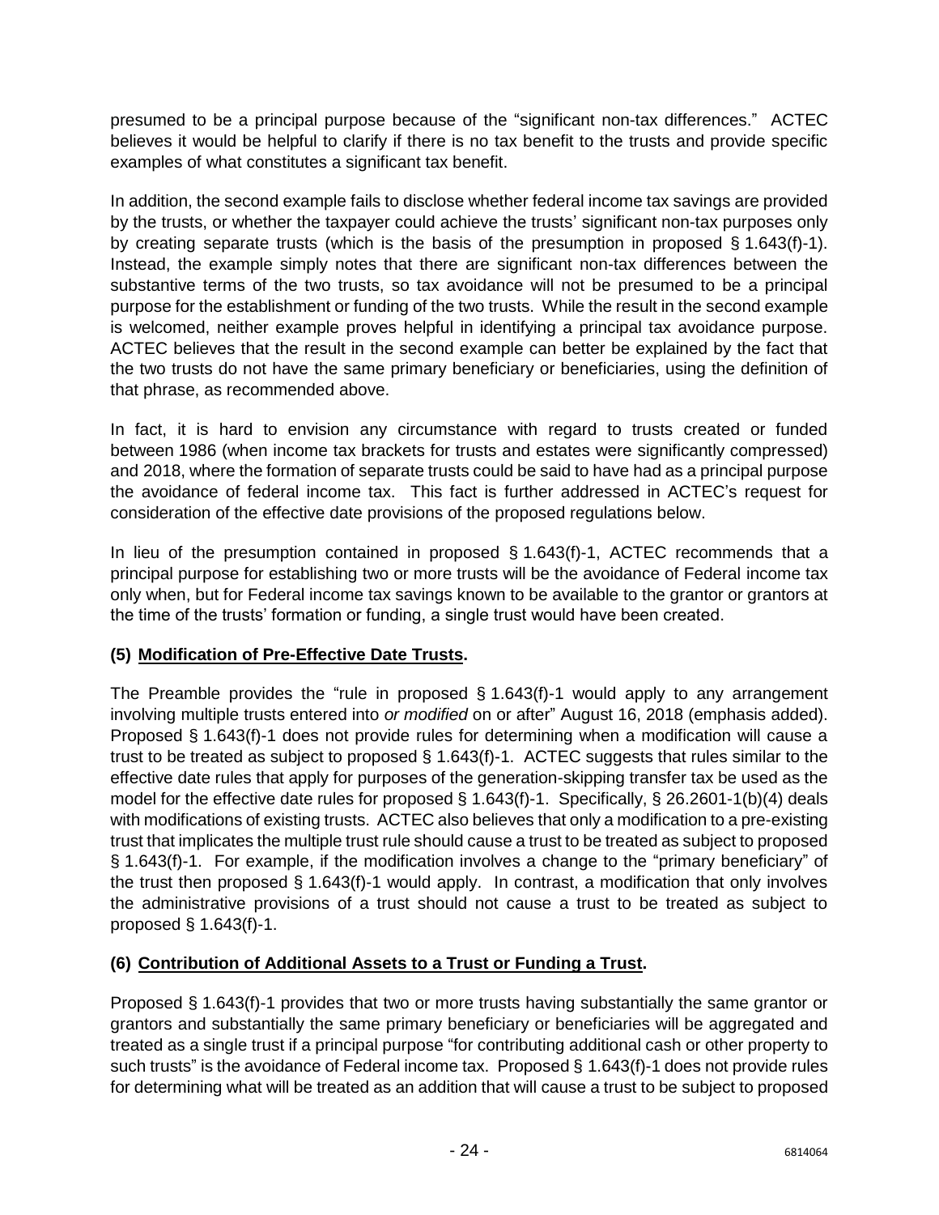presumed to be a principal purpose because of the "significant non-tax differences." ACTEC believes it would be helpful to clarify if there is no tax benefit to the trusts and provide specific examples of what constitutes a significant tax benefit.

In addition, the second example fails to disclose whether federal income tax savings are provided by the trusts, or whether the taxpayer could achieve the trusts' significant non-tax purposes only by creating separate trusts (which is the basis of the presumption in proposed § 1.643(f)-1). Instead, the example simply notes that there are significant non-tax differences between the substantive terms of the two trusts, so tax avoidance will not be presumed to be a principal purpose for the establishment or funding of the two trusts. While the result in the second example is welcomed, neither example proves helpful in identifying a principal tax avoidance purpose. ACTEC believes that the result in the second example can better be explained by the fact that the two trusts do not have the same primary beneficiary or beneficiaries, using the definition of that phrase, as recommended above.

In fact, it is hard to envision any circumstance with regard to trusts created or funded between 1986 (when income tax brackets for trusts and estates were significantly compressed) and 2018, where the formation of separate trusts could be said to have had as a principal purpose the avoidance of federal income tax. This fact is further addressed in ACTEC's request for consideration of the effective date provisions of the proposed regulations below.

In lieu of the presumption contained in proposed § 1.643(f)-1, ACTEC recommends that a principal purpose for establishing two or more trusts will be the avoidance of Federal income tax only when, but for Federal income tax savings known to be available to the grantor or grantors at the time of the trusts' formation or funding, a single trust would have been created.

# **(5) Modification of Pre-Effective Date Trusts.**

The Preamble provides the "rule in proposed  $\S$  1.643(f)-1 would apply to any arrangement involving multiple trusts entered into *or modified* on or after" August 16, 2018 (emphasis added). Proposed § 1.643(f)-1 does not provide rules for determining when a modification will cause a trust to be treated as subject to proposed § 1.643(f)-1. ACTEC suggests that rules similar to the effective date rules that apply for purposes of the generation-skipping transfer tax be used as the model for the effective date rules for proposed § 1.643(f)-1. Specifically, § 26.2601-1(b)(4) deals with modifications of existing trusts. ACTEC also believes that only a modification to a pre-existing trust that implicates the multiple trust rule should cause a trust to be treated as subject to proposed § 1.643(f)-1. For example, if the modification involves a change to the "primary beneficiary" of the trust then proposed § 1.643(f)-1 would apply. In contrast, a modification that only involves the administrative provisions of a trust should not cause a trust to be treated as subject to proposed § 1.643(f)-1.

# **(6) Contribution of Additional Assets to a Trust or Funding a Trust.**

Proposed § 1.643(f)-1 provides that two or more trusts having substantially the same grantor or grantors and substantially the same primary beneficiary or beneficiaries will be aggregated and treated as a single trust if a principal purpose "for contributing additional cash or other property to such trusts" is the avoidance of Federal income tax. Proposed § 1.643(f)-1 does not provide rules for determining what will be treated as an addition that will cause a trust to be subject to proposed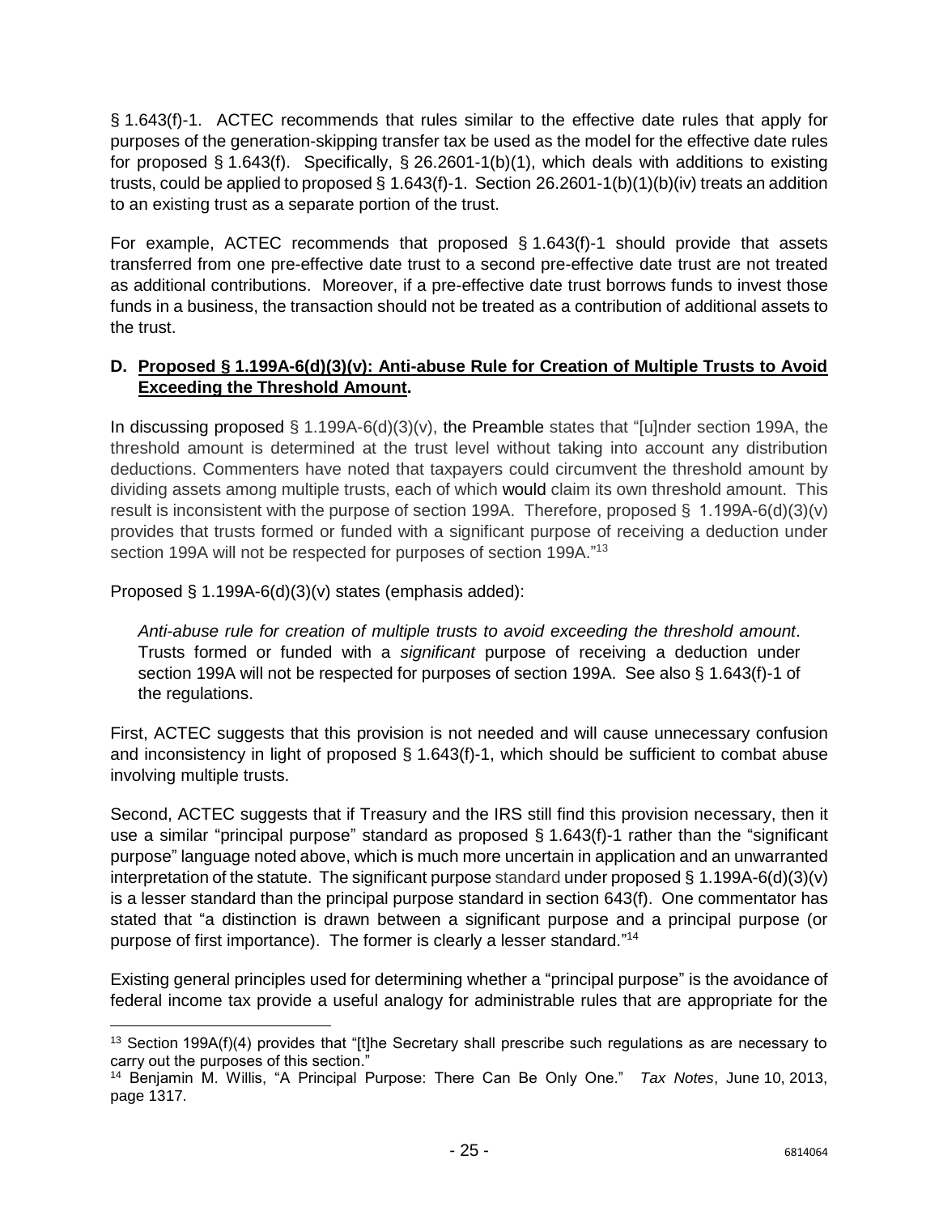§ 1.643(f)-1. ACTEC recommends that rules similar to the effective date rules that apply for purposes of the generation-skipping transfer tax be used as the model for the effective date rules for proposed § 1.643(f). Specifically, § 26.2601-1(b)(1), which deals with additions to existing trusts, could be applied to proposed § 1.643(f)-1. Section 26.2601-1(b)(1)(b)(iv) treats an addition to an existing trust as a separate portion of the trust.

For example, ACTEC recommends that proposed § 1.643(f)-1 should provide that assets transferred from one pre-effective date trust to a second pre-effective date trust are not treated as additional contributions. Moreover, if a pre-effective date trust borrows funds to invest those funds in a business, the transaction should not be treated as a contribution of additional assets to the trust.

### **D. Proposed § 1.199A-6(d)(3)(v): Anti-abuse Rule for Creation of Multiple Trusts to Avoid Exceeding the Threshold Amount.**

In discussing proposed  $\S$  1.199A-6(d)(3)(v), the Preamble states that "[u]nder section 199A, the threshold amount is determined at the trust level without taking into account any distribution deductions. Commenters have noted that taxpayers could circumvent the threshold amount by dividing assets among multiple trusts, each of which would claim its own threshold amount. This result is inconsistent with the purpose of section 199A. Therefore, proposed §  1.199A-6(d)(3)(v) provides that trusts formed or funded with a significant purpose of receiving a deduction under section 199A will not be respected for purposes of section 199A."<sup>13</sup>

Proposed § 1.199A-6(d)(3)(v) states (emphasis added):

 $\overline{\phantom{a}}$ 

*Anti-abuse rule for creation of multiple trusts to avoid exceeding the threshold amount*. Trusts formed or funded with a *significant* purpose of receiving a deduction under section 199A will not be respected for purposes of section 199A. See also § 1.643(f)-1 of the regulations.

First, ACTEC suggests that this provision is not needed and will cause unnecessary confusion and inconsistency in light of proposed § 1.643(f)-1, which should be sufficient to combat abuse involving multiple trusts.

Second, ACTEC suggests that if Treasury and the IRS still find this provision necessary, then it use a similar "principal purpose" standard as proposed § 1.643(f)-1 rather than the "significant purpose" language noted above, which is much more uncertain in application and an unwarranted interpretation of the statute. The significant purpose standard under proposed § 1.199A-6(d)(3)(v) is a lesser standard than the principal purpose standard in section 643(f). One commentator has stated that "a distinction is drawn between a significant purpose and a principal purpose (or purpose of first importance). The former is clearly a lesser standard."<sup>14</sup>

Existing general principles used for determining whether a "principal purpose" is the avoidance of federal income tax provide a useful analogy for administrable rules that are appropriate for the

 $13$  Section 199A(f)(4) provides that "[t]he Secretary shall prescribe such regulations as are necessary to carry out the purposes of this section."

<sup>14</sup> Benjamin M. Willis, "A Principal Purpose: There Can Be Only One." *Tax Notes*, June 10, 2013, page 1317.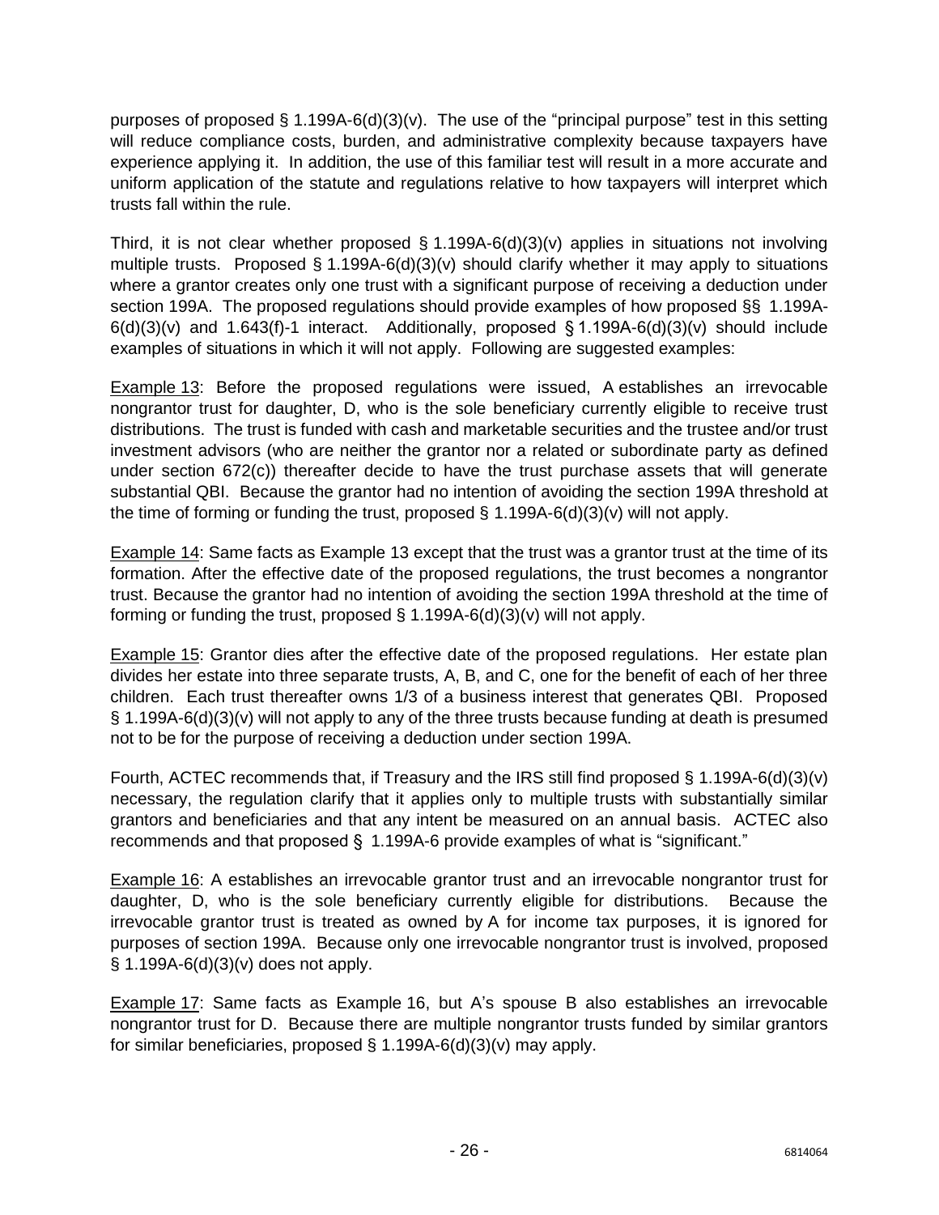purposes of proposed § 1.199A-6(d)(3)(v). The use of the "principal purpose" test in this setting will reduce compliance costs, burden, and administrative complexity because taxpayers have experience applying it. In addition, the use of this familiar test will result in a more accurate and uniform application of the statute and regulations relative to how taxpayers will interpret which trusts fall within the rule.

Third, it is not clear whether proposed  $\S 1.199A-6(d)(3)(v)$  applies in situations not involving multiple trusts. Proposed  $\S$  1.199A-6(d)(3)(v) should clarify whether it may apply to situations where a grantor creates only one trust with a significant purpose of receiving a deduction under section 199A. The proposed regulations should provide examples of how proposed §§ 1.199A- $6(d)(3)(v)$  and 1.643(f)-1 interact. Additionally, proposed § 1.199A-6(d)(3)(v) should include examples of situations in which it will not apply. Following are suggested examples:

**Example 13:** Before the proposed regulations were issued, A establishes an irrevocable nongrantor trust for daughter, D, who is the sole beneficiary currently eligible to receive trust distributions. The trust is funded with cash and marketable securities and the trustee and/or trust investment advisors (who are neither the grantor nor a related or subordinate party as defined under section 672(c)) thereafter decide to have the trust purchase assets that will generate substantial QBI. Because the grantor had no intention of avoiding the section 199A threshold at the time of forming or funding the trust, proposed  $\S$  1.199A-6(d)(3)(v) will not apply.

Example 14: Same facts as Example 13 except that the trust was a grantor trust at the time of its formation. After the effective date of the proposed regulations, the trust becomes a nongrantor trust. Because the grantor had no intention of avoiding the section 199A threshold at the time of forming or funding the trust, proposed  $\S$  1.199A-6(d)(3)(v) will not apply.

Example 15: Grantor dies after the effective date of the proposed regulations. Her estate plan divides her estate into three separate trusts, A, B, and C, one for the benefit of each of her three children. Each trust thereafter owns 1/3 of a business interest that generates QBI. Proposed § 1.199A-6(d)(3)(v) will not apply to any of the three trusts because funding at death is presumed not to be for the purpose of receiving a deduction under section 199A.

Fourth, ACTEC recommends that, if Treasury and the IRS still find proposed § 1.199A-6(d)(3)(v) necessary, the regulation clarify that it applies only to multiple trusts with substantially similar grantors and beneficiaries and that any intent be measured on an annual basis. ACTEC also recommends and that proposed §  1.199A-6 provide examples of what is "significant."

Example 16: A establishes an irrevocable grantor trust and an irrevocable nongrantor trust for daughter, D, who is the sole beneficiary currently eligible for distributions. Because the irrevocable grantor trust is treated as owned by A for income tax purposes, it is ignored for purposes of section 199A. Because only one irrevocable nongrantor trust is involved, proposed § 1.199A-6(d)(3)(v) does not apply.

Example 17: Same facts as Example 16, but A's spouse B also establishes an irrevocable nongrantor trust for D. Because there are multiple nongrantor trusts funded by similar grantors for similar beneficiaries, proposed § 1.199A-6(d)(3)(v) may apply.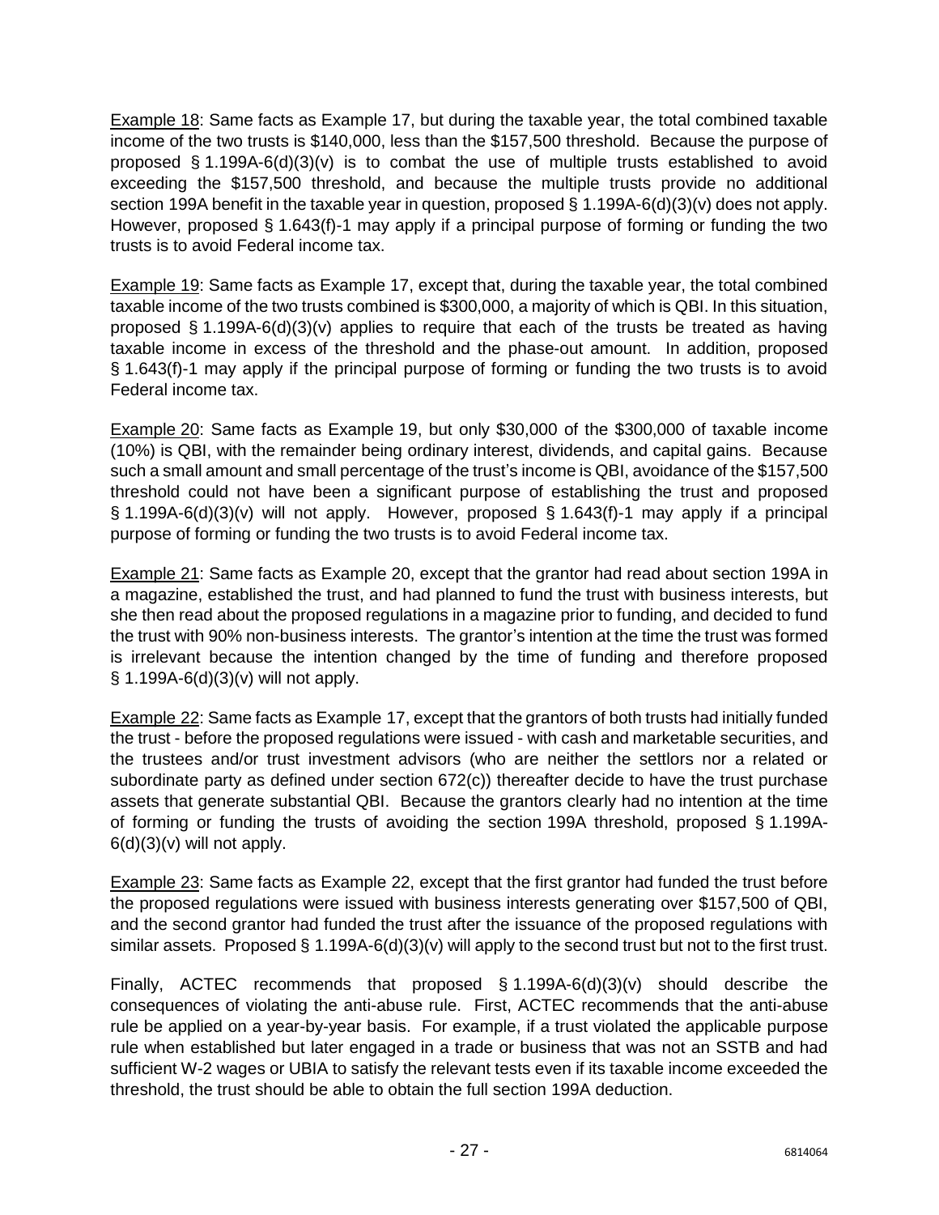Example 18: Same facts as Example 17, but during the taxable year, the total combined taxable income of the two trusts is \$140,000, less than the \$157,500 threshold. Because the purpose of proposed § 1.199A-6(d)(3)(v) is to combat the use of multiple trusts established to avoid exceeding the \$157,500 threshold, and because the multiple trusts provide no additional section 199A benefit in the taxable year in question, proposed § 1.199A-6(d)(3)(v) does not apply. However, proposed § 1.643(f)-1 may apply if a principal purpose of forming or funding the two trusts is to avoid Federal income tax.

Example 19: Same facts as Example 17, except that, during the taxable year, the total combined taxable income of the two trusts combined is \$300,000, a majority of which is QBI. In this situation, proposed § 1.199A-6(d)(3)(v) applies to require that each of the trusts be treated as having taxable income in excess of the threshold and the phase-out amount. In addition, proposed § 1.643(f)-1 may apply if the principal purpose of forming or funding the two trusts is to avoid Federal income tax.

Example 20: Same facts as Example 19, but only \$30,000 of the \$300,000 of taxable income (10%) is QBI, with the remainder being ordinary interest, dividends, and capital gains. Because such a small amount and small percentage of the trust's income is QBI, avoidance of the \$157,500 threshold could not have been a significant purpose of establishing the trust and proposed  $\S$  1.199A-6(d)(3)(v) will not apply. However, proposed  $\S$  1.643(f)-1 may apply if a principal purpose of forming or funding the two trusts is to avoid Federal income tax.

Example 21: Same facts as Example 20, except that the grantor had read about section 199A in a magazine, established the trust, and had planned to fund the trust with business interests, but she then read about the proposed regulations in a magazine prior to funding, and decided to fund the trust with 90% non-business interests. The grantor's intention at the time the trust was formed is irrelevant because the intention changed by the time of funding and therefore proposed § 1.199A-6(d)(3)(v) will not apply.

Example 22: Same facts as Example 17, except that the grantors of both trusts had initially funded the trust - before the proposed regulations were issued - with cash and marketable securities, and the trustees and/or trust investment advisors (who are neither the settlors nor a related or subordinate party as defined under section 672(c)) thereafter decide to have the trust purchase assets that generate substantial QBI. Because the grantors clearly had no intention at the time of forming or funding the trusts of avoiding the section 199A threshold, proposed § 1.199A- $6(d)(3)(v)$  will not apply.

Example 23: Same facts as Example 22, except that the first grantor had funded the trust before the proposed regulations were issued with business interests generating over \$157,500 of QBI, and the second grantor had funded the trust after the issuance of the proposed regulations with similar assets. Proposed § 1.199A-6(d)(3)(v) will apply to the second trust but not to the first trust.

Finally, ACTEC recommends that proposed § 1.199A-6(d)(3)(v) should describe the consequences of violating the anti-abuse rule. First, ACTEC recommends that the anti-abuse rule be applied on a year-by-year basis. For example, if a trust violated the applicable purpose rule when established but later engaged in a trade or business that was not an SSTB and had sufficient W-2 wages or UBIA to satisfy the relevant tests even if its taxable income exceeded the threshold, the trust should be able to obtain the full section 199A deduction.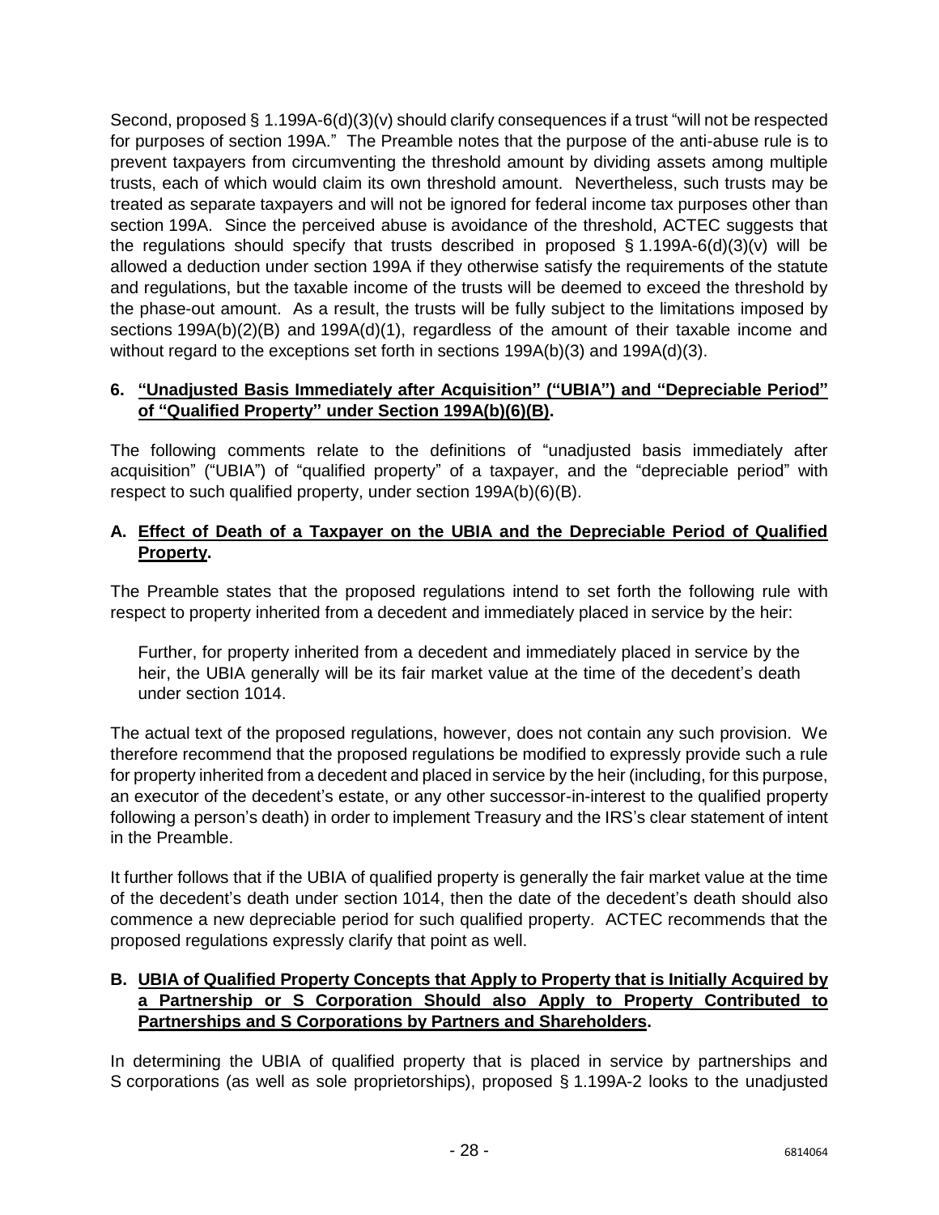Second, proposed § 1.199A-6(d)(3)(v) should clarify consequences if a trust "will not be respected for purposes of section 199A." The Preamble notes that the purpose of the anti-abuse rule is to prevent taxpayers from circumventing the threshold amount by dividing assets among multiple trusts, each of which would claim its own threshold amount. Nevertheless, such trusts may be treated as separate taxpayers and will not be ignored for federal income tax purposes other than section 199A. Since the perceived abuse is avoidance of the threshold, ACTEC suggests that the regulations should specify that trusts described in proposed  $\S$  1.199A-6(d)(3)(v) will be allowed a deduction under section 199A if they otherwise satisfy the requirements of the statute and regulations, but the taxable income of the trusts will be deemed to exceed the threshold by the phase-out amount. As a result, the trusts will be fully subject to the limitations imposed by sections 199A(b)(2)(B) and 199A(d)(1), regardless of the amount of their taxable income and without regard to the exceptions set forth in sections 199A(b)(3) and 199A(d)(3).

### <span id="page-28-0"></span>**6. "Unadjusted Basis Immediately after Acquisition" ("UBIA") and "Depreciable Period" of "Qualified Property" under Section 199A(b)(6)(B).**

The following comments relate to the definitions of "unadjusted basis immediately after acquisition" ("UBIA") of "qualified property" of a taxpayer, and the "depreciable period" with respect to such qualified property, under section 199A(b)(6)(B).

### **A. Effect of Death of a Taxpayer on the UBIA and the Depreciable Period of Qualified Property.**

The Preamble states that the proposed regulations intend to set forth the following rule with respect to property inherited from a decedent and immediately placed in service by the heir:

Further, for property inherited from a decedent and immediately placed in service by the heir, the UBIA generally will be its fair market value at the time of the decedent's death under section 1014.

The actual text of the proposed regulations, however, does not contain any such provision. We therefore recommend that the proposed regulations be modified to expressly provide such a rule for property inherited from a decedent and placed in service by the heir (including, for this purpose, an executor of the decedent's estate, or any other successor-in-interest to the qualified property following a person's death) in order to implement Treasury and the IRS's clear statement of intent in the Preamble.

It further follows that if the UBIA of qualified property is generally the fair market value at the time of the decedent's death under section 1014, then the date of the decedent's death should also commence a new depreciable period for such qualified property. ACTEC recommends that the proposed regulations expressly clarify that point as well.

### **B. UBIA of Qualified Property Concepts that Apply to Property that is Initially Acquired by a Partnership or S Corporation Should also Apply to Property Contributed to Partnerships and S Corporations by Partners and Shareholders.**

In determining the UBIA of qualified property that is placed in service by partnerships and S corporations (as well as sole proprietorships), proposed § 1.199A-2 looks to the unadjusted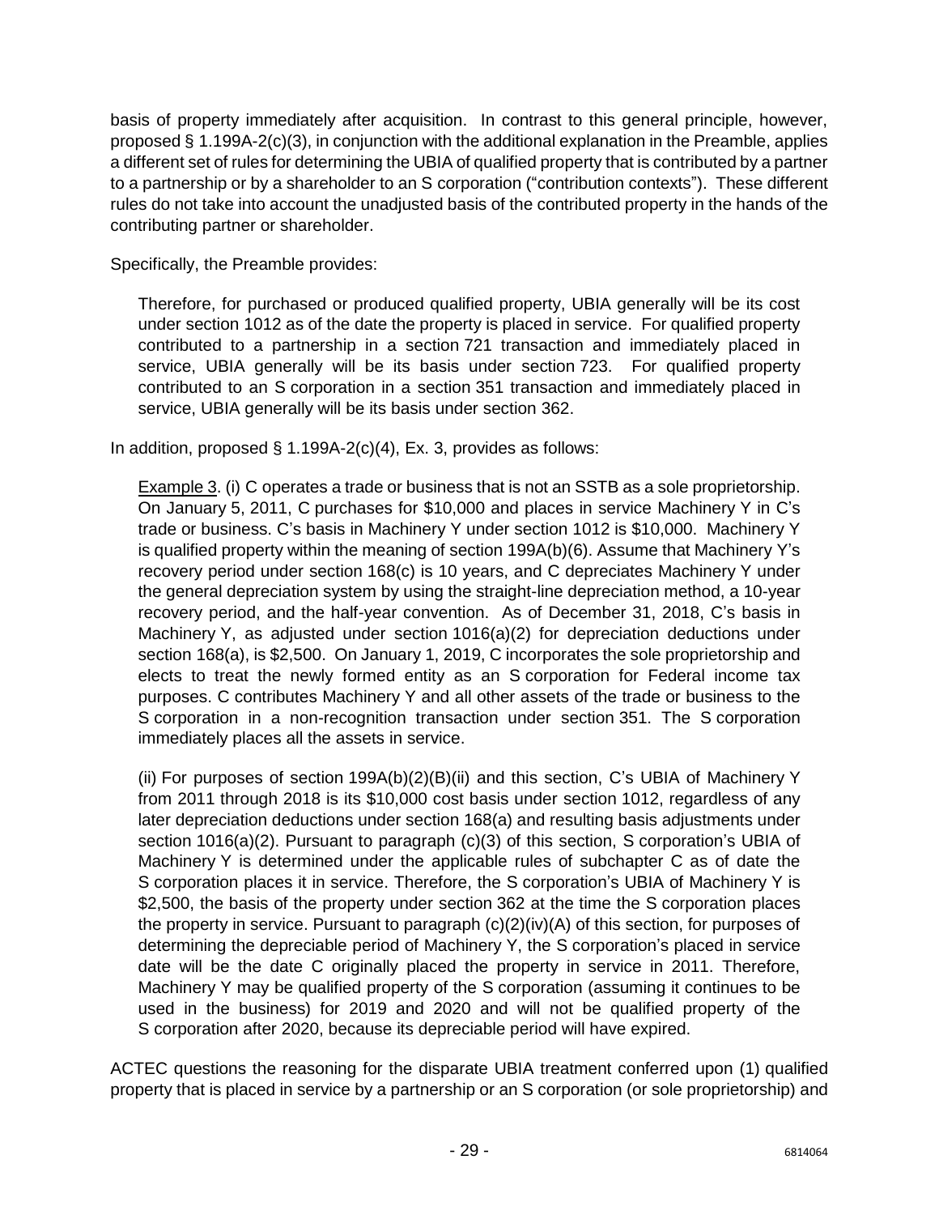basis of property immediately after acquisition. In contrast to this general principle, however, proposed § 1.199A-2(c)(3), in conjunction with the additional explanation in the Preamble, applies a different set of rules for determining the UBIA of qualified property that is contributed by a partner to a partnership or by a shareholder to an S corporation ("contribution contexts"). These different rules do not take into account the unadjusted basis of the contributed property in the hands of the contributing partner or shareholder.

Specifically, the Preamble provides:

Therefore, for purchased or produced qualified property, UBIA generally will be its cost under section 1012 as of the date the property is placed in service. For qualified property contributed to a partnership in a section 721 transaction and immediately placed in service, UBIA generally will be its basis under section 723. For qualified property contributed to an S corporation in a section 351 transaction and immediately placed in service, UBIA generally will be its basis under section 362.

In addition, proposed  $\S$  1.199A-2(c)(4), Ex. 3, provides as follows:

Example 3. (i) C operates a trade or business that is not an SSTB as a sole proprietorship. On January 5, 2011, C purchases for \$10,000 and places in service Machinery Y in C's trade or business. C's basis in Machinery Y under section 1012 is \$10,000. Machinery Y is qualified property within the meaning of section 199A(b)(6). Assume that Machinery Y's recovery period under section 168(c) is 10 years, and C depreciates Machinery Y under the general depreciation system by using the straight-line depreciation method, a 10-year recovery period, and the half-year convention. As of December 31, 2018, C's basis in Machinery Y, as adjusted under section 1016(a)(2) for depreciation deductions under section 168(a), is \$2,500. On January 1, 2019, C incorporates the sole proprietorship and elects to treat the newly formed entity as an S corporation for Federal income tax purposes. C contributes Machinery Y and all other assets of the trade or business to the S corporation in a non-recognition transaction under section 351. The S corporation immediately places all the assets in service.

(ii) For purposes of section 199A(b)(2)(B)(ii) and this section, C's UBIA of Machinery Y from 2011 through 2018 is its \$10,000 cost basis under section 1012, regardless of any later depreciation deductions under section 168(a) and resulting basis adjustments under section 1016(a)(2). Pursuant to paragraph (c)(3) of this section, S corporation's UBIA of Machinery Y is determined under the applicable rules of subchapter C as of date the S corporation places it in service. Therefore, the S corporation's UBIA of Machinery Y is \$2,500, the basis of the property under section 362 at the time the S corporation places the property in service. Pursuant to paragraph (c)(2)(iv)(A) of this section, for purposes of determining the depreciable period of Machinery Y, the S corporation's placed in service date will be the date C originally placed the property in service in 2011. Therefore, Machinery Y may be qualified property of the S corporation (assuming it continues to be used in the business) for 2019 and 2020 and will not be qualified property of the S corporation after 2020, because its depreciable period will have expired.

ACTEC questions the reasoning for the disparate UBIA treatment conferred upon (1) qualified property that is placed in service by a partnership or an S corporation (or sole proprietorship) and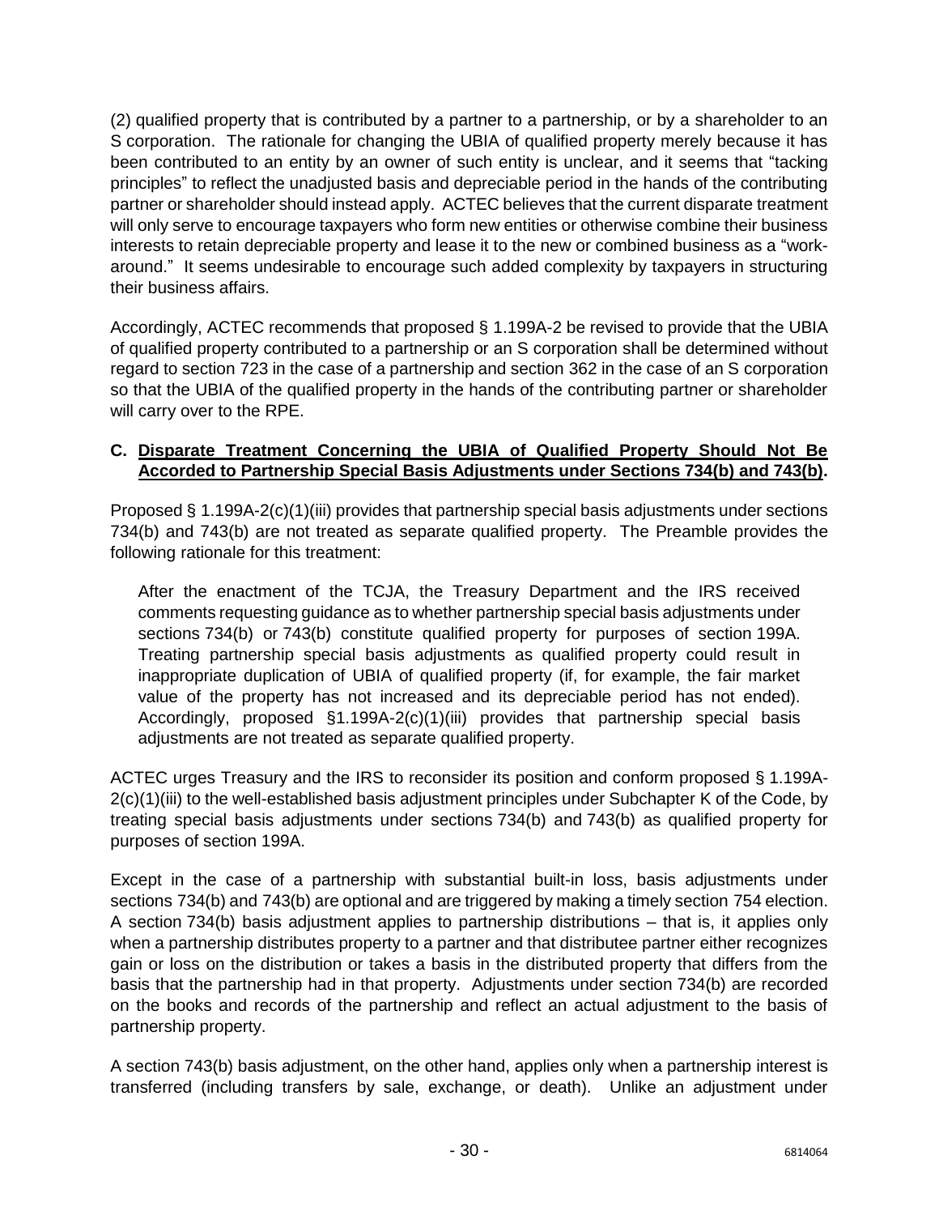(2) qualified property that is contributed by a partner to a partnership, or by a shareholder to an S corporation. The rationale for changing the UBIA of qualified property merely because it has been contributed to an entity by an owner of such entity is unclear, and it seems that "tacking principles" to reflect the unadjusted basis and depreciable period in the hands of the contributing partner or shareholder should instead apply. ACTEC believes that the current disparate treatment will only serve to encourage taxpayers who form new entities or otherwise combine their business interests to retain depreciable property and lease it to the new or combined business as a "workaround." It seems undesirable to encourage such added complexity by taxpayers in structuring their business affairs.

Accordingly, ACTEC recommends that proposed § 1.199A-2 be revised to provide that the UBIA of qualified property contributed to a partnership or an S corporation shall be determined without regard to section 723 in the case of a partnership and section 362 in the case of an S corporation so that the UBIA of the qualified property in the hands of the contributing partner or shareholder will carry over to the RPE.

### **C. Disparate Treatment Concerning the UBIA of Qualified Property Should Not Be Accorded to Partnership Special Basis Adjustments under Sections 734(b) and 743(b).**

Proposed § 1.199A-2(c)(1)(iii) provides that partnership special basis adjustments under sections 734(b) and 743(b) are not treated as separate qualified property. The Preamble provides the following rationale for this treatment:

After the enactment of the TCJA, the Treasury Department and the IRS received comments requesting guidance as to whether partnership special basis adjustments under sections 734(b) or 743(b) constitute qualified property for purposes of section 199A. Treating partnership special basis adjustments as qualified property could result in inappropriate duplication of UBIA of qualified property (if, for example, the fair market value of the property has not increased and its depreciable period has not ended). Accordingly, proposed §1.199A-2(c)(1)(iii) provides that partnership special basis adjustments are not treated as separate qualified property.

ACTEC urges Treasury and the IRS to reconsider its position and conform proposed § 1.199A-2(c)(1)(iii) to the well-established basis adjustment principles under Subchapter K of the Code, by treating special basis adjustments under sections 734(b) and 743(b) as qualified property for purposes of section 199A.

Except in the case of a partnership with substantial built-in loss, basis adjustments under sections 734(b) and 743(b) are optional and are triggered by making a timely section 754 election. A section 734(b) basis adjustment applies to partnership distributions – that is, it applies only when a partnership distributes property to a partner and that distributee partner either recognizes gain or loss on the distribution or takes a basis in the distributed property that differs from the basis that the partnership had in that property. Adjustments under section 734(b) are recorded on the books and records of the partnership and reflect an actual adjustment to the basis of partnership property.

A section 743(b) basis adjustment, on the other hand, applies only when a partnership interest is transferred (including transfers by sale, exchange, or death). Unlike an adjustment under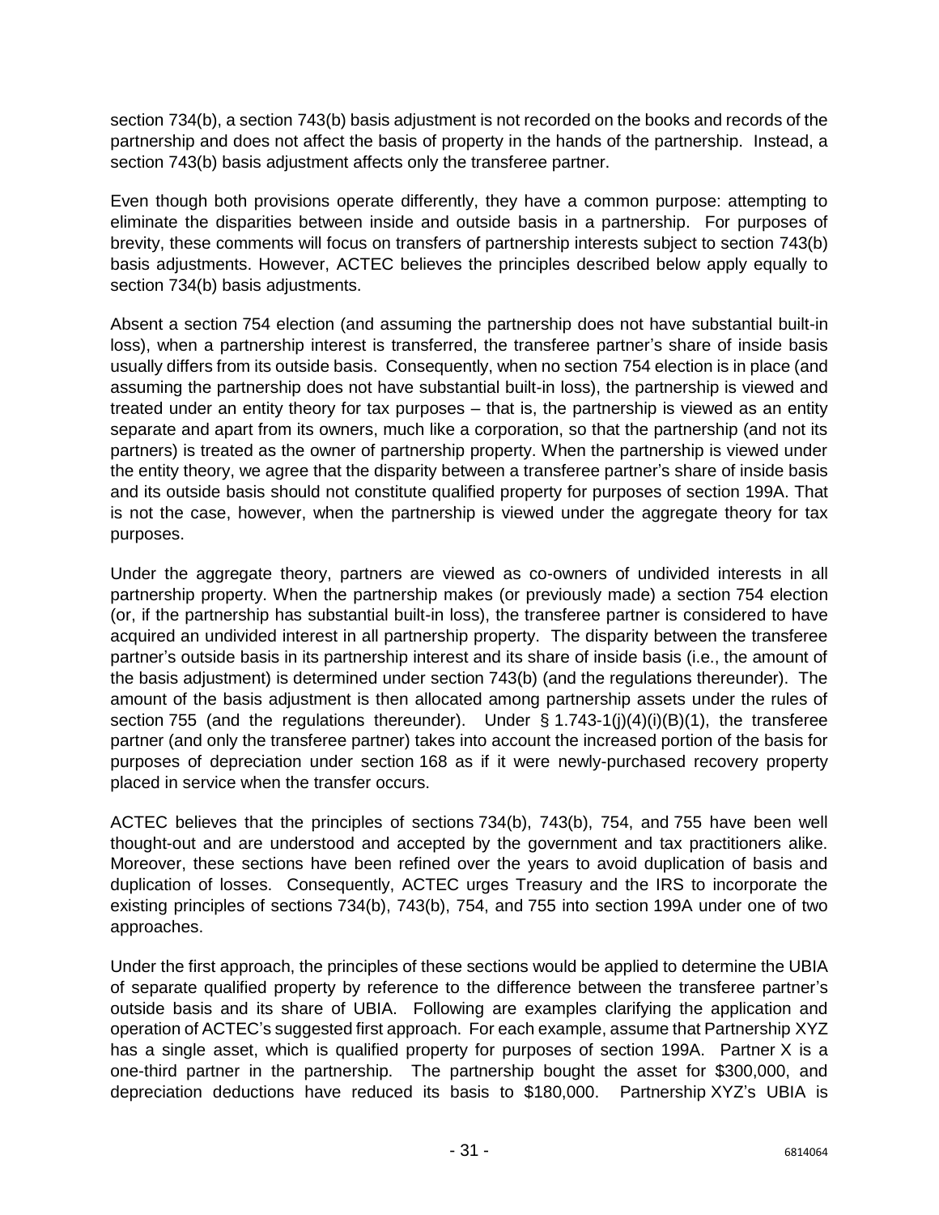section 734(b), a section 743(b) basis adjustment is not recorded on the books and records of the partnership and does not affect the basis of property in the hands of the partnership. Instead, a section 743(b) basis adjustment affects only the transferee partner.

Even though both provisions operate differently, they have a common purpose: attempting to eliminate the disparities between inside and outside basis in a partnership. For purposes of brevity, these comments will focus on transfers of partnership interests subject to section 743(b) basis adjustments. However, ACTEC believes the principles described below apply equally to section 734(b) basis adjustments.

Absent a section 754 election (and assuming the partnership does not have substantial built-in loss), when a partnership interest is transferred, the transferee partner's share of inside basis usually differs from its outside basis. Consequently, when no section 754 election is in place (and assuming the partnership does not have substantial built-in loss), the partnership is viewed and treated under an entity theory for tax purposes – that is, the partnership is viewed as an entity separate and apart from its owners, much like a corporation, so that the partnership (and not its partners) is treated as the owner of partnership property. When the partnership is viewed under the entity theory, we agree that the disparity between a transferee partner's share of inside basis and its outside basis should not constitute qualified property for purposes of section 199A. That is not the case, however, when the partnership is viewed under the aggregate theory for tax purposes.

Under the aggregate theory, partners are viewed as co-owners of undivided interests in all partnership property. When the partnership makes (or previously made) a section 754 election (or, if the partnership has substantial built-in loss), the transferee partner is considered to have acquired an undivided interest in all partnership property. The disparity between the transferee partner's outside basis in its partnership interest and its share of inside basis (i.e., the amount of the basis adjustment) is determined under section 743(b) (and the regulations thereunder). The amount of the basis adjustment is then allocated among partnership assets under the rules of section 755 (and the regulations thereunder). Under  $\S$  1.743-1(j)(4)(i)(B)(1), the transferee partner (and only the transferee partner) takes into account the increased portion of the basis for purposes of depreciation under section 168 as if it were newly-purchased recovery property placed in service when the transfer occurs.

ACTEC believes that the principles of sections 734(b), 743(b), 754, and 755 have been well thought-out and are understood and accepted by the government and tax practitioners alike. Moreover, these sections have been refined over the years to avoid duplication of basis and duplication of losses. Consequently, ACTEC urges Treasury and the IRS to incorporate the existing principles of sections 734(b), 743(b), 754, and 755 into section 199A under one of two approaches.

Under the first approach, the principles of these sections would be applied to determine the UBIA of separate qualified property by reference to the difference between the transferee partner's outside basis and its share of UBIA. Following are examples clarifying the application and operation of ACTEC's suggested first approach. For each example, assume that Partnership XYZ has a single asset, which is qualified property for purposes of section 199A. Partner X is a one-third partner in the partnership. The partnership bought the asset for \$300,000, and depreciation deductions have reduced its basis to \$180,000. Partnership XYZ's UBIA is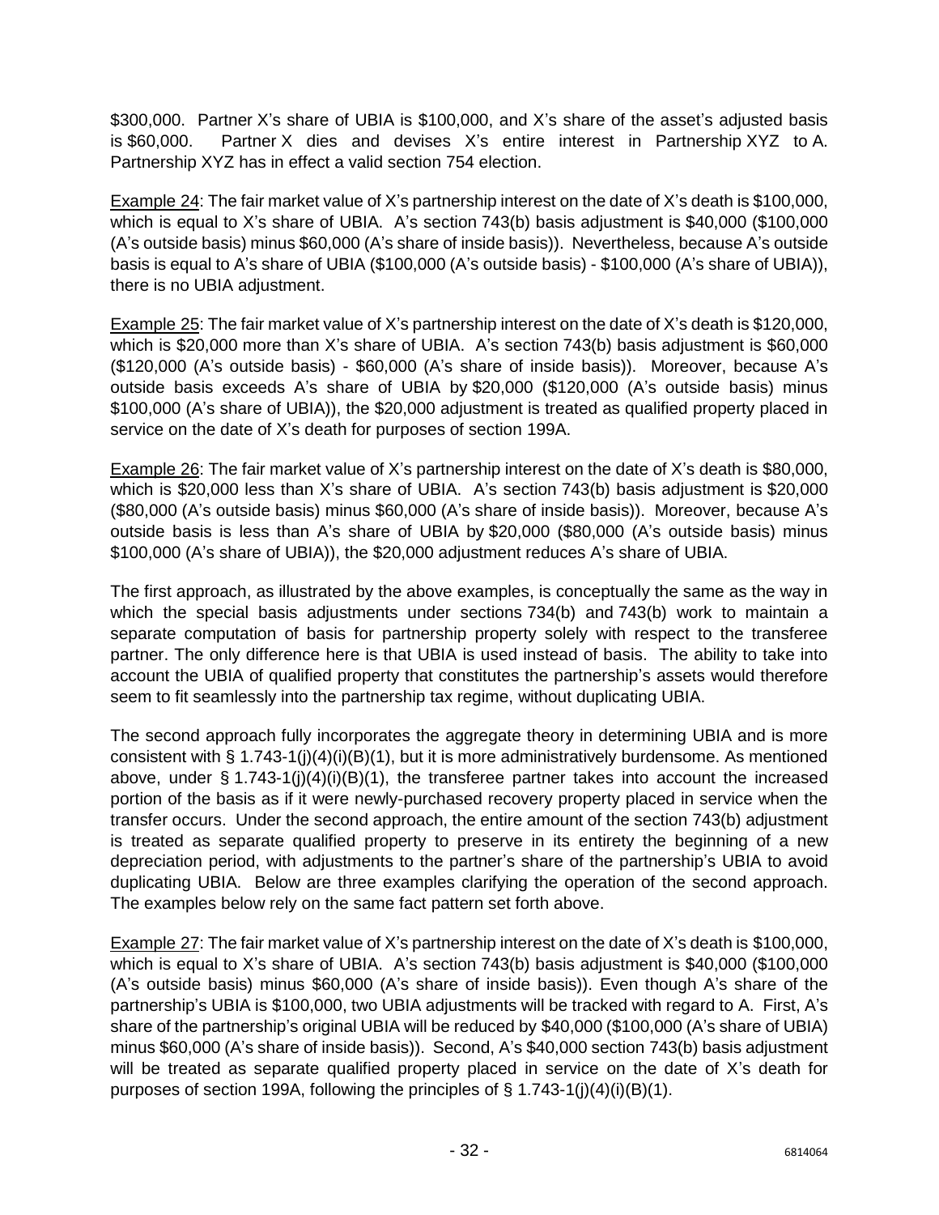\$300,000. Partner X's share of UBIA is \$100,000, and X's share of the asset's adjusted basis is \$60,000. Partner X dies and devises X's entire interest in Partnership XYZ to A. Partnership XYZ has in effect a valid section 754 election.

Example 24: The fair market value of X's partnership interest on the date of X's death is \$100,000, which is equal to X's share of UBIA. A's section 743(b) basis adjustment is \$40,000 (\$100,000 (A's outside basis) minus \$60,000 (A's share of inside basis)). Nevertheless, because A's outside basis is equal to A's share of UBIA (\$100,000 (A's outside basis) - \$100,000 (A's share of UBIA)), there is no UBIA adjustment.

Example 25: The fair market value of X's partnership interest on the date of X's death is \$120,000, which is \$20,000 more than X's share of UBIA. A's section 743(b) basis adjustment is \$60,000 (\$120,000 (A's outside basis) - \$60,000 (A's share of inside basis)). Moreover, because A's outside basis exceeds A's share of UBIA by \$20,000 (\$120,000 (A's outside basis) minus \$100,000 (A's share of UBIA)), the \$20,000 adjustment is treated as qualified property placed in service on the date of X's death for purposes of section 199A.

Example 26: The fair market value of X's partnership interest on the date of X's death is \$80,000, which is \$20,000 less than X's share of UBIA. A's section 743(b) basis adjustment is \$20,000 (\$80,000 (A's outside basis) minus \$60,000 (A's share of inside basis)). Moreover, because A's outside basis is less than A's share of UBIA by \$20,000 (\$80,000 (A's outside basis) minus \$100,000 (A's share of UBIA)), the \$20,000 adjustment reduces A's share of UBIA.

The first approach, as illustrated by the above examples, is conceptually the same as the way in which the special basis adjustments under sections 734(b) and 743(b) work to maintain a separate computation of basis for partnership property solely with respect to the transferee partner. The only difference here is that UBIA is used instead of basis. The ability to take into account the UBIA of qualified property that constitutes the partnership's assets would therefore seem to fit seamlessly into the partnership tax regime, without duplicating UBIA.

The second approach fully incorporates the aggregate theory in determining UBIA and is more consistent with §  $1.743-1(j)(4)(i)(B)(1)$ , but it is more administratively burdensome. As mentioned above, under § 1.743-1(j)(4)(i)(B)(1), the transferee partner takes into account the increased portion of the basis as if it were newly-purchased recovery property placed in service when the transfer occurs. Under the second approach, the entire amount of the section 743(b) adjustment is treated as separate qualified property to preserve in its entirety the beginning of a new depreciation period, with adjustments to the partner's share of the partnership's UBIA to avoid duplicating UBIA. Below are three examples clarifying the operation of the second approach. The examples below rely on the same fact pattern set forth above.

Example 27: The fair market value of X's partnership interest on the date of X's death is \$100,000, which is equal to X's share of UBIA. A's section 743(b) basis adjustment is \$40,000 (\$100,000 (A's outside basis) minus \$60,000 (A's share of inside basis)). Even though A's share of the partnership's UBIA is \$100,000, two UBIA adjustments will be tracked with regard to A. First, A's share of the partnership's original UBIA will be reduced by \$40,000 (\$100,000 (A's share of UBIA) minus \$60,000 (A's share of inside basis)). Second, A's \$40,000 section 743(b) basis adjustment will be treated as separate qualified property placed in service on the date of X's death for purposes of section 199A, following the principles of  $\S$  1.743-1(j)(4)(i)(B)(1).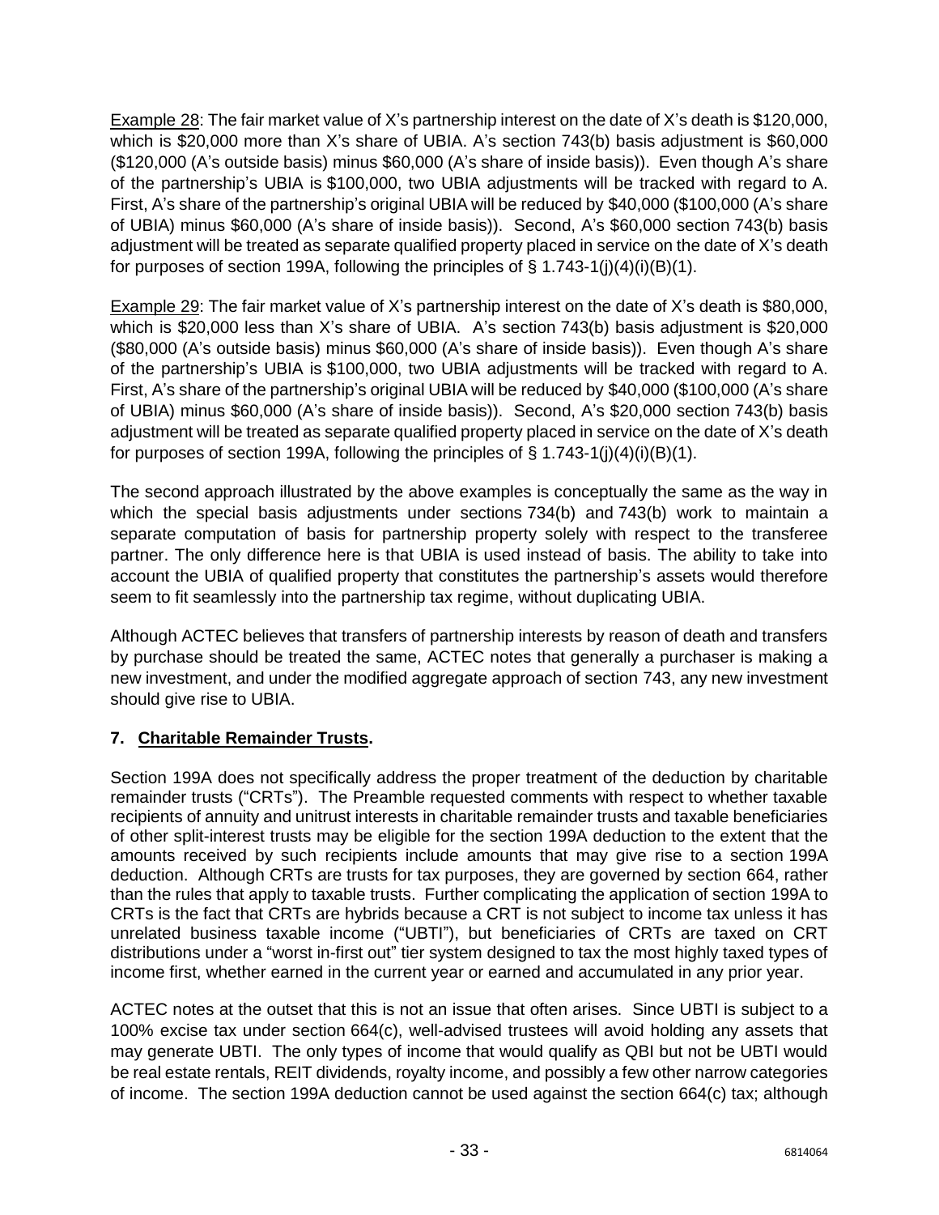Example 28: The fair market value of X's partnership interest on the date of X's death is \$120,000, which is \$20,000 more than X's share of UBIA. A's section 743(b) basis adjustment is \$60,000 (\$120,000 (A's outside basis) minus \$60,000 (A's share of inside basis)). Even though A's share of the partnership's UBIA is \$100,000, two UBIA adjustments will be tracked with regard to A. First, A's share of the partnership's original UBIA will be reduced by \$40,000 (\$100,000 (A's share of UBIA) minus \$60,000 (A's share of inside basis)). Second, A's \$60,000 section 743(b) basis adjustment will be treated as separate qualified property placed in service on the date of X's death for purposes of section 199A, following the principles of  $\S$  1.743-1(j)(4)(i)(B)(1).

Example 29: The fair market value of X's partnership interest on the date of X's death is \$80,000, which is \$20,000 less than X's share of UBIA. A's section 743(b) basis adjustment is \$20,000 (\$80,000 (A's outside basis) minus \$60,000 (A's share of inside basis)). Even though A's share of the partnership's UBIA is \$100,000, two UBIA adjustments will be tracked with regard to A. First, A's share of the partnership's original UBIA will be reduced by \$40,000 (\$100,000 (A's share of UBIA) minus \$60,000 (A's share of inside basis)). Second, A's \$20,000 section 743(b) basis adjustment will be treated as separate qualified property placed in service on the date of X's death for purposes of section 199A, following the principles of  $\S 1.743-1(j)(4)(i)(B)(1)$ .

The second approach illustrated by the above examples is conceptually the same as the way in which the special basis adjustments under sections 734(b) and 743(b) work to maintain a separate computation of basis for partnership property solely with respect to the transferee partner. The only difference here is that UBIA is used instead of basis. The ability to take into account the UBIA of qualified property that constitutes the partnership's assets would therefore seem to fit seamlessly into the partnership tax regime, without duplicating UBIA.

Although ACTEC believes that transfers of partnership interests by reason of death and transfers by purchase should be treated the same, ACTEC notes that generally a purchaser is making a new investment, and under the modified aggregate approach of section 743, any new investment should give rise to UBIA.

# <span id="page-33-0"></span>**7. Charitable Remainder Trusts.**

Section 199A does not specifically address the proper treatment of the deduction by charitable remainder trusts ("CRTs"). The Preamble requested comments with respect to whether taxable recipients of annuity and unitrust interests in charitable remainder trusts and taxable beneficiaries of other split-interest trusts may be eligible for the section 199A deduction to the extent that the amounts received by such recipients include amounts that may give rise to a section 199A deduction. Although CRTs are trusts for tax purposes, they are governed by section 664, rather than the rules that apply to taxable trusts. Further complicating the application of section 199A to CRTs is the fact that CRTs are hybrids because a CRT is not subject to income tax unless it has unrelated business taxable income ("UBTI"), but beneficiaries of CRTs are taxed on CRT distributions under a "worst in-first out" tier system designed to tax the most highly taxed types of income first, whether earned in the current year or earned and accumulated in any prior year.

ACTEC notes at the outset that this is not an issue that often arises. Since UBTI is subject to a 100% excise tax under section 664(c), well-advised trustees will avoid holding any assets that may generate UBTI. The only types of income that would qualify as QBI but not be UBTI would be real estate rentals, REIT dividends, royalty income, and possibly a few other narrow categories of income. The section 199A deduction cannot be used against the section 664(c) tax; although